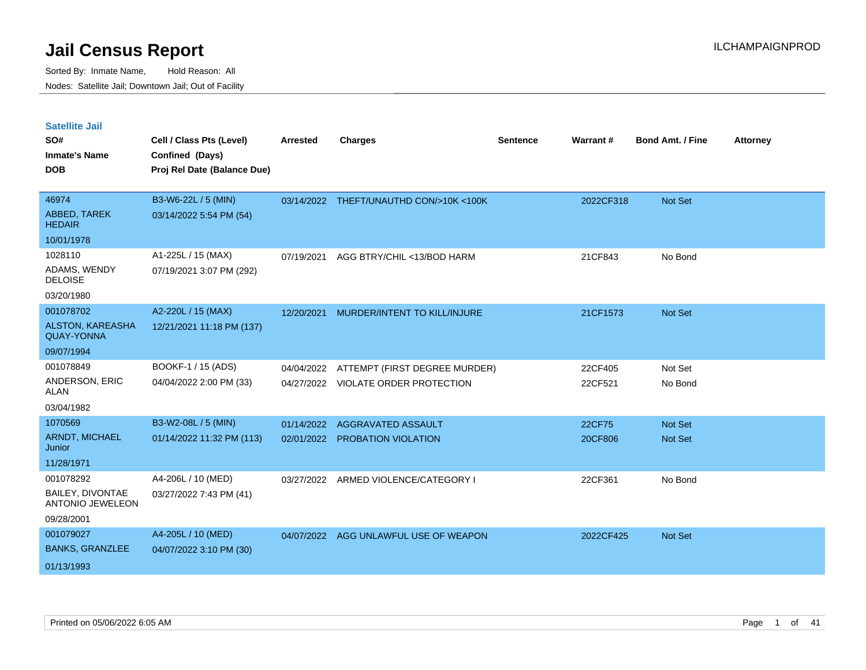| <b>Satellite Jail</b>                        |                             |                 |                                         |                 |           |                         |                 |
|----------------------------------------------|-----------------------------|-----------------|-----------------------------------------|-----------------|-----------|-------------------------|-----------------|
| SO#                                          | Cell / Class Pts (Level)    | <b>Arrested</b> | <b>Charges</b>                          | <b>Sentence</b> | Warrant#  | <b>Bond Amt. / Fine</b> | <b>Attorney</b> |
| <b>Inmate's Name</b>                         | Confined (Days)             |                 |                                         |                 |           |                         |                 |
| <b>DOB</b>                                   | Proj Rel Date (Balance Due) |                 |                                         |                 |           |                         |                 |
|                                              |                             |                 |                                         |                 |           |                         |                 |
| 46974                                        | B3-W6-22L / 5 (MIN)         |                 | 03/14/2022 THEFT/UNAUTHD CON/>10K <100K |                 | 2022CF318 | Not Set                 |                 |
| ABBED, TAREK<br><b>HEDAIR</b>                | 03/14/2022 5:54 PM (54)     |                 |                                         |                 |           |                         |                 |
| 10/01/1978                                   |                             |                 |                                         |                 |           |                         |                 |
| 1028110                                      | A1-225L / 15 (MAX)          | 07/19/2021      | AGG BTRY/CHIL <13/BOD HARM              |                 | 21CF843   | No Bond                 |                 |
| ADAMS, WENDY<br><b>DELOISE</b>               | 07/19/2021 3:07 PM (292)    |                 |                                         |                 |           |                         |                 |
| 03/20/1980                                   |                             |                 |                                         |                 |           |                         |                 |
| 001078702                                    | A2-220L / 15 (MAX)          | 12/20/2021      | <b>MURDER/INTENT TO KILL/INJURE</b>     |                 | 21CF1573  | Not Set                 |                 |
| <b>ALSTON, KAREASHA</b><br><b>QUAY-YONNA</b> | 12/21/2021 11:18 PM (137)   |                 |                                         |                 |           |                         |                 |
| 09/07/1994                                   |                             |                 |                                         |                 |           |                         |                 |
| 001078849                                    | BOOKF-1 / 15 (ADS)          | 04/04/2022      | ATTEMPT (FIRST DEGREE MURDER)           |                 | 22CF405   | Not Set                 |                 |
| ANDERSON, ERIC<br>ALAN                       | 04/04/2022 2:00 PM (33)     |                 | 04/27/2022 VIOLATE ORDER PROTECTION     |                 | 22CF521   | No Bond                 |                 |
| 03/04/1982                                   |                             |                 |                                         |                 |           |                         |                 |
| 1070569                                      | B3-W2-08L / 5 (MIN)         | 01/14/2022      | <b>AGGRAVATED ASSAULT</b>               |                 | 22CF75    | <b>Not Set</b>          |                 |
| <b>ARNDT, MICHAEL</b><br>Junior              | 01/14/2022 11:32 PM (113)   |                 | 02/01/2022 PROBATION VIOLATION          |                 | 20CF806   | Not Set                 |                 |
| 11/28/1971                                   |                             |                 |                                         |                 |           |                         |                 |
| 001078292                                    | A4-206L / 10 (MED)          | 03/27/2022      | ARMED VIOLENCE/CATEGORY I               |                 | 22CF361   | No Bond                 |                 |
| BAILEY, DIVONTAE<br><b>ANTONIO JEWELEON</b>  | 03/27/2022 7:43 PM (41)     |                 |                                         |                 |           |                         |                 |
| 09/28/2001                                   |                             |                 |                                         |                 |           |                         |                 |
| 001079027                                    | A4-205L / 10 (MED)          |                 | 04/07/2022 AGG UNLAWFUL USE OF WEAPON   |                 | 2022CF425 | <b>Not Set</b>          |                 |
| <b>BANKS, GRANZLEE</b>                       | 04/07/2022 3:10 PM (30)     |                 |                                         |                 |           |                         |                 |
| 01/13/1993                                   |                             |                 |                                         |                 |           |                         |                 |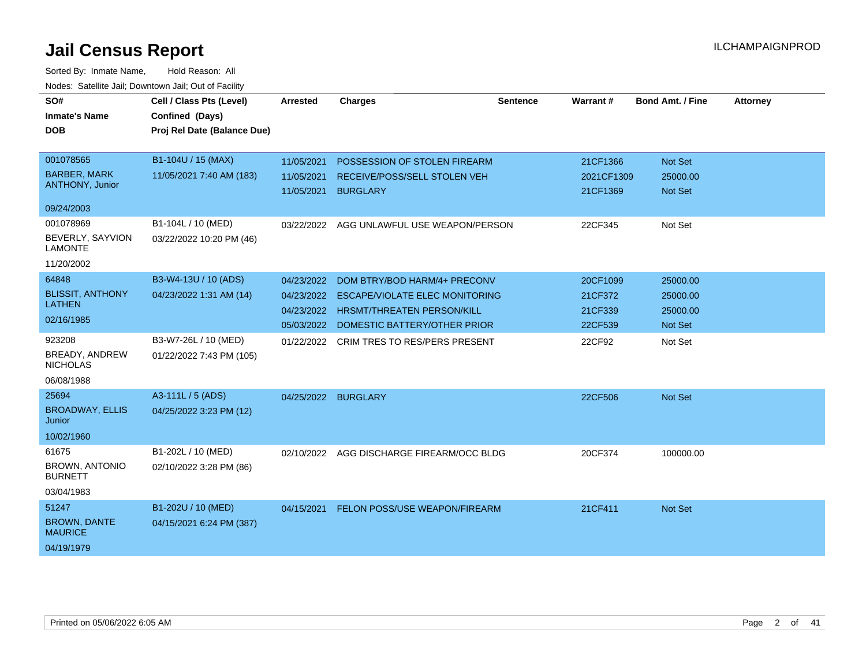| SO#<br><b>Inmate's Name</b><br><b>DOB</b>                       | Cell / Class Pts (Level)<br>Confined (Days)<br>Proj Rel Date (Balance Due) | <b>Arrested</b>                        | <b>Charges</b>                                                                                                                                        | <b>Sentence</b> | Warrant#                                  | <b>Bond Amt. / Fine</b>                     | <b>Attorney</b> |
|-----------------------------------------------------------------|----------------------------------------------------------------------------|----------------------------------------|-------------------------------------------------------------------------------------------------------------------------------------------------------|-----------------|-------------------------------------------|---------------------------------------------|-----------------|
| 001078565                                                       | B1-104U / 15 (MAX)                                                         | 11/05/2021                             | POSSESSION OF STOLEN FIREARM                                                                                                                          |                 | 21CF1366                                  | Not Set                                     |                 |
| <b>BARBER, MARK</b><br>ANTHONY, Junior                          | 11/05/2021 7:40 AM (183)                                                   | 11/05/2021<br>11/05/2021               | RECEIVE/POSS/SELL STOLEN VEH<br><b>BURGLARY</b>                                                                                                       |                 | 2021CF1309<br>21CF1369                    | 25000.00<br>Not Set                         |                 |
| 09/24/2003                                                      |                                                                            |                                        |                                                                                                                                                       |                 |                                           |                                             |                 |
| 001078969<br>BEVERLY, SAYVION<br><b>LAMONTE</b><br>11/20/2002   | B1-104L / 10 (MED)<br>03/22/2022 10:20 PM (46)                             |                                        | 03/22/2022 AGG UNLAWFUL USE WEAPON/PERSON                                                                                                             |                 | 22CF345                                   | Not Set                                     |                 |
| 64848<br><b>BLISSIT, ANTHONY</b><br><b>LATHEN</b><br>02/16/1985 | B3-W4-13U / 10 (ADS)<br>04/23/2022 1:31 AM (14)                            | 04/23/2022<br>04/23/2022<br>04/23/2022 | DOM BTRY/BOD HARM/4+ PRECONV<br><b>ESCAPE/VIOLATE ELEC MONITORING</b><br><b>HRSMT/THREATEN PERSON/KILL</b><br>05/03/2022 DOMESTIC BATTERY/OTHER PRIOR |                 | 20CF1099<br>21CF372<br>21CF339<br>22CF539 | 25000.00<br>25000.00<br>25000.00<br>Not Set |                 |
| 923208<br>BREADY, ANDREW<br><b>NICHOLAS</b><br>06/08/1988       | B3-W7-26L / 10 (MED)<br>01/22/2022 7:43 PM (105)                           |                                        | 01/22/2022 CRIM TRES TO RES/PERS PRESENT                                                                                                              |                 | 22CF92                                    | Not Set                                     |                 |
| 25694<br><b>BROADWAY, ELLIS</b><br>Junior<br>10/02/1960         | A3-111L / 5 (ADS)<br>04/25/2022 3:23 PM (12)                               |                                        | 04/25/2022 BURGLARY                                                                                                                                   |                 | 22CF506                                   | Not Set                                     |                 |
| 61675<br><b>BROWN, ANTONIO</b><br><b>BURNETT</b><br>03/04/1983  | B1-202L / 10 (MED)<br>02/10/2022 3:28 PM (86)                              | 02/10/2022                             | AGG DISCHARGE FIREARM/OCC BLDG                                                                                                                        |                 | 20CF374                                   | 100000.00                                   |                 |
| 51247<br><b>BROWN, DANTE</b><br><b>MAURICE</b><br>04/19/1979    | B1-202U / 10 (MED)<br>04/15/2021 6:24 PM (387)                             | 04/15/2021                             | FELON POSS/USE WEAPON/FIREARM                                                                                                                         |                 | 21CF411                                   | Not Set                                     |                 |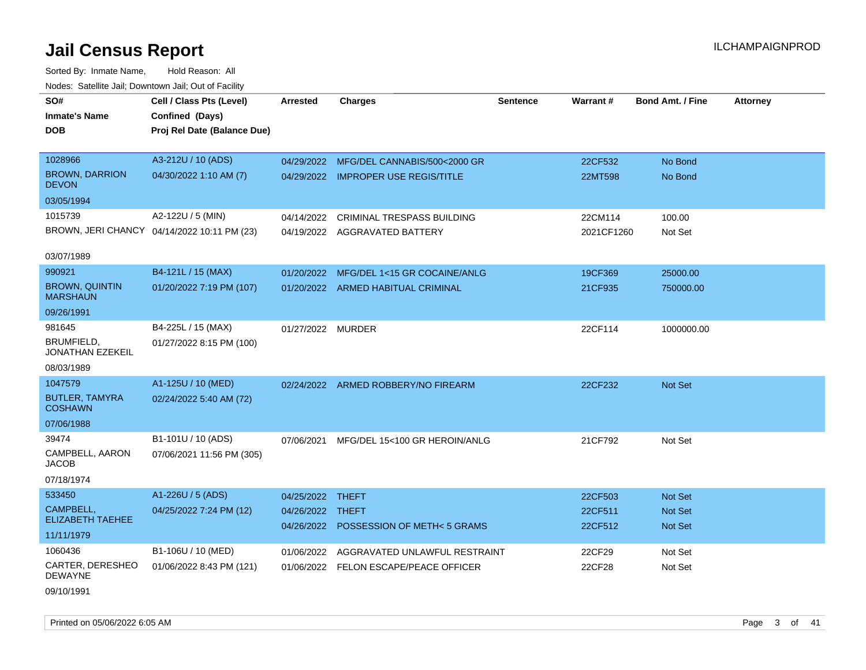Sorted By: Inmate Name, Hold Reason: All Nodes: Satellite Jail; Downtown Jail; Out of Facility

| roaco. Calcinio dan, Downtown dan, Cal or Fability |                                             |                   |                                        |                 |            |                         |                 |
|----------------------------------------------------|---------------------------------------------|-------------------|----------------------------------------|-----------------|------------|-------------------------|-----------------|
| SO#                                                | Cell / Class Pts (Level)                    | Arrested          | <b>Charges</b>                         | <b>Sentence</b> | Warrant#   | <b>Bond Amt. / Fine</b> | <b>Attorney</b> |
| <b>Inmate's Name</b>                               | Confined (Days)                             |                   |                                        |                 |            |                         |                 |
| DOB                                                | Proj Rel Date (Balance Due)                 |                   |                                        |                 |            |                         |                 |
|                                                    |                                             |                   |                                        |                 |            |                         |                 |
| 1028966                                            | A3-212U / 10 (ADS)                          | 04/29/2022        | MFG/DEL CANNABIS/500<2000 GR           |                 | 22CF532    | No Bond                 |                 |
| <b>BROWN, DARRION</b><br><b>DEVON</b>              | 04/30/2022 1:10 AM (7)                      |                   | 04/29/2022 IMPROPER USE REGIS/TITLE    |                 | 22MT598    | No Bond                 |                 |
| 03/05/1994                                         |                                             |                   |                                        |                 |            |                         |                 |
| 1015739                                            | A2-122U / 5 (MIN)                           | 04/14/2022        | CRIMINAL TRESPASS BUILDING             |                 | 22CM114    | 100.00                  |                 |
|                                                    | BROWN, JERI CHANCY 04/14/2022 10:11 PM (23) |                   | 04/19/2022 AGGRAVATED BATTERY          |                 | 2021CF1260 | Not Set                 |                 |
|                                                    |                                             |                   |                                        |                 |            |                         |                 |
| 03/07/1989                                         |                                             |                   |                                        |                 |            |                         |                 |
| 990921                                             | B4-121L / 15 (MAX)                          | 01/20/2022        | MFG/DEL 1<15 GR COCAINE/ANLG           |                 | 19CF369    | 25000.00                |                 |
| <b>BROWN, QUINTIN</b><br><b>MARSHAUN</b>           | 01/20/2022 7:19 PM (107)                    |                   | 01/20/2022 ARMED HABITUAL CRIMINAL     |                 | 21CF935    | 750000.00               |                 |
| 09/26/1991                                         |                                             |                   |                                        |                 |            |                         |                 |
| 981645                                             | B4-225L / 15 (MAX)                          | 01/27/2022 MURDER |                                        |                 | 22CF114    | 1000000.00              |                 |
| BRUMFIELD,<br>JONATHAN EZEKEIL                     | 01/27/2022 8:15 PM (100)                    |                   |                                        |                 |            |                         |                 |
| 08/03/1989                                         |                                             |                   |                                        |                 |            |                         |                 |
| 1047579                                            | A1-125U / 10 (MED)                          |                   | 02/24/2022 ARMED ROBBERY/NO FIREARM    |                 | 22CF232    | <b>Not Set</b>          |                 |
| <b>BUTLER, TAMYRA</b><br><b>COSHAWN</b>            | 02/24/2022 5:40 AM (72)                     |                   |                                        |                 |            |                         |                 |
| 07/06/1988                                         |                                             |                   |                                        |                 |            |                         |                 |
| 39474                                              | B1-101U / 10 (ADS)                          | 07/06/2021        | MFG/DEL 15<100 GR HEROIN/ANLG          |                 | 21CF792    | Not Set                 |                 |
| CAMPBELL, AARON<br><b>JACOB</b>                    | 07/06/2021 11:56 PM (305)                   |                   |                                        |                 |            |                         |                 |
| 07/18/1974                                         |                                             |                   |                                        |                 |            |                         |                 |
| 533450                                             | A1-226U / 5 (ADS)                           | 04/25/2022 THEFT  |                                        |                 | 22CF503    | Not Set                 |                 |
| CAMPBELL,                                          | 04/25/2022 7:24 PM (12)                     | 04/26/2022 THEFT  |                                        |                 | 22CF511    | <b>Not Set</b>          |                 |
| <b>ELIZABETH TAEHEE</b>                            |                                             |                   | 04/26/2022 POSSESSION OF METH< 5 GRAMS |                 | 22CF512    | Not Set                 |                 |
| 11/11/1979                                         |                                             |                   |                                        |                 |            |                         |                 |
| 1060436                                            | B1-106U / 10 (MED)                          | 01/06/2022        | AGGRAVATED UNLAWFUL RESTRAINT          |                 | 22CF29     | Not Set                 |                 |
| CARTER, DERESHEO<br><b>DEWAYNE</b>                 | 01/06/2022 8:43 PM (121)                    | 01/06/2022        | FELON ESCAPE/PEACE OFFICER             |                 | 22CF28     | Not Set                 |                 |

09/10/1991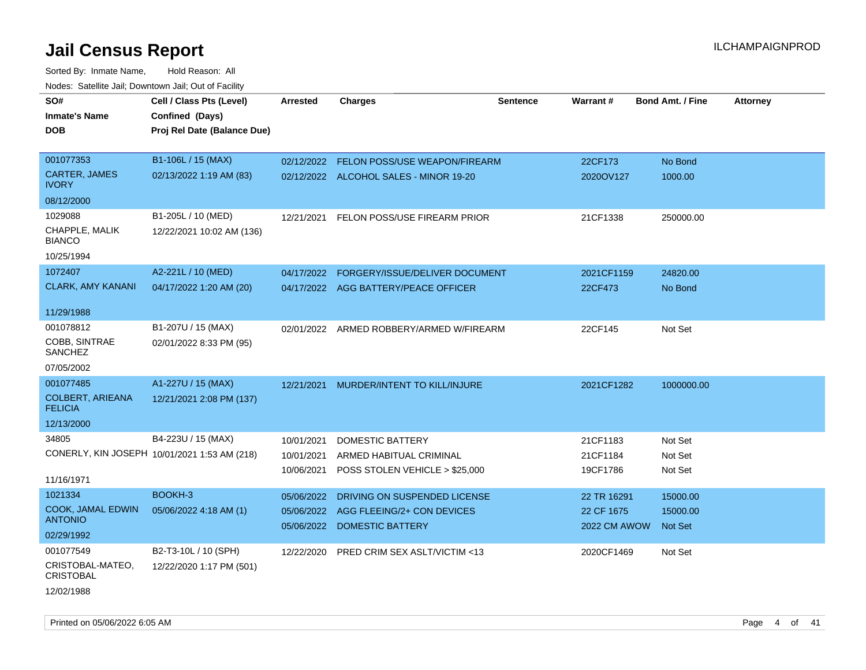| SO#                                       | Cell / Class Pts (Level)                     | <b>Arrested</b> | <b>Charges</b>                           | <b>Sentence</b> | Warrant#     | <b>Bond Amt. / Fine</b> | <b>Attorney</b> |
|-------------------------------------------|----------------------------------------------|-----------------|------------------------------------------|-----------------|--------------|-------------------------|-----------------|
| <b>Inmate's Name</b>                      | Confined (Days)                              |                 |                                          |                 |              |                         |                 |
| <b>DOB</b>                                | Proj Rel Date (Balance Due)                  |                 |                                          |                 |              |                         |                 |
|                                           |                                              |                 |                                          |                 |              |                         |                 |
| 001077353                                 | B1-106L / 15 (MAX)                           |                 | 02/12/2022 FELON POSS/USE WEAPON/FIREARM |                 | 22CF173      | No Bond                 |                 |
| <b>CARTER, JAMES</b><br><b>IVORY</b>      | 02/13/2022 1:19 AM (83)                      |                 | 02/12/2022 ALCOHOL SALES - MINOR 19-20   |                 | 2020OV127    | 1000.00                 |                 |
| 08/12/2000                                |                                              |                 |                                          |                 |              |                         |                 |
| 1029088                                   | B1-205L / 10 (MED)                           | 12/21/2021      | FELON POSS/USE FIREARM PRIOR             |                 | 21CF1338     | 250000.00               |                 |
| CHAPPLE, MALIK<br><b>BIANCO</b>           | 12/22/2021 10:02 AM (136)                    |                 |                                          |                 |              |                         |                 |
| 10/25/1994                                |                                              |                 |                                          |                 |              |                         |                 |
| 1072407                                   | A2-221L / 10 (MED)                           | 04/17/2022      | FORGERY/ISSUE/DELIVER DOCUMENT           |                 | 2021CF1159   | 24820.00                |                 |
| <b>CLARK, AMY KANANI</b>                  | 04/17/2022 1:20 AM (20)                      |                 | 04/17/2022 AGG BATTERY/PEACE OFFICER     |                 | 22CF473      | No Bond                 |                 |
|                                           |                                              |                 |                                          |                 |              |                         |                 |
| 11/29/1988                                |                                              |                 |                                          |                 |              |                         |                 |
| 001078812                                 | B1-207U / 15 (MAX)                           |                 | 02/01/2022 ARMED ROBBERY/ARMED W/FIREARM |                 | 22CF145      | Not Set                 |                 |
| <b>COBB, SINTRAE</b><br>SANCHEZ           | 02/01/2022 8:33 PM (95)                      |                 |                                          |                 |              |                         |                 |
| 07/05/2002                                |                                              |                 |                                          |                 |              |                         |                 |
| 001077485                                 | A1-227U / 15 (MAX)                           | 12/21/2021      | MURDER/INTENT TO KILL/INJURE             |                 | 2021CF1282   | 1000000.00              |                 |
| <b>COLBERT, ARIEANA</b><br><b>FELICIA</b> | 12/21/2021 2:08 PM (137)                     |                 |                                          |                 |              |                         |                 |
| 12/13/2000                                |                                              |                 |                                          |                 |              |                         |                 |
| 34805                                     | B4-223U / 15 (MAX)                           | 10/01/2021      | DOMESTIC BATTERY                         |                 | 21CF1183     | Not Set                 |                 |
|                                           | CONERLY, KIN JOSEPH 10/01/2021 1:53 AM (218) | 10/01/2021      | ARMED HABITUAL CRIMINAL                  |                 | 21CF1184     | Not Set                 |                 |
|                                           |                                              | 10/06/2021      | POSS STOLEN VEHICLE > \$25,000           |                 | 19CF1786     | Not Set                 |                 |
| 11/16/1971                                |                                              |                 |                                          |                 |              |                         |                 |
| 1021334                                   | BOOKH-3                                      | 05/06/2022      | DRIVING ON SUSPENDED LICENSE             |                 | 22 TR 16291  | 15000.00                |                 |
| <b>COOK, JAMAL EDWIN</b>                  | 05/06/2022 4:18 AM (1)                       | 05/06/2022      | AGG FLEEING/2+ CON DEVICES               |                 | 22 CF 1675   | 15000.00                |                 |
| <b>ANTONIO</b>                            |                                              | 05/06/2022      | <b>DOMESTIC BATTERY</b>                  |                 | 2022 CM AWOW | Not Set                 |                 |
| 02/29/1992                                |                                              |                 |                                          |                 |              |                         |                 |
| 001077549                                 | B2-T3-10L / 10 (SPH)                         | 12/22/2020      | PRED CRIM SEX ASLT/VICTIM <13            |                 | 2020CF1469   | Not Set                 |                 |
| CRISTOBAL-MATEO,<br><b>CRISTOBAL</b>      | 12/22/2020 1:17 PM (501)                     |                 |                                          |                 |              |                         |                 |
| 12/02/1988                                |                                              |                 |                                          |                 |              |                         |                 |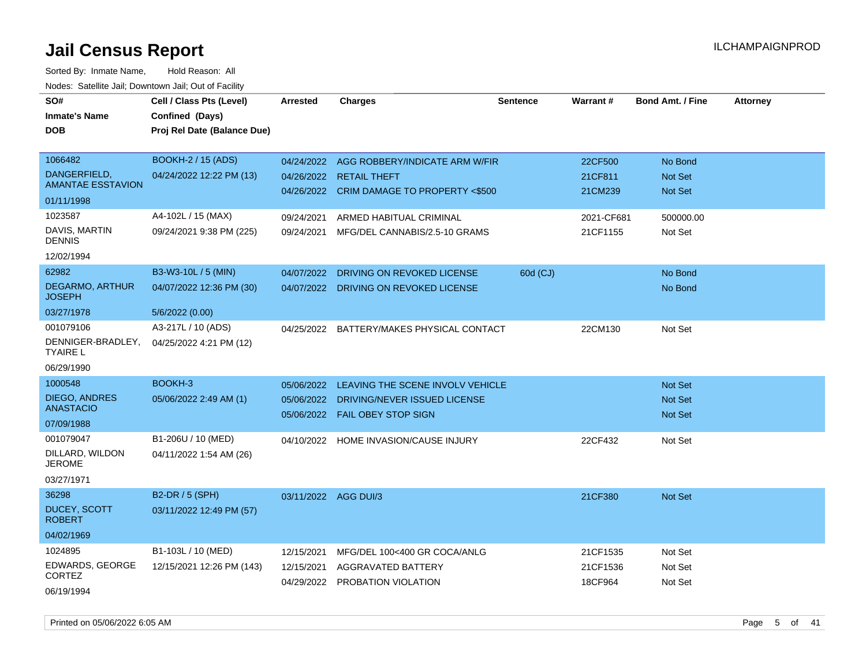Sorted By: Inmate Name, Hold Reason: All Nodes: Satellite Jail; Downtown Jail; Out of Facility

| SO#<br><b>Inmate's Name</b><br><b>DOB</b>                                                                                        | Cell / Class Pts (Level)<br>Confined (Days)<br>Proj Rel Date (Balance Due)         | <b>Arrested</b>                        | <b>Charges</b>                                                                                                                              | <b>Sentence</b> | <b>Warrant#</b>                 | <b>Bond Amt. / Fine</b>                                | <b>Attorney</b> |
|----------------------------------------------------------------------------------------------------------------------------------|------------------------------------------------------------------------------------|----------------------------------------|---------------------------------------------------------------------------------------------------------------------------------------------|-----------------|---------------------------------|--------------------------------------------------------|-----------------|
| 1066482<br>DANGERFIELD,<br><b>AMANTAE ESSTAVION</b><br>01/11/1998                                                                | <b>BOOKH-2 / 15 (ADS)</b><br>04/24/2022 12:22 PM (13)                              | 04/24/2022<br>04/26/2022<br>04/26/2022 | AGG ROBBERY/INDICATE ARM W/FIR<br><b>RETAIL THEFT</b><br>CRIM DAMAGE TO PROPERTY <\$500                                                     |                 | 22CF500<br>21CF811<br>21CM239   | No Bond<br><b>Not Set</b><br>Not Set                   |                 |
| 1023587<br>DAVIS, MARTIN<br><b>DENNIS</b><br>12/02/1994                                                                          | A4-102L / 15 (MAX)<br>09/24/2021 9:38 PM (225)                                     | 09/24/2021<br>09/24/2021               | ARMED HABITUAL CRIMINAL<br>MFG/DEL CANNABIS/2.5-10 GRAMS                                                                                    |                 | 2021-CF681<br>21CF1155          | 500000.00<br>Not Set                                   |                 |
| 62982<br><b>DEGARMO, ARTHUR</b><br><b>JOSEPH</b><br>03/27/1978                                                                   | B3-W3-10L / 5 (MIN)<br>04/07/2022 12:36 PM (30)<br>5/6/2022 (0.00)                 | 04/07/2022                             | DRIVING ON REVOKED LICENSE<br>04/07/2022 DRIVING ON REVOKED LICENSE                                                                         | 60d (CJ)        |                                 | No Bond<br>No Bond                                     |                 |
| 001079106<br>DENNIGER-BRADLEY,<br><b>TYAIRE L</b><br>06/29/1990                                                                  | A3-217L / 10 (ADS)<br>04/25/2022 4:21 PM (12)                                      | 04/25/2022                             | BATTERY/MAKES PHYSICAL CONTACT                                                                                                              |                 | 22CM130                         | Not Set                                                |                 |
| 1000548<br><b>DIEGO, ANDRES</b><br><b>ANASTACIO</b><br>07/09/1988<br>001079047<br>DILLARD, WILDON<br><b>JEROME</b><br>03/27/1971 | BOOKH-3<br>05/06/2022 2:49 AM (1)<br>B1-206U / 10 (MED)<br>04/11/2022 1:54 AM (26) | 05/06/2022<br>05/06/2022               | LEAVING THE SCENE INVOLV VEHICLE<br>DRIVING/NEVER ISSUED LICENSE<br>05/06/2022 FAIL OBEY STOP SIGN<br>04/10/2022 HOME INVASION/CAUSE INJURY |                 | 22CF432                         | <b>Not Set</b><br><b>Not Set</b><br>Not Set<br>Not Set |                 |
| 36298<br>DUCEY, SCOTT<br><b>ROBERT</b><br>04/02/1969                                                                             | B2-DR / 5 (SPH)<br>03/11/2022 12:49 PM (57)                                        | 03/11/2022 AGG DUI/3                   |                                                                                                                                             |                 | 21CF380                         | <b>Not Set</b>                                         |                 |
| 1024895<br>EDWARDS, GEORGE<br>CORTEZ<br>06/19/1994                                                                               | B1-103L / 10 (MED)<br>12/15/2021 12:26 PM (143)                                    | 12/15/2021<br>12/15/2021<br>04/29/2022 | MFG/DEL 100<400 GR COCA/ANLG<br>AGGRAVATED BATTERY<br>PROBATION VIOLATION                                                                   |                 | 21CF1535<br>21CF1536<br>18CF964 | Not Set<br>Not Set<br>Not Set                          |                 |

Printed on 05/06/2022 6:05 AM Page 5 of 41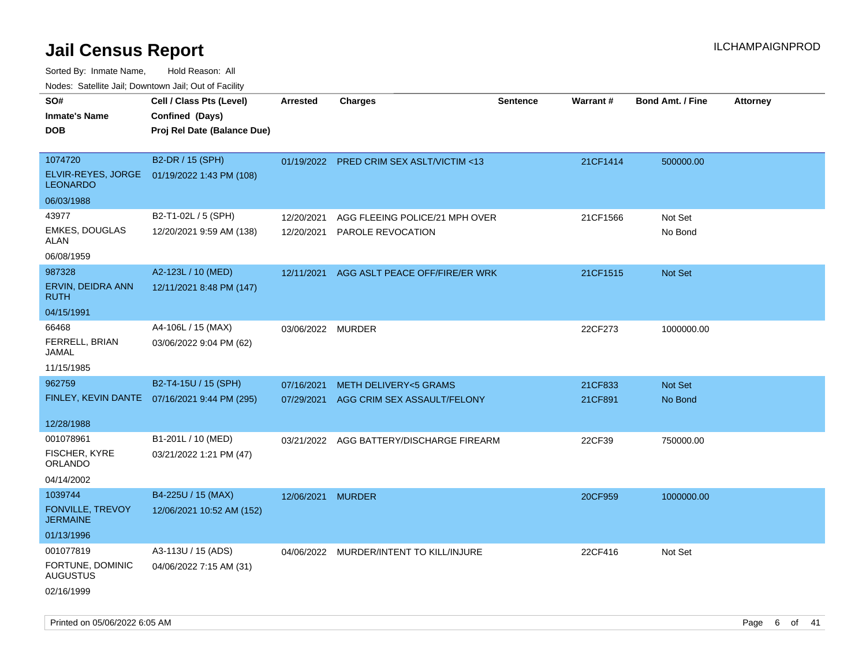Sorted By: Inmate Name, Hold Reason: All

Nodes: Satellite Jail; Downtown Jail; Out of Facility

| SO#<br><b>Inmate's Name</b><br><b>DOB</b>                      | Cell / Class Pts (Level)<br>Confined (Days)<br>Proj Rel Date (Balance Due) | <b>Arrested</b>   | <b>Charges</b>                                                            | <b>Sentence</b> | <b>Warrant#</b>    | <b>Bond Amt. / Fine</b> | <b>Attorney</b> |
|----------------------------------------------------------------|----------------------------------------------------------------------------|-------------------|---------------------------------------------------------------------------|-----------------|--------------------|-------------------------|-----------------|
| 1074720<br>ELVIR-REYES, JORGE<br><b>LEONARDO</b><br>06/03/1988 | B2-DR / 15 (SPH)<br>01/19/2022 1:43 PM (108)                               |                   | 01/19/2022 PRED CRIM SEX ASLT/VICTIM <13                                  |                 | 21CF1414           | 500000.00               |                 |
| 43977<br><b>EMKES, DOUGLAS</b><br><b>ALAN</b><br>06/08/1959    | B2-T1-02L / 5 (SPH)<br>12/20/2021 9:59 AM (138)                            | 12/20/2021        | AGG FLEEING POLICE/21 MPH OVER<br>12/20/2021 PAROLE REVOCATION            |                 | 21CF1566           | Not Set<br>No Bond      |                 |
| 987328<br>ERVIN, DEIDRA ANN<br><b>RUTH</b><br>04/15/1991       | A2-123L / 10 (MED)<br>12/11/2021 8:48 PM (147)                             |                   | 12/11/2021 AGG ASLT PEACE OFF/FIRE/ER WRK                                 |                 | 21CF1515           | Not Set                 |                 |
| 66468<br>FERRELL, BRIAN<br><b>JAMAL</b><br>11/15/1985          | A4-106L / 15 (MAX)<br>03/06/2022 9:04 PM (62)                              | 03/06/2022 MURDER |                                                                           |                 | 22CF273            | 1000000.00              |                 |
| 962759<br>12/28/1988                                           | B2-T4-15U / 15 (SPH)<br>FINLEY, KEVIN DANTE  07/16/2021 9:44 PM (295)      | 07/16/2021        | <b>METH DELIVERY&lt;5 GRAMS</b><br>07/29/2021 AGG CRIM SEX ASSAULT/FELONY |                 | 21CF833<br>21CF891 | Not Set<br>No Bond      |                 |
| 001078961<br>FISCHER, KYRE<br>ORLANDO<br>04/14/2002            | B1-201L / 10 (MED)<br>03/21/2022 1:21 PM (47)                              |                   | 03/21/2022 AGG BATTERY/DISCHARGE FIREARM                                  |                 | 22CF39             | 750000.00               |                 |
| 1039744<br>FONVILLE, TREVOY<br><b>JERMAINE</b><br>01/13/1996   | B4-225U / 15 (MAX)<br>12/06/2021 10:52 AM (152)                            | 12/06/2021 MURDER |                                                                           |                 | 20CF959            | 1000000.00              |                 |
| 001077819<br>FORTUNE, DOMINIC<br><b>AUGUSTUS</b><br>02/16/1999 | A3-113U / 15 (ADS)<br>04/06/2022 7:15 AM (31)                              |                   | 04/06/2022 MURDER/INTENT TO KILL/INJURE                                   |                 | 22CF416            | Not Set                 |                 |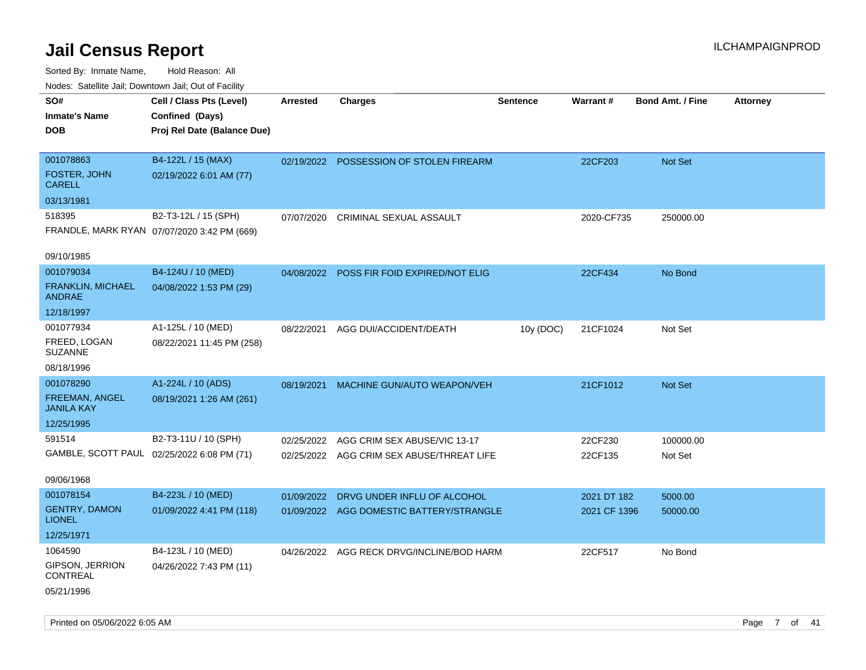| ivodes. Satellite Jali, Downtown Jali, Out of Facility |                                             |            |                                           |                 |                 |                         |                 |
|--------------------------------------------------------|---------------------------------------------|------------|-------------------------------------------|-----------------|-----------------|-------------------------|-----------------|
| SO#                                                    | Cell / Class Pts (Level)                    | Arrested   | <b>Charges</b>                            | <b>Sentence</b> | <b>Warrant#</b> | <b>Bond Amt. / Fine</b> | <b>Attorney</b> |
| <b>Inmate's Name</b>                                   | Confined (Days)                             |            |                                           |                 |                 |                         |                 |
| <b>DOB</b>                                             | Proj Rel Date (Balance Due)                 |            |                                           |                 |                 |                         |                 |
|                                                        |                                             |            |                                           |                 |                 |                         |                 |
| 001078863                                              | B4-122L / 15 (MAX)                          |            | 02/19/2022 POSSESSION OF STOLEN FIREARM   |                 | 22CF203         | Not Set                 |                 |
| FOSTER, JOHN<br><b>CARELL</b>                          | 02/19/2022 6:01 AM (77)                     |            |                                           |                 |                 |                         |                 |
| 03/13/1981                                             |                                             |            |                                           |                 |                 |                         |                 |
| 518395                                                 | B2-T3-12L / 15 (SPH)                        | 07/07/2020 | CRIMINAL SEXUAL ASSAULT                   |                 | 2020-CF735      | 250000.00               |                 |
|                                                        | FRANDLE, MARK RYAN 07/07/2020 3:42 PM (669) |            |                                           |                 |                 |                         |                 |
| 09/10/1985                                             |                                             |            |                                           |                 |                 |                         |                 |
| 001079034                                              | B4-124U / 10 (MED)                          | 04/08/2022 | POSS FIR FOID EXPIRED/NOT ELIG            |                 | 22CF434         | No Bond                 |                 |
| <b>FRANKLIN, MICHAEL</b><br><b>ANDRAE</b>              | 04/08/2022 1:53 PM (29)                     |            |                                           |                 |                 |                         |                 |
| 12/18/1997                                             |                                             |            |                                           |                 |                 |                         |                 |
| 001077934                                              | A1-125L / 10 (MED)                          | 08/22/2021 | AGG DUI/ACCIDENT/DEATH                    | 10y (DOC)       | 21CF1024        | Not Set                 |                 |
| FREED, LOGAN<br><b>SUZANNE</b>                         | 08/22/2021 11:45 PM (258)                   |            |                                           |                 |                 |                         |                 |
| 08/18/1996                                             |                                             |            |                                           |                 |                 |                         |                 |
| 001078290                                              | A1-224L / 10 (ADS)                          | 08/19/2021 | MACHINE GUN/AUTO WEAPON/VEH               |                 | 21CF1012        | <b>Not Set</b>          |                 |
| FREEMAN, ANGEL<br><b>JANILA KAY</b>                    | 08/19/2021 1:26 AM (261)                    |            |                                           |                 |                 |                         |                 |
| 12/25/1995                                             |                                             |            |                                           |                 |                 |                         |                 |
| 591514                                                 | B2-T3-11U / 10 (SPH)                        | 02/25/2022 | AGG CRIM SEX ABUSE/VIC 13-17              |                 | 22CF230         | 100000.00               |                 |
|                                                        | GAMBLE, SCOTT PAUL 02/25/2022 6:08 PM (71)  |            | 02/25/2022 AGG CRIM SEX ABUSE/THREAT LIFE |                 | 22CF135         | Not Set                 |                 |
|                                                        |                                             |            |                                           |                 |                 |                         |                 |
| 09/06/1968                                             |                                             |            |                                           |                 |                 |                         |                 |
| 001078154                                              | B4-223L / 10 (MED)                          | 01/09/2022 | DRVG UNDER INFLU OF ALCOHOL               |                 | 2021 DT 182     | 5000.00                 |                 |
| <b>GENTRY, DAMON</b><br><b>LIONEL</b>                  | 01/09/2022 4:41 PM (118)                    | 01/09/2022 | AGG DOMESTIC BATTERY/STRANGLE             |                 | 2021 CF 1396    | 50000.00                |                 |
| 12/25/1971                                             |                                             |            |                                           |                 |                 |                         |                 |
| 1064590                                                | B4-123L / 10 (MED)                          |            | 04/26/2022 AGG RECK DRVG/INCLINE/BOD HARM |                 | 22CF517         | No Bond                 |                 |
| GIPSON, JERRION<br>CONTREAL                            | 04/26/2022 7:43 PM (11)                     |            |                                           |                 |                 |                         |                 |
| 05/21/1996                                             |                                             |            |                                           |                 |                 |                         |                 |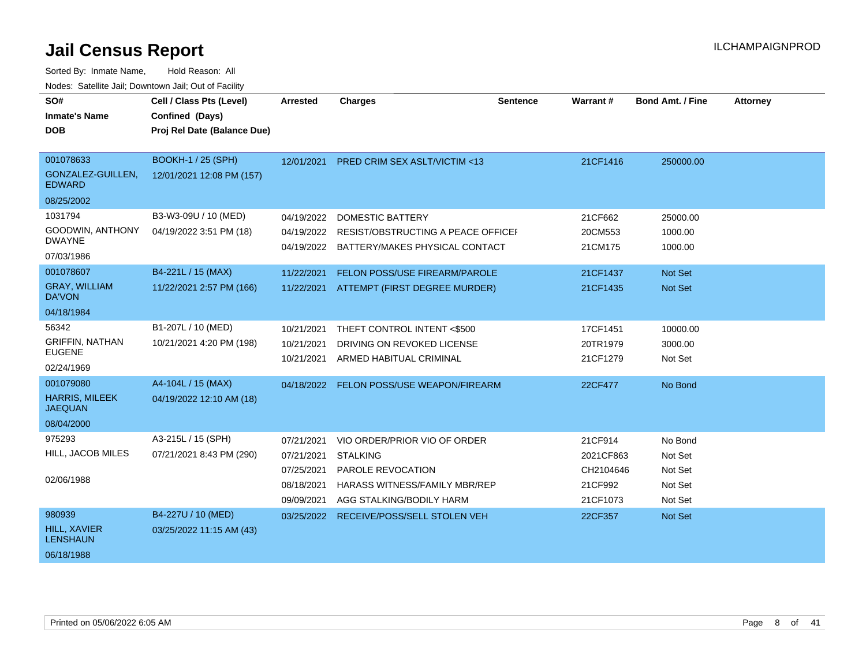| SO#<br><b>Inmate's Name</b><br><b>DOB</b>                          | Cell / Class Pts (Level)<br>Confined (Days)<br>Proj Rel Date (Balance Due) | Arrested                                                           | <b>Charges</b>                                                                                                                           | <b>Sentence</b> | <b>Warrant#</b>                                          | <b>Bond Amt. / Fine</b>                             | <b>Attorney</b> |
|--------------------------------------------------------------------|----------------------------------------------------------------------------|--------------------------------------------------------------------|------------------------------------------------------------------------------------------------------------------------------------------|-----------------|----------------------------------------------------------|-----------------------------------------------------|-----------------|
| 001078633<br>GONZALEZ-GUILLEN,<br><b>EDWARD</b><br>08/25/2002      | <b>BOOKH-1 / 25 (SPH)</b><br>12/01/2021 12:08 PM (157)                     | 12/01/2021                                                         | <b>PRED CRIM SEX ASLT/VICTIM &lt;13</b>                                                                                                  |                 | 21CF1416                                                 | 250000.00                                           |                 |
| 1031794<br>GOODWIN, ANTHONY<br><b>DWAYNE</b><br>07/03/1986         | B3-W3-09U / 10 (MED)<br>04/19/2022 3:51 PM (18)                            | 04/19/2022<br>04/19/2022                                           | <b>DOMESTIC BATTERY</b><br>RESIST/OBSTRUCTING A PEACE OFFICEI<br>04/19/2022 BATTERY/MAKES PHYSICAL CONTACT                               |                 | 21CF662<br>20CM553<br>21CM175                            | 25000.00<br>1000.00<br>1000.00                      |                 |
| 001078607<br><b>GRAY, WILLIAM</b><br>DA'VON<br>04/18/1984          | B4-221L / 15 (MAX)<br>11/22/2021 2:57 PM (166)                             | 11/22/2021                                                         | FELON POSS/USE FIREARM/PAROLE<br>11/22/2021 ATTEMPT (FIRST DEGREE MURDER)                                                                |                 | 21CF1437<br>21CF1435                                     | <b>Not Set</b><br>Not Set                           |                 |
| 56342<br><b>GRIFFIN, NATHAN</b><br><b>EUGENE</b><br>02/24/1969     | B1-207L / 10 (MED)<br>10/21/2021 4:20 PM (198)                             | 10/21/2021<br>10/21/2021<br>10/21/2021                             | THEFT CONTROL INTENT <\$500<br>DRIVING ON REVOKED LICENSE<br>ARMED HABITUAL CRIMINAL                                                     |                 | 17CF1451<br>20TR1979<br>21CF1279                         | 10000.00<br>3000.00<br>Not Set                      |                 |
| 001079080<br><b>HARRIS, MILEEK</b><br><b>JAEQUAN</b><br>08/04/2000 | A4-104L / 15 (MAX)<br>04/19/2022 12:10 AM (18)                             | 04/18/2022                                                         | FELON POSS/USE WEAPON/FIREARM                                                                                                            |                 | 22CF477                                                  | No Bond                                             |                 |
| 975293<br>HILL, JACOB MILES<br>02/06/1988                          | A3-215L / 15 (SPH)<br>07/21/2021 8:43 PM (290)                             | 07/21/2021<br>07/21/2021<br>07/25/2021<br>08/18/2021<br>09/09/2021 | VIO ORDER/PRIOR VIO OF ORDER<br><b>STALKING</b><br>PAROLE REVOCATION<br><b>HARASS WITNESS/FAMILY MBR/REP</b><br>AGG STALKING/BODILY HARM |                 | 21CF914<br>2021CF863<br>CH2104646<br>21CF992<br>21CF1073 | No Bond<br>Not Set<br>Not Set<br>Not Set<br>Not Set |                 |
| 980939<br><b>HILL, XAVIER</b><br><b>LENSHAUN</b><br>06/18/1988     | B4-227U / 10 (MED)<br>03/25/2022 11:15 AM (43)                             | 03/25/2022                                                         | RECEIVE/POSS/SELL STOLEN VEH                                                                                                             |                 | 22CF357                                                  | <b>Not Set</b>                                      |                 |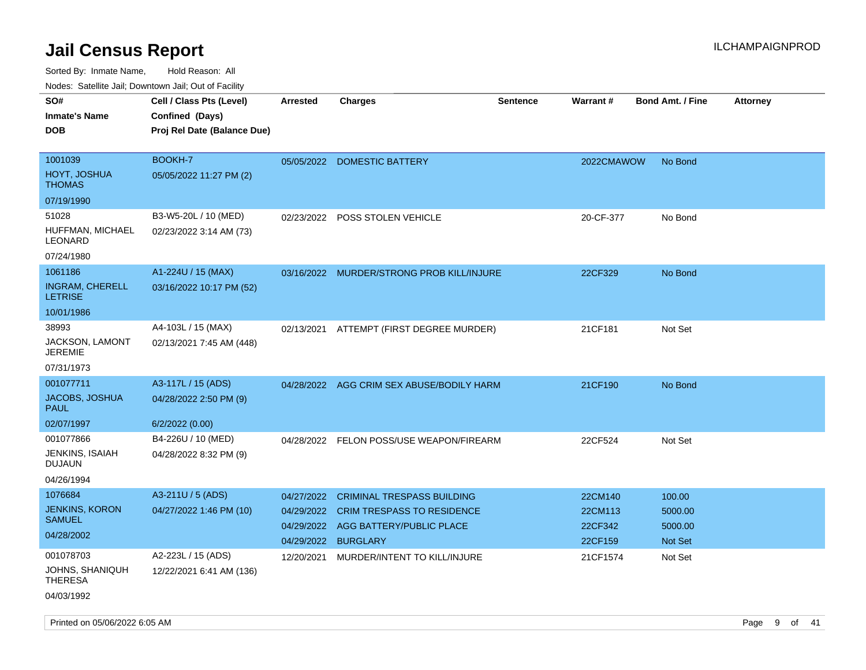| SO#                                      | Cell / Class Pts (Level)    | <b>Arrested</b> | <b>Charges</b>                            | <b>Sentence</b> | <b>Warrant#</b> | <b>Bond Amt. / Fine</b> | <b>Attorney</b> |
|------------------------------------------|-----------------------------|-----------------|-------------------------------------------|-----------------|-----------------|-------------------------|-----------------|
| <b>Inmate's Name</b>                     | Confined (Days)             |                 |                                           |                 |                 |                         |                 |
| <b>DOB</b>                               | Proj Rel Date (Balance Due) |                 |                                           |                 |                 |                         |                 |
|                                          |                             |                 |                                           |                 |                 |                         |                 |
| 1001039                                  | BOOKH-7                     | 05/05/2022      | <b>DOMESTIC BATTERY</b>                   |                 | 2022CMAWOW      | No Bond                 |                 |
| HOYT, JOSHUA<br><b>THOMAS</b>            | 05/05/2022 11:27 PM (2)     |                 |                                           |                 |                 |                         |                 |
| 07/19/1990                               |                             |                 |                                           |                 |                 |                         |                 |
| 51028                                    | B3-W5-20L / 10 (MED)        | 02/23/2022      | POSS STOLEN VEHICLE                       |                 | 20-CF-377       | No Bond                 |                 |
| HUFFMAN, MICHAEL<br>LEONARD              | 02/23/2022 3:14 AM (73)     |                 |                                           |                 |                 |                         |                 |
| 07/24/1980                               |                             |                 |                                           |                 |                 |                         |                 |
| 1061186                                  | A1-224U / 15 (MAX)          | 03/16/2022      | MURDER/STRONG PROB KILL/INJURE            |                 | 22CF329         | No Bond                 |                 |
| <b>INGRAM, CHERELL</b><br><b>LETRISE</b> | 03/16/2022 10:17 PM (52)    |                 |                                           |                 |                 |                         |                 |
| 10/01/1986                               |                             |                 |                                           |                 |                 |                         |                 |
| 38993                                    | A4-103L / 15 (MAX)          |                 | 02/13/2021 ATTEMPT (FIRST DEGREE MURDER)  |                 | 21CF181         | Not Set                 |                 |
| JACKSON, LAMONT<br>JEREMIE               | 02/13/2021 7:45 AM (448)    |                 |                                           |                 |                 |                         |                 |
| 07/31/1973                               |                             |                 |                                           |                 |                 |                         |                 |
| 001077711                                | A3-117L / 15 (ADS)          |                 | 04/28/2022 AGG CRIM SEX ABUSE/BODILY HARM |                 | 21CF190         | No Bond                 |                 |
| <b>JACOBS, JOSHUA</b><br><b>PAUL</b>     | 04/28/2022 2:50 PM (9)      |                 |                                           |                 |                 |                         |                 |
| 02/07/1997                               | 6/2/2022 (0.00)             |                 |                                           |                 |                 |                         |                 |
| 001077866                                | B4-226U / 10 (MED)          | 04/28/2022      | FELON POSS/USE WEAPON/FIREARM             |                 | 22CF524         | Not Set                 |                 |
| JENKINS, ISAIAH<br>DUJAUN                | 04/28/2022 8:32 PM (9)      |                 |                                           |                 |                 |                         |                 |
| 04/26/1994                               |                             |                 |                                           |                 |                 |                         |                 |
| 1076684                                  | A3-211U / 5 (ADS)           | 04/27/2022      | <b>CRIMINAL TRESPASS BUILDING</b>         |                 | 22CM140         | 100.00                  |                 |
| <b>JENKINS, KORON</b>                    | 04/27/2022 1:46 PM (10)     | 04/29/2022      | <b>CRIM TRESPASS TO RESIDENCE</b>         |                 | 22CM113         | 5000.00                 |                 |
| SAMUEL                                   |                             | 04/29/2022      | AGG BATTERY/PUBLIC PLACE                  |                 | 22CF342         | 5000.00                 |                 |
| 04/28/2002                               |                             | 04/29/2022      | <b>BURGLARY</b>                           |                 | 22CF159         | <b>Not Set</b>          |                 |
| 001078703                                | A2-223L / 15 (ADS)          | 12/20/2021      | MURDER/INTENT TO KILL/INJURE              |                 | 21CF1574        | Not Set                 |                 |
| JOHNS, SHANIQUH<br><b>THERESA</b>        | 12/22/2021 6:41 AM (136)    |                 |                                           |                 |                 |                         |                 |
| 04/03/1992                               |                             |                 |                                           |                 |                 |                         |                 |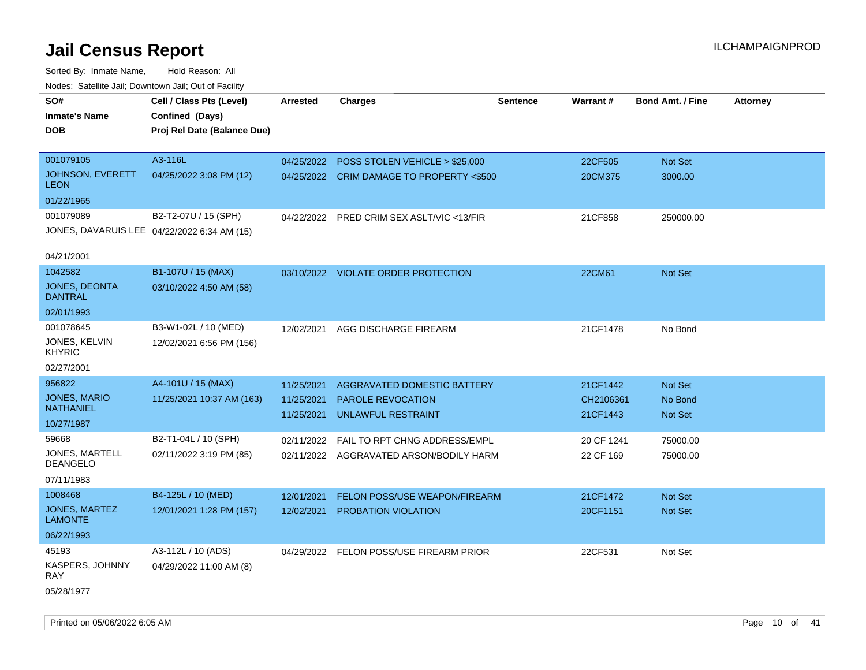Sorted By: Inmate Name, Hold Reason: All Nodes: Satellite Jail; Downtown Jail; Out of Facility

| SO#<br><b>Inmate's Name</b><br><b>DOB</b> | Cell / Class Pts (Level)<br>Confined (Days)<br>Proj Rel Date (Balance Due) | <b>Arrested</b> | <b>Charges</b>                            | <b>Sentence</b> | Warrant#   | <b>Bond Amt. / Fine</b> | <b>Attorney</b> |
|-------------------------------------------|----------------------------------------------------------------------------|-----------------|-------------------------------------------|-----------------|------------|-------------------------|-----------------|
| 001079105                                 | A3-116L                                                                    | 04/25/2022      | POSS STOLEN VEHICLE > \$25,000            |                 | 22CF505    | Not Set                 |                 |
| <b>JOHNSON, EVERETT</b><br><b>LEON</b>    | 04/25/2022 3:08 PM (12)                                                    |                 | 04/25/2022 CRIM DAMAGE TO PROPERTY <\$500 |                 | 20CM375    | 3000.00                 |                 |
| 01/22/1965                                |                                                                            |                 |                                           |                 |            |                         |                 |
| 001079089                                 | B2-T2-07U / 15 (SPH)                                                       |                 | 04/22/2022 PRED CRIM SEX ASLT/VIC <13/FIR |                 | 21CF858    | 250000.00               |                 |
|                                           | JONES, DAVARUIS LEE 04/22/2022 6:34 AM (15)                                |                 |                                           |                 |            |                         |                 |
| 04/21/2001                                |                                                                            |                 |                                           |                 |            |                         |                 |
| 1042582                                   | B1-107U / 15 (MAX)                                                         |                 | 03/10/2022 VIOLATE ORDER PROTECTION       |                 | 22CM61     | Not Set                 |                 |
| JONES, DEONTA<br>DANTRAL                  | 03/10/2022 4:50 AM (58)                                                    |                 |                                           |                 |            |                         |                 |
| 02/01/1993                                |                                                                            |                 |                                           |                 |            |                         |                 |
| 001078645                                 | B3-W1-02L / 10 (MED)                                                       | 12/02/2021      | AGG DISCHARGE FIREARM                     |                 | 21CF1478   | No Bond                 |                 |
| JONES, KELVIN<br><b>KHYRIC</b>            | 12/02/2021 6:56 PM (156)                                                   |                 |                                           |                 |            |                         |                 |
| 02/27/2001                                |                                                                            |                 |                                           |                 |            |                         |                 |
| 956822                                    | A4-101U / 15 (MAX)                                                         | 11/25/2021      | AGGRAVATED DOMESTIC BATTERY               |                 | 21CF1442   | Not Set                 |                 |
| <b>JONES, MARIO</b><br><b>NATHANIEL</b>   | 11/25/2021 10:37 AM (163)                                                  | 11/25/2021      | <b>PAROLE REVOCATION</b>                  |                 | CH2106361  | No Bond                 |                 |
| 10/27/1987                                |                                                                            | 11/25/2021      | <b>UNLAWFUL RESTRAINT</b>                 |                 | 21CF1443   | Not Set                 |                 |
| 59668                                     | B2-T1-04L / 10 (SPH)                                                       | 02/11/2022      | FAIL TO RPT CHNG ADDRESS/EMPL             |                 | 20 CF 1241 | 75000.00                |                 |
| JONES, MARTELL<br><b>DEANGELO</b>         | 02/11/2022 3:19 PM (85)                                                    |                 | 02/11/2022 AGGRAVATED ARSON/BODILY HARM   |                 | 22 CF 169  | 75000.00                |                 |
| 07/11/1983                                |                                                                            |                 |                                           |                 |            |                         |                 |
| 1008468                                   | B4-125L / 10 (MED)                                                         | 12/01/2021      | <b>FELON POSS/USE WEAPON/FIREARM</b>      |                 | 21CF1472   | Not Set                 |                 |
| <b>JONES, MARTEZ</b><br><b>LAMONTE</b>    | 12/01/2021 1:28 PM (157)                                                   | 12/02/2021      | PROBATION VIOLATION                       |                 | 20CF1151   | <b>Not Set</b>          |                 |
| 06/22/1993                                |                                                                            |                 |                                           |                 |            |                         |                 |
| 45193                                     | A3-112L / 10 (ADS)                                                         |                 | 04/29/2022 FELON POSS/USE FIREARM PRIOR   |                 | 22CF531    | Not Set                 |                 |
| KASPERS, JOHNNY<br>RAY                    | 04/29/2022 11:00 AM (8)                                                    |                 |                                           |                 |            |                         |                 |
| 05/28/1977                                |                                                                            |                 |                                           |                 |            |                         |                 |

Printed on 05/06/2022 6:05 AM Page 10 of 41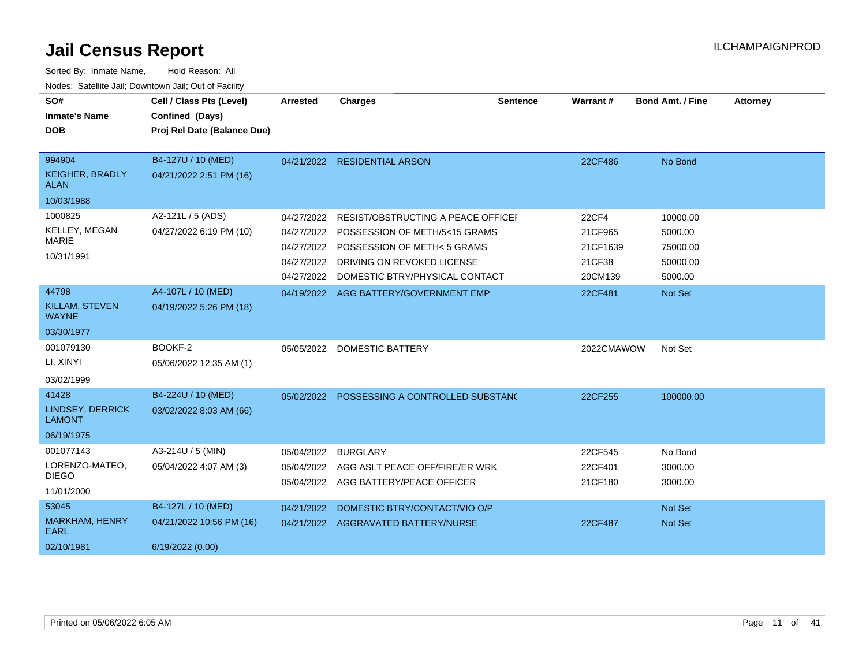| SO#<br><b>Inmate's Name</b><br><b>DOB</b>                     | Cell / Class Pts (Level)<br>Confined (Days)                        | Arrested                                             | <b>Charges</b>                                                                                                                                                                          | <b>Sentence</b> | Warrant#                                          | <b>Bond Amt. / Fine</b>                                | <b>Attorney</b> |
|---------------------------------------------------------------|--------------------------------------------------------------------|------------------------------------------------------|-----------------------------------------------------------------------------------------------------------------------------------------------------------------------------------------|-----------------|---------------------------------------------------|--------------------------------------------------------|-----------------|
|                                                               | Proj Rel Date (Balance Due)                                        |                                                      |                                                                                                                                                                                         |                 |                                                   |                                                        |                 |
| 994904<br><b>KEIGHER, BRADLY</b><br><b>ALAN</b><br>10/03/1988 | B4-127U / 10 (MED)<br>04/21/2022 2:51 PM (16)                      |                                                      | 04/21/2022 RESIDENTIAL ARSON                                                                                                                                                            |                 | 22CF486                                           | No Bond                                                |                 |
| 1000825<br>KELLEY, MEGAN<br><b>MARIE</b><br>10/31/1991        | A2-121L / 5 (ADS)<br>04/27/2022 6:19 PM (10)                       | 04/27/2022<br>04/27/2022<br>04/27/2022<br>04/27/2022 | RESIST/OBSTRUCTING A PEACE OFFICEF<br>04/27/2022 POSSESSION OF METH/5<15 GRAMS<br><b>POSSESSION OF METH&lt; 5 GRAMS</b><br>DRIVING ON REVOKED LICENSE<br>DOMESTIC BTRY/PHYSICAL CONTACT |                 | 22CF4<br>21CF965<br>21CF1639<br>21CF38<br>20CM139 | 10000.00<br>5000.00<br>75000.00<br>50000.00<br>5000.00 |                 |
| 44798<br><b>KILLAM, STEVEN</b><br><b>WAYNE</b><br>03/30/1977  | A4-107L / 10 (MED)<br>04/19/2022 5:26 PM (18)                      |                                                      | 04/19/2022 AGG BATTERY/GOVERNMENT EMP                                                                                                                                                   |                 | 22CF481                                           | Not Set                                                |                 |
| 001079130<br>LI, XINYI<br>03/02/1999                          | BOOKF-2<br>05/06/2022 12:35 AM (1)                                 |                                                      | 05/05/2022 DOMESTIC BATTERY                                                                                                                                                             |                 | 2022CMAWOW                                        | Not Set                                                |                 |
| 41428<br>LINDSEY, DERRICK<br><b>LAMONT</b><br>06/19/1975      | B4-224U / 10 (MED)<br>03/02/2022 8:03 AM (66)                      |                                                      | 05/02/2022 POSSESSING A CONTROLLED SUBSTANC                                                                                                                                             |                 | 22CF255                                           | 100000.00                                              |                 |
| 001077143<br>LORENZO-MATEO,<br><b>DIEGO</b><br>11/01/2000     | A3-214U / 5 (MIN)<br>05/04/2022 4:07 AM (3)                        | 05/04/2022                                           | <b>BURGLARY</b><br>05/04/2022 AGG ASLT PEACE OFF/FIRE/ER WRK<br>05/04/2022 AGG BATTERY/PEACE OFFICER                                                                                    |                 | 22CF545<br>22CF401<br>21CF180                     | No Bond<br>3000.00<br>3000.00                          |                 |
| 53045<br>MARKHAM, HENRY<br><b>EARL</b><br>02/10/1981          | B4-127L / 10 (MED)<br>04/21/2022 10:56 PM (16)<br>6/19/2022 (0.00) | 04/21/2022                                           | DOMESTIC BTRY/CONTACT/VIO O/P<br>04/21/2022 AGGRAVATED BATTERY/NURSE                                                                                                                    |                 | 22CF487                                           | Not Set<br>Not Set                                     |                 |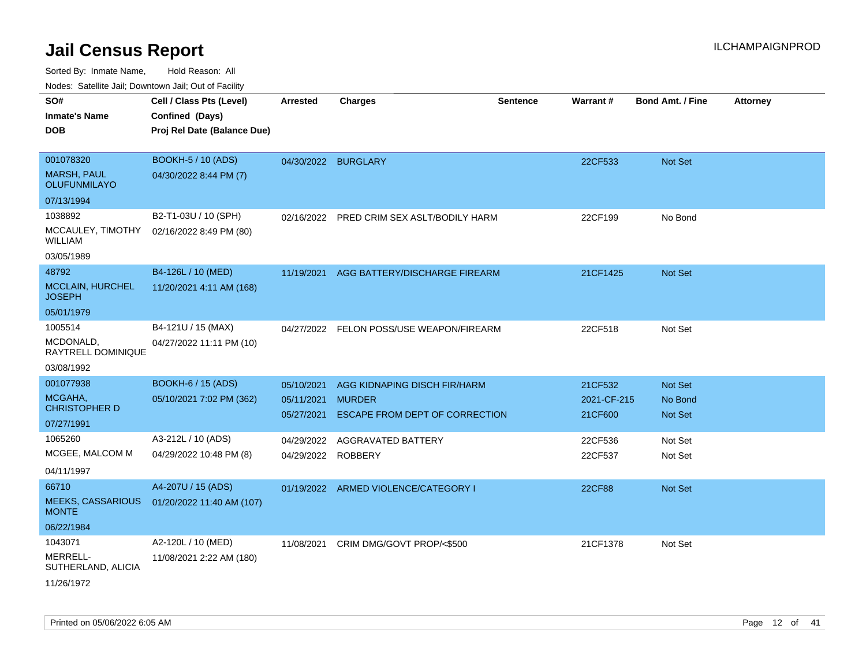| rouco. Calcillo Jali, Downtown Jali, Out of Facility |                             |                     |                                                        |                 |                        |                         |                 |
|------------------------------------------------------|-----------------------------|---------------------|--------------------------------------------------------|-----------------|------------------------|-------------------------|-----------------|
| SO#                                                  | Cell / Class Pts (Level)    | Arrested            | <b>Charges</b>                                         | <b>Sentence</b> | <b>Warrant#</b>        | <b>Bond Amt. / Fine</b> | <b>Attorney</b> |
| <b>Inmate's Name</b>                                 | Confined (Days)             |                     |                                                        |                 |                        |                         |                 |
| <b>DOB</b>                                           | Proj Rel Date (Balance Due) |                     |                                                        |                 |                        |                         |                 |
|                                                      |                             |                     |                                                        |                 |                        |                         |                 |
| 001078320                                            | <b>BOOKH-5 / 10 (ADS)</b>   | 04/30/2022 BURGLARY |                                                        |                 | 22CF533                | <b>Not Set</b>          |                 |
| <b>MARSH, PAUL</b><br><b>OLUFUNMILAYO</b>            | 04/30/2022 8:44 PM (7)      |                     |                                                        |                 |                        |                         |                 |
| 07/13/1994                                           |                             |                     |                                                        |                 |                        |                         |                 |
| 1038892                                              | B2-T1-03U / 10 (SPH)        |                     | 02/16/2022 PRED CRIM SEX ASLT/BODILY HARM              |                 | 22CF199                | No Bond                 |                 |
| MCCAULEY, TIMOTHY<br>WILLIAM                         | 02/16/2022 8:49 PM (80)     |                     |                                                        |                 |                        |                         |                 |
| 03/05/1989                                           |                             |                     |                                                        |                 |                        |                         |                 |
| 48792                                                | B4-126L / 10 (MED)          | 11/19/2021          | AGG BATTERY/DISCHARGE FIREARM                          |                 | 21CF1425               | Not Set                 |                 |
| <b>MCCLAIN, HURCHEL</b><br><b>JOSEPH</b>             | 11/20/2021 4:11 AM (168)    |                     |                                                        |                 |                        |                         |                 |
| 05/01/1979                                           |                             |                     |                                                        |                 |                        |                         |                 |
| 1005514                                              | B4-121U / 15 (MAX)          | 04/27/2022          | FELON POSS/USE WEAPON/FIREARM                          |                 | 22CF518                | Not Set                 |                 |
| MCDONALD,<br>RAYTRELL DOMINIQUE                      | 04/27/2022 11:11 PM (10)    |                     |                                                        |                 |                        |                         |                 |
| 03/08/1992                                           |                             |                     |                                                        |                 |                        |                         |                 |
| 001077938                                            | <b>BOOKH-6 / 15 (ADS)</b>   | 05/10/2021          | AGG KIDNAPING DISCH FIR/HARM                           |                 | 21CF532                | <b>Not Set</b>          |                 |
| MCGAHA,<br><b>CHRISTOPHER D</b>                      | 05/10/2021 7:02 PM (362)    | 05/11/2021          | <b>MURDER</b><br><b>ESCAPE FROM DEPT OF CORRECTION</b> |                 | 2021-CF-215<br>21CF600 | No Bond                 |                 |
| 07/27/1991                                           |                             | 05/27/2021          |                                                        |                 |                        | Not Set                 |                 |
| 1065260                                              | A3-212L / 10 (ADS)          | 04/29/2022          | <b>AGGRAVATED BATTERY</b>                              |                 | 22CF536                | Not Set                 |                 |
| MCGEE, MALCOM M                                      | 04/29/2022 10:48 PM (8)     | 04/29/2022 ROBBERY  |                                                        |                 | 22CF537                | Not Set                 |                 |
| 04/11/1997                                           |                             |                     |                                                        |                 |                        |                         |                 |
| 66710                                                | A4-207U / 15 (ADS)          |                     | 01/19/2022 ARMED VIOLENCE/CATEGORY I                   |                 | <b>22CF88</b>          | Not Set                 |                 |
| <b>MEEKS, CASSARIOUS</b><br><b>MONTE</b>             | 01/20/2022 11:40 AM (107)   |                     |                                                        |                 |                        |                         |                 |
| 06/22/1984                                           |                             |                     |                                                        |                 |                        |                         |                 |
| 1043071                                              | A2-120L / 10 (MED)          | 11/08/2021          | CRIM DMG/GOVT PROP/<\$500                              |                 | 21CF1378               | Not Set                 |                 |
| MERRELL-<br>SUTHERLAND, ALICIA                       | 11/08/2021 2:22 AM (180)    |                     |                                                        |                 |                        |                         |                 |
| 11/26/1972                                           |                             |                     |                                                        |                 |                        |                         |                 |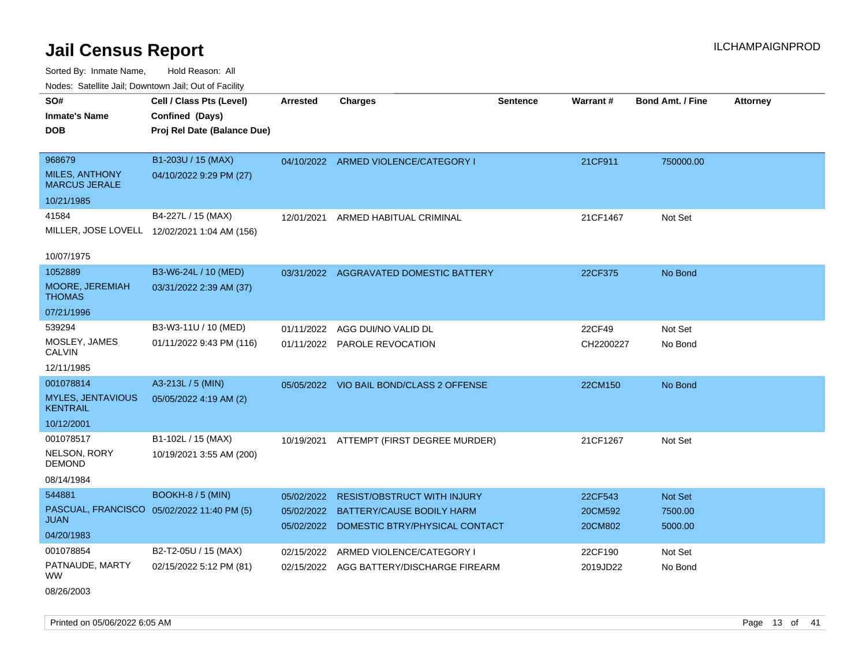Sorted By: Inmate Name, Hold Reason: All Nodes: Satellite Jail; Downtown Jail; Out of Facility

| Noues. Salemie Jan, Downtown Jan, Out of Facility |                                              |            |                                           |                 |                 |                         |                 |
|---------------------------------------------------|----------------------------------------------|------------|-------------------------------------------|-----------------|-----------------|-------------------------|-----------------|
| SO#                                               | Cell / Class Pts (Level)                     | Arrested   | <b>Charges</b>                            | <b>Sentence</b> | <b>Warrant#</b> | <b>Bond Amt. / Fine</b> | <b>Attorney</b> |
| <b>Inmate's Name</b>                              | Confined (Days)                              |            |                                           |                 |                 |                         |                 |
| DOB                                               | Proj Rel Date (Balance Due)                  |            |                                           |                 |                 |                         |                 |
|                                                   |                                              |            |                                           |                 |                 |                         |                 |
| 968679                                            | B1-203U / 15 (MAX)                           |            | 04/10/2022 ARMED VIOLENCE/CATEGORY I      |                 | 21CF911         | 750000.00               |                 |
| MILES, ANTHONY<br><b>MARCUS JERALE</b>            | 04/10/2022 9:29 PM (27)                      |            |                                           |                 |                 |                         |                 |
| 10/21/1985                                        |                                              |            |                                           |                 |                 |                         |                 |
| 41584                                             | B4-227L / 15 (MAX)                           | 12/01/2021 | ARMED HABITUAL CRIMINAL                   |                 | 21CF1467        | Not Set                 |                 |
|                                                   | MILLER, JOSE LOVELL 12/02/2021 1:04 AM (156) |            |                                           |                 |                 |                         |                 |
| 10/07/1975                                        |                                              |            |                                           |                 |                 |                         |                 |
| 1052889                                           | B3-W6-24L / 10 (MED)                         |            |                                           |                 |                 |                         |                 |
| <b>MOORE, JEREMIAH</b>                            | 03/31/2022 2:39 AM (37)                      |            | 03/31/2022 AGGRAVATED DOMESTIC BATTERY    |                 | 22CF375         | No Bond                 |                 |
| THOMAS                                            |                                              |            |                                           |                 |                 |                         |                 |
| 07/21/1996                                        |                                              |            |                                           |                 |                 |                         |                 |
| 539294                                            | B3-W3-11U / 10 (MED)                         | 01/11/2022 | AGG DUI/NO VALID DL                       |                 | 22CF49          | Not Set                 |                 |
| MOSLEY, JAMES<br>CALVIN                           | 01/11/2022 9:43 PM (116)                     |            | 01/11/2022 PAROLE REVOCATION              |                 | CH2200227       | No Bond                 |                 |
| 12/11/1985                                        |                                              |            |                                           |                 |                 |                         |                 |
| 001078814                                         | A3-213L / 5 (MIN)                            |            | 05/05/2022 VIO BAIL BOND/CLASS 2 OFFENSE  |                 | 22CM150         | No Bond                 |                 |
| <b>MYLES, JENTAVIOUS</b><br><b>KENTRAIL</b>       | 05/05/2022 4:19 AM (2)                       |            |                                           |                 |                 |                         |                 |
| 10/12/2001                                        |                                              |            |                                           |                 |                 |                         |                 |
| 001078517                                         | B1-102L / 15 (MAX)                           |            | 10/19/2021 ATTEMPT (FIRST DEGREE MURDER)  |                 | 21CF1267        | Not Set                 |                 |
| <b>NELSON, RORY</b><br>DEMOND                     | 10/19/2021 3:55 AM (200)                     |            |                                           |                 |                 |                         |                 |
| 08/14/1984                                        |                                              |            |                                           |                 |                 |                         |                 |
| 544881                                            | <b>BOOKH-8 / 5 (MIN)</b>                     | 05/02/2022 | <b>RESIST/OBSTRUCT WITH INJURY</b>        |                 | 22CF543         | <b>Not Set</b>          |                 |
|                                                   | PASCUAL, FRANCISCO 05/02/2022 11:40 PM (5)   | 05/02/2022 | BATTERY/CAUSE BODILY HARM                 |                 | 20CM592         | 7500.00                 |                 |
| JUAN                                              |                                              |            | 05/02/2022 DOMESTIC BTRY/PHYSICAL CONTACT |                 | 20CM802         | 5000.00                 |                 |
| 04/20/1983                                        |                                              |            |                                           |                 |                 |                         |                 |
| 001078854                                         | B2-T2-05U / 15 (MAX)                         | 02/15/2022 | ARMED VIOLENCE/CATEGORY I                 |                 | 22CF190         | Not Set                 |                 |
| PATNAUDE, MARTY<br>WW                             | 02/15/2022 5:12 PM (81)                      |            | 02/15/2022 AGG BATTERY/DISCHARGE FIREARM  |                 | 2019JD22        | No Bond                 |                 |

08/26/2003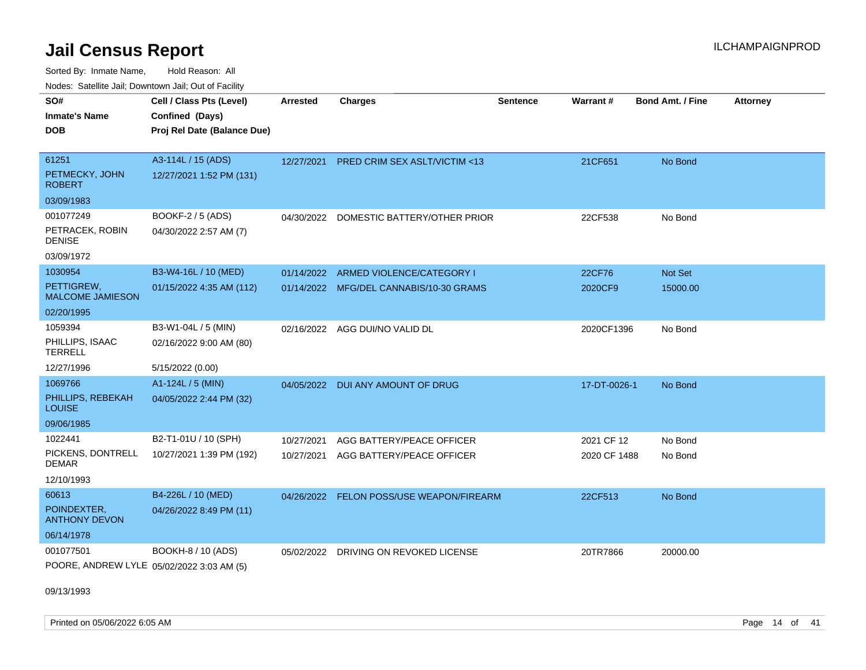Sorted By: Inmate Name, Hold Reason: All Nodes: Satellite Jail; Downtown Jail; Out of Facility

| <u>Houce.</u> Catoling bail, Downtown bail, Out of Fability |                                                                            |                 |                                          |                 |                 |                         |                 |
|-------------------------------------------------------------|----------------------------------------------------------------------------|-----------------|------------------------------------------|-----------------|-----------------|-------------------------|-----------------|
| SO#<br><b>Inmate's Name</b><br>DOB                          | Cell / Class Pts (Level)<br>Confined (Days)<br>Proj Rel Date (Balance Due) | <b>Arrested</b> | <b>Charges</b>                           | <b>Sentence</b> | <b>Warrant#</b> | <b>Bond Amt. / Fine</b> | <b>Attorney</b> |
| 61251<br>PETMECKY, JOHN                                     | A3-114L / 15 (ADS)<br>12/27/2021 1:52 PM (131)                             |                 | 12/27/2021 PRED CRIM SEX ASLT/VICTIM <13 |                 | 21CF651         | No Bond                 |                 |
| <b>ROBERT</b><br>03/09/1983                                 |                                                                            |                 |                                          |                 |                 |                         |                 |
| 001077249                                                   | BOOKF-2 / 5 (ADS)                                                          |                 |                                          |                 |                 |                         |                 |
| PETRACEK, ROBIN<br><b>DENISE</b>                            | 04/30/2022 2:57 AM (7)                                                     | 04/30/2022      | DOMESTIC BATTERY/OTHER PRIOR             |                 | 22CF538         | No Bond                 |                 |
| 03/09/1972                                                  |                                                                            |                 |                                          |                 |                 |                         |                 |
| 1030954                                                     | B3-W4-16L / 10 (MED)                                                       | 01/14/2022      | ARMED VIOLENCE/CATEGORY I                |                 | 22CF76          | <b>Not Set</b>          |                 |
| PETTIGREW,<br><b>MALCOME JAMIESON</b>                       | 01/15/2022 4:35 AM (112)                                                   |                 | 01/14/2022 MFG/DEL CANNABIS/10-30 GRAMS  |                 | 2020CF9         | 15000.00                |                 |
| 02/20/1995                                                  |                                                                            |                 |                                          |                 |                 |                         |                 |
| 1059394                                                     | B3-W1-04L / 5 (MIN)                                                        | 02/16/2022      | AGG DUI/NO VALID DL                      |                 | 2020CF1396      | No Bond                 |                 |
| PHILLIPS, ISAAC<br><b>TERRELL</b>                           | 02/16/2022 9:00 AM (80)                                                    |                 |                                          |                 |                 |                         |                 |
| 12/27/1996                                                  | 5/15/2022 (0.00)                                                           |                 |                                          |                 |                 |                         |                 |
| 1069766                                                     | A1-124L / 5 (MIN)                                                          | 04/05/2022      | DUI ANY AMOUNT OF DRUG                   |                 | 17-DT-0026-1    | No Bond                 |                 |
| PHILLIPS, REBEKAH<br>LOUISE                                 | 04/05/2022 2:44 PM (32)                                                    |                 |                                          |                 |                 |                         |                 |
| 09/06/1985                                                  |                                                                            |                 |                                          |                 |                 |                         |                 |
| 1022441                                                     | B2-T1-01U / 10 (SPH)                                                       | 10/27/2021      | AGG BATTERY/PEACE OFFICER                |                 | 2021 CF 12      | No Bond                 |                 |
| PICKENS, DONTRELL<br>DEMAR                                  | 10/27/2021 1:39 PM (192)                                                   | 10/27/2021      | AGG BATTERY/PEACE OFFICER                |                 | 2020 CF 1488    | No Bond                 |                 |
| 12/10/1993                                                  |                                                                            |                 |                                          |                 |                 |                         |                 |
| 60613                                                       | B4-226L / 10 (MED)                                                         | 04/26/2022      | FELON POSS/USE WEAPON/FIREARM            |                 | 22CF513         | No Bond                 |                 |
| POINDEXTER,<br><b>ANTHONY DEVON</b>                         | 04/26/2022 8:49 PM (11)                                                    |                 |                                          |                 |                 |                         |                 |
| 06/14/1978                                                  |                                                                            |                 |                                          |                 |                 |                         |                 |
| 001077501                                                   | BOOKH-8 / 10 (ADS)                                                         | 05/02/2022      | DRIVING ON REVOKED LICENSE               |                 | 20TR7866        | 20000.00                |                 |
| POORE, ANDREW LYLE 05/02/2022 3:03 AM (5)                   |                                                                            |                 |                                          |                 |                 |                         |                 |

09/13/1993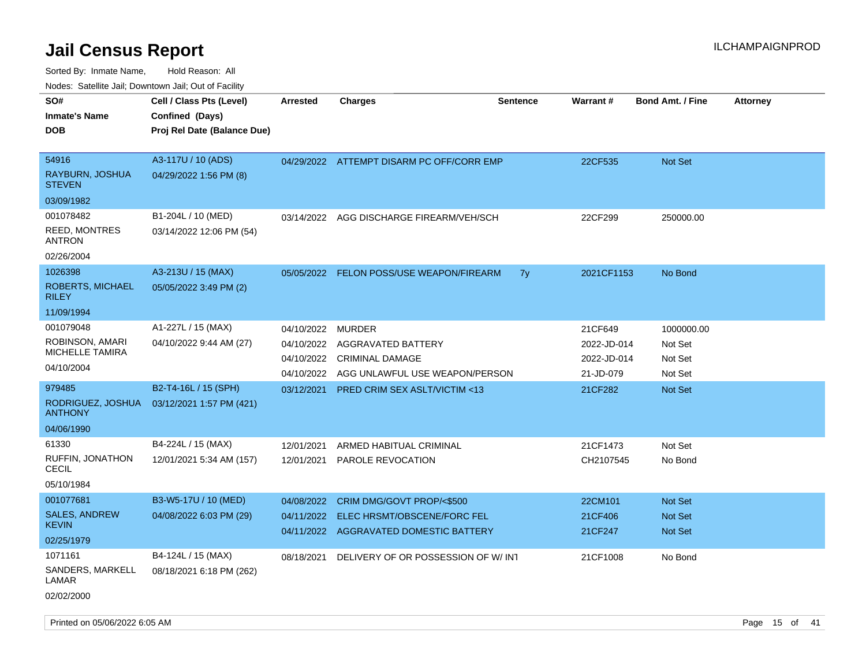|                                                                  | roaco. Catolino cali, Domntonn cali, Out of Facility                       |                                                      |                                                                                                 |                 |                                                    |                                                    |                 |
|------------------------------------------------------------------|----------------------------------------------------------------------------|------------------------------------------------------|-------------------------------------------------------------------------------------------------|-----------------|----------------------------------------------------|----------------------------------------------------|-----------------|
| SO#<br><b>Inmate's Name</b><br><b>DOB</b>                        | Cell / Class Pts (Level)<br>Confined (Days)<br>Proj Rel Date (Balance Due) | <b>Arrested</b>                                      | <b>Charges</b>                                                                                  | <b>Sentence</b> | Warrant#                                           | <b>Bond Amt. / Fine</b>                            | <b>Attorney</b> |
| 54916<br>RAYBURN, JOSHUA<br><b>STEVEN</b><br>03/09/1982          | A3-117U / 10 (ADS)<br>04/29/2022 1:56 PM (8)                               |                                                      | 04/29/2022 ATTEMPT DISARM PC OFF/CORR EMP                                                       |                 | 22CF535                                            | <b>Not Set</b>                                     |                 |
| 001078482<br><b>REED, MONTRES</b><br>ANTRON<br>02/26/2004        | B1-204L / 10 (MED)<br>03/14/2022 12:06 PM (54)                             | 03/14/2022                                           | AGG DISCHARGE FIREARM/VEH/SCH                                                                   |                 | 22CF299                                            | 250000.00                                          |                 |
| 1026398<br><b>ROBERTS, MICHAEL</b><br><b>RILEY</b><br>11/09/1994 | A3-213U / 15 (MAX)<br>05/05/2022 3:49 PM (2)                               | 05/05/2022                                           | <b>FELON POSS/USE WEAPON/FIREARM</b>                                                            | 7y              | 2021CF1153                                         | No Bond                                            |                 |
| 001079048<br>ROBINSON, AMARI<br>MICHELLE TAMIRA<br>04/10/2004    | A1-227L / 15 (MAX)<br>04/10/2022 9:44 AM (27)                              | 04/10/2022<br>04/10/2022<br>04/10/2022<br>04/10/2022 | <b>MURDER</b><br>AGGRAVATED BATTERY<br><b>CRIMINAL DAMAGE</b><br>AGG UNLAWFUL USE WEAPON/PERSON |                 | 21CF649<br>2022-JD-014<br>2022-JD-014<br>21-JD-079 | 1000000.00<br>Not Set<br>Not Set<br>Not Set        |                 |
| 979485<br>RODRIGUEZ, JOSHUA<br><b>ANTHONY</b><br>04/06/1990      | B2-T4-16L / 15 (SPH)<br>03/12/2021 1:57 PM (421)                           | 03/12/2021                                           | <b>PRED CRIM SEX ASLT/VICTIM &lt;13</b>                                                         |                 | 21CF282                                            | <b>Not Set</b>                                     |                 |
| 61330<br>RUFFIN, JONATHON<br>CECIL<br>05/10/1984                 | B4-224L / 15 (MAX)<br>12/01/2021 5:34 AM (157)                             | 12/01/2021<br>12/01/2021                             | ARMED HABITUAL CRIMINAL<br>PAROLE REVOCATION                                                    |                 | 21CF1473<br>CH2107545                              | Not Set<br>No Bond                                 |                 |
| 001077681<br><b>SALES, ANDREW</b><br><b>KEVIN</b><br>02/25/1979  | B3-W5-17U / 10 (MED)<br>04/08/2022 6:03 PM (29)                            | 04/08/2022<br>04/11/2022<br>04/11/2022               | CRIM DMG/GOVT PROP/<\$500<br>ELEC HRSMT/OBSCENE/FORC FEL<br>AGGRAVATED DOMESTIC BATTERY         |                 | 22CM101<br>21CF406<br>21CF247                      | <b>Not Set</b><br><b>Not Set</b><br><b>Not Set</b> |                 |
| 1071161<br>SANDERS, MARKELL<br>LAMAR<br>02/02/2000               | B4-124L / 15 (MAX)<br>08/18/2021 6:18 PM (262)                             | 08/18/2021                                           | DELIVERY OF OR POSSESSION OF W/ INT                                                             |                 | 21CF1008                                           | No Bond                                            |                 |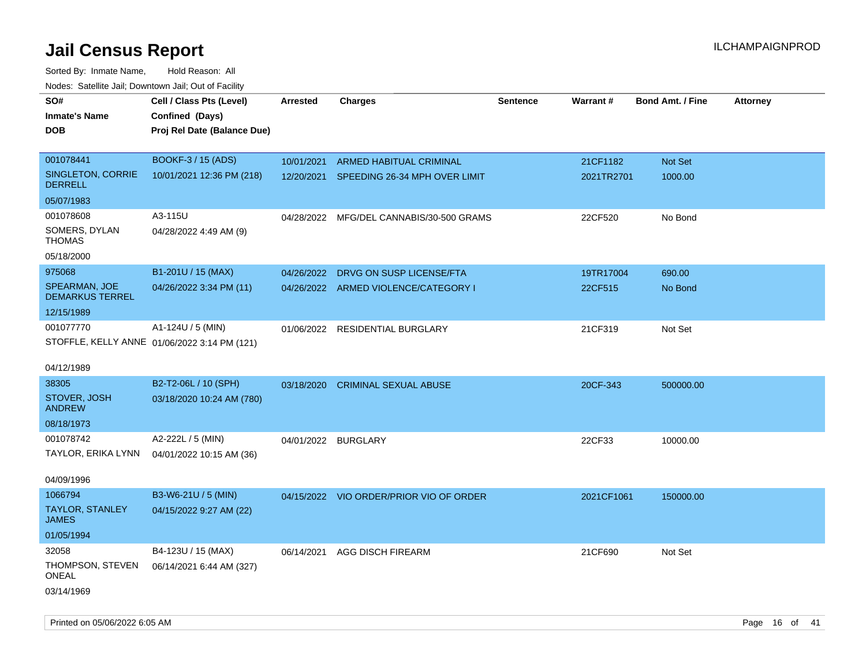Sorted By: Inmate Name, Hold Reason: All Nodes: Satellite Jail; Downtown Jail; Out of Facility

| ivous. Saleling Jali, Downtown Jali, Out of Facility |                                              |                     |                                         |                 |            |                         |                 |
|------------------------------------------------------|----------------------------------------------|---------------------|-----------------------------------------|-----------------|------------|-------------------------|-----------------|
| SO#                                                  | Cell / Class Pts (Level)                     | <b>Arrested</b>     | <b>Charges</b>                          | <b>Sentence</b> | Warrant#   | <b>Bond Amt. / Fine</b> | <b>Attorney</b> |
| <b>Inmate's Name</b>                                 | Confined (Days)                              |                     |                                         |                 |            |                         |                 |
| <b>DOB</b>                                           | Proj Rel Date (Balance Due)                  |                     |                                         |                 |            |                         |                 |
|                                                      |                                              |                     |                                         |                 |            |                         |                 |
| 001078441                                            | BOOKF-3 / 15 (ADS)                           | 10/01/2021          | <b>ARMED HABITUAL CRIMINAL</b>          |                 | 21CF1182   | Not Set                 |                 |
| SINGLETON, CORRIE<br><b>DERRELL</b>                  | 10/01/2021 12:36 PM (218)                    | 12/20/2021          | SPEEDING 26-34 MPH OVER LIMIT           |                 | 2021TR2701 | 1000.00                 |                 |
| 05/07/1983                                           |                                              |                     |                                         |                 |            |                         |                 |
| 001078608                                            | A3-115U                                      | 04/28/2022          | MFG/DEL CANNABIS/30-500 GRAMS           |                 | 22CF520    | No Bond                 |                 |
| SOMERS, DYLAN<br><b>THOMAS</b>                       | 04/28/2022 4:49 AM (9)                       |                     |                                         |                 |            |                         |                 |
| 05/18/2000                                           |                                              |                     |                                         |                 |            |                         |                 |
| 975068                                               | B1-201U / 15 (MAX)                           | 04/26/2022          | DRVG ON SUSP LICENSE/FTA                |                 | 19TR17004  | 690.00                  |                 |
| <b>SPEARMAN, JOE</b><br><b>DEMARKUS TERREL</b>       | 04/26/2022 3:34 PM (11)                      |                     | 04/26/2022 ARMED VIOLENCE/CATEGORY I    |                 | 22CF515    | No Bond                 |                 |
| 12/15/1989                                           |                                              |                     |                                         |                 |            |                         |                 |
| 001077770                                            | A1-124U / 5 (MIN)                            |                     | 01/06/2022 RESIDENTIAL BURGLARY         |                 | 21CF319    | Not Set                 |                 |
|                                                      | STOFFLE, KELLY ANNE 01/06/2022 3:14 PM (121) |                     |                                         |                 |            |                         |                 |
|                                                      |                                              |                     |                                         |                 |            |                         |                 |
| 04/12/1989                                           |                                              |                     |                                         |                 |            |                         |                 |
| 38305                                                | B2-T2-06L / 10 (SPH)                         | 03/18/2020          | <b>CRIMINAL SEXUAL ABUSE</b>            |                 | 20CF-343   | 500000.00               |                 |
| STOVER, JOSH<br><b>ANDREW</b>                        | 03/18/2020 10:24 AM (780)                    |                     |                                         |                 |            |                         |                 |
| 08/18/1973                                           |                                              |                     |                                         |                 |            |                         |                 |
| 001078742                                            | A2-222L / 5 (MIN)                            | 04/01/2022 BURGLARY |                                         |                 | 22CF33     | 10000.00                |                 |
| TAYLOR, ERIKA LYNN                                   | 04/01/2022 10:15 AM (36)                     |                     |                                         |                 |            |                         |                 |
|                                                      |                                              |                     |                                         |                 |            |                         |                 |
| 04/09/1996                                           |                                              |                     |                                         |                 |            |                         |                 |
| 1066794                                              | B3-W6-21U / 5 (MIN)                          |                     | 04/15/2022 VIO ORDER/PRIOR VIO OF ORDER |                 | 2021CF1061 | 150000.00               |                 |
| <b>TAYLOR, STANLEY</b><br><b>JAMES</b>               | 04/15/2022 9:27 AM (22)                      |                     |                                         |                 |            |                         |                 |
| 01/05/1994                                           |                                              |                     |                                         |                 |            |                         |                 |
| 32058                                                | B4-123U / 15 (MAX)                           |                     | 06/14/2021 AGG DISCH FIREARM            |                 | 21CF690    | Not Set                 |                 |
| THOMPSON, STEVEN<br>ONEAL                            | 06/14/2021 6:44 AM (327)                     |                     |                                         |                 |            |                         |                 |
| 03/14/1969                                           |                                              |                     |                                         |                 |            |                         |                 |

Printed on 05/06/2022 6:05 AM Page 16 of 41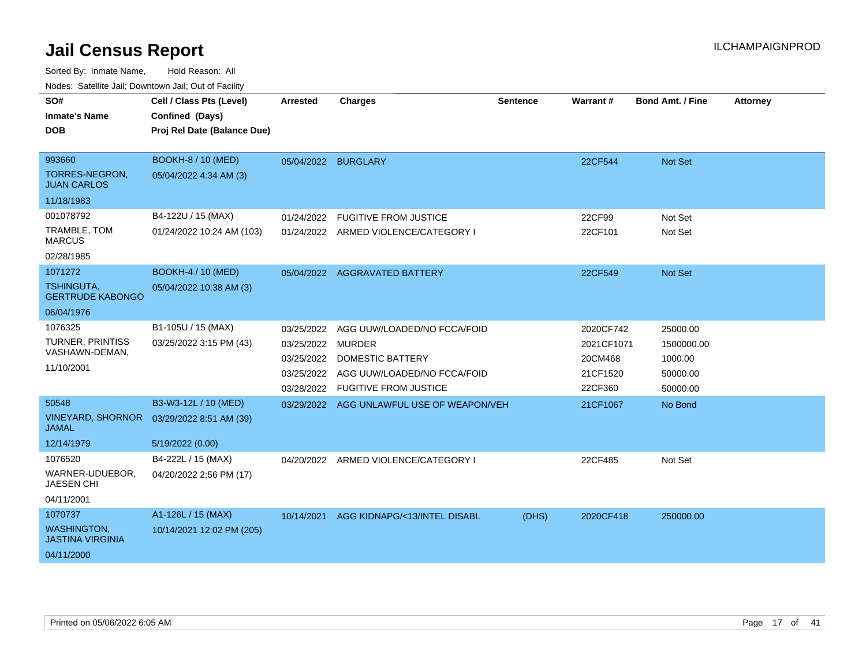| SO#<br><b>Inmate's Name</b><br><b>DOB</b>     | Cell / Class Pts (Level)<br>Confined (Days)<br>Proj Rel Date (Balance Due) | <b>Arrested</b>     | <b>Charges</b>                            | <b>Sentence</b> | Warrant#   | <b>Bond Amt. / Fine</b> | <b>Attorney</b> |
|-----------------------------------------------|----------------------------------------------------------------------------|---------------------|-------------------------------------------|-----------------|------------|-------------------------|-----------------|
|                                               |                                                                            |                     |                                           |                 |            |                         |                 |
| 993660                                        | <b>BOOKH-8 / 10 (MED)</b>                                                  | 05/04/2022 BURGLARY |                                           |                 | 22CF544    | <b>Not Set</b>          |                 |
| TORRES-NEGRON,<br><b>JUAN CARLOS</b>          | 05/04/2022 4:34 AM (3)                                                     |                     |                                           |                 |            |                         |                 |
| 11/18/1983                                    |                                                                            |                     |                                           |                 |            |                         |                 |
| 001078792                                     | B4-122U / 15 (MAX)                                                         | 01/24/2022          | <b>FUGITIVE FROM JUSTICE</b>              |                 | 22CF99     | Not Set                 |                 |
| TRAMBLE, TOM<br><b>MARCUS</b>                 | 01/24/2022 10:24 AM (103)                                                  |                     | 01/24/2022 ARMED VIOLENCE/CATEGORY I      |                 | 22CF101    | Not Set                 |                 |
| 02/28/1985                                    |                                                                            |                     |                                           |                 |            |                         |                 |
| 1071272                                       | <b>BOOKH-4 / 10 (MED)</b>                                                  |                     | 05/04/2022 AGGRAVATED BATTERY             |                 | 22CF549    | <b>Not Set</b>          |                 |
| <b>TSHINGUTA,</b><br><b>GERTRUDE KABONGO</b>  | 05/04/2022 10:38 AM (3)                                                    |                     |                                           |                 |            |                         |                 |
| 06/04/1976                                    |                                                                            |                     |                                           |                 |            |                         |                 |
| 1076325                                       | B1-105U / 15 (MAX)                                                         | 03/25/2022          | AGG UUW/LOADED/NO FCCA/FOID               |                 | 2020CF742  | 25000.00                |                 |
| TURNER, PRINTISS                              | 03/25/2022 3:15 PM (43)                                                    | 03/25/2022          | <b>MURDER</b>                             |                 | 2021CF1071 | 1500000.00              |                 |
| VASHAWN-DEMAN,                                |                                                                            | 03/25/2022          | <b>DOMESTIC BATTERY</b>                   |                 | 20CM468    | 1000.00                 |                 |
| 11/10/2001                                    |                                                                            | 03/25/2022          | AGG UUW/LOADED/NO FCCA/FOID               |                 | 21CF1520   | 50000.00                |                 |
|                                               |                                                                            | 03/28/2022          | <b>FUGITIVE FROM JUSTICE</b>              |                 | 22CF360    | 50000.00                |                 |
| 50548                                         | B3-W3-12L / 10 (MED)                                                       |                     | 03/29/2022 AGG UNLAWFUL USE OF WEAPON/VEH |                 | 21CF1067   | No Bond                 |                 |
| <b>JAMAL</b>                                  | VINEYARD, SHORNOR  03/29/2022 8:51 AM (39)                                 |                     |                                           |                 |            |                         |                 |
| 12/14/1979                                    | 5/19/2022 (0.00)                                                           |                     |                                           |                 |            |                         |                 |
| 1076520                                       | B4-222L / 15 (MAX)                                                         |                     | 04/20/2022 ARMED VIOLENCE/CATEGORY I      |                 | 22CF485    | Not Set                 |                 |
| WARNER-UDUEBOR,<br><b>JAESEN CHI</b>          | 04/20/2022 2:56 PM (17)                                                    |                     |                                           |                 |            |                         |                 |
| 04/11/2001                                    |                                                                            |                     |                                           |                 |            |                         |                 |
| 1070737                                       | A1-126L / 15 (MAX)                                                         | 10/14/2021          | AGG KIDNAPG/<13/INTEL DISABL              | (DHS)           | 2020CF418  | 250000.00               |                 |
| <b>WASHINGTON,</b><br><b>JASTINA VIRGINIA</b> | 10/14/2021 12:02 PM (205)                                                  |                     |                                           |                 |            |                         |                 |
| 04/11/2000                                    |                                                                            |                     |                                           |                 |            |                         |                 |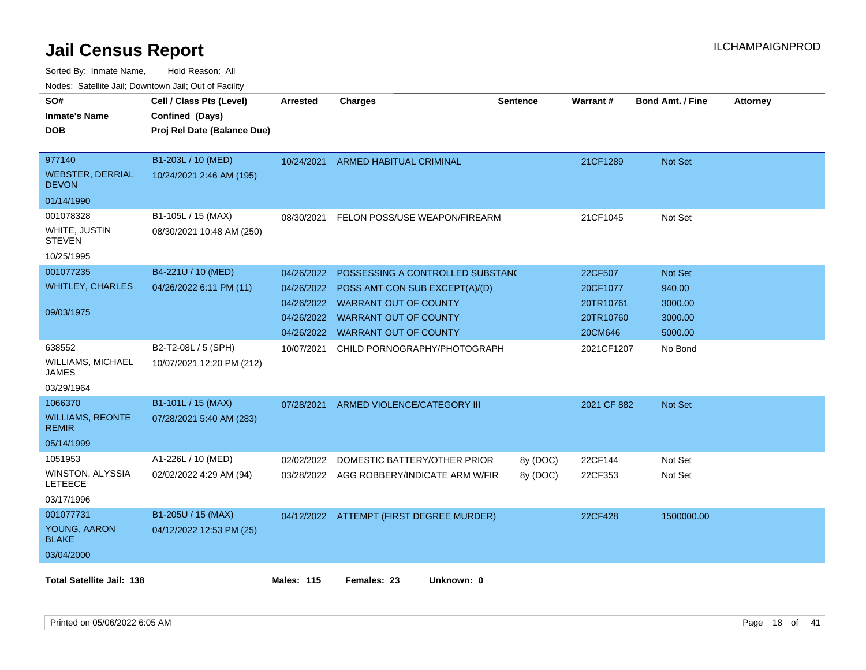| rouce. Calcillic Jali, Downtown Jali, Out of Facility |                             |                   |                                           |                 |             |                         |                 |
|-------------------------------------------------------|-----------------------------|-------------------|-------------------------------------------|-----------------|-------------|-------------------------|-----------------|
| SO#                                                   | Cell / Class Pts (Level)    | <b>Arrested</b>   | <b>Charges</b>                            | <b>Sentence</b> | Warrant#    | <b>Bond Amt. / Fine</b> | <b>Attorney</b> |
| Inmate's Name                                         | Confined (Days)             |                   |                                           |                 |             |                         |                 |
| DOB                                                   | Proj Rel Date (Balance Due) |                   |                                           |                 |             |                         |                 |
|                                                       |                             |                   |                                           |                 |             |                         |                 |
| 977140                                                | B1-203L / 10 (MED)          | 10/24/2021        | ARMED HABITUAL CRIMINAL                   |                 | 21CF1289    | Not Set                 |                 |
| <b>WEBSTER, DERRIAL</b><br><b>DEVON</b>               | 10/24/2021 2:46 AM (195)    |                   |                                           |                 |             |                         |                 |
| 01/14/1990                                            |                             |                   |                                           |                 |             |                         |                 |
| 001078328                                             | B1-105L / 15 (MAX)          | 08/30/2021        | FELON POSS/USE WEAPON/FIREARM             |                 | 21CF1045    | Not Set                 |                 |
| WHITE, JUSTIN<br><b>STEVEN</b>                        | 08/30/2021 10:48 AM (250)   |                   |                                           |                 |             |                         |                 |
| 10/25/1995                                            |                             |                   |                                           |                 |             |                         |                 |
| 001077235                                             | B4-221U / 10 (MED)          | 04/26/2022        | POSSESSING A CONTROLLED SUBSTANC          |                 | 22CF507     | <b>Not Set</b>          |                 |
| <b>WHITLEY, CHARLES</b>                               | 04/26/2022 6:11 PM (11)     | 04/26/2022        | POSS AMT CON SUB EXCEPT(A)/(D)            |                 | 20CF1077    | 940.00                  |                 |
|                                                       |                             |                   | 04/26/2022 WARRANT OUT OF COUNTY          |                 | 20TR10761   | 3000.00                 |                 |
| 09/03/1975                                            |                             |                   | 04/26/2022 WARRANT OUT OF COUNTY          |                 | 20TR10760   | 3000.00                 |                 |
|                                                       |                             | 04/26/2022        | <b>WARRANT OUT OF COUNTY</b>              |                 | 20CM646     | 5000.00                 |                 |
| 638552                                                | B2-T2-08L / 5 (SPH)         | 10/07/2021        | CHILD PORNOGRAPHY/PHOTOGRAPH              |                 | 2021CF1207  | No Bond                 |                 |
| <b>WILLIAMS, MICHAEL</b><br>JAMES                     | 10/07/2021 12:20 PM (212)   |                   |                                           |                 |             |                         |                 |
| 03/29/1964                                            |                             |                   |                                           |                 |             |                         |                 |
| 1066370                                               | B1-101L / 15 (MAX)          | 07/28/2021        | ARMED VIOLENCE/CATEGORY III               |                 | 2021 CF 882 | Not Set                 |                 |
| <b>WILLIAMS, REONTE</b><br><b>REMIR</b>               | 07/28/2021 5:40 AM (283)    |                   |                                           |                 |             |                         |                 |
| 05/14/1999                                            |                             |                   |                                           |                 |             |                         |                 |
| 1051953                                               | A1-226L / 10 (MED)          | 02/02/2022        | DOMESTIC BATTERY/OTHER PRIOR              | 8y (DOC)        | 22CF144     | Not Set                 |                 |
| WINSTON, ALYSSIA<br><b>LETEECE</b>                    | 02/02/2022 4:29 AM (94)     |                   | 03/28/2022 AGG ROBBERY/INDICATE ARM W/FIR | 8y (DOC)        | 22CF353     | Not Set                 |                 |
| 03/17/1996                                            |                             |                   |                                           |                 |             |                         |                 |
| 001077731                                             | B1-205U / 15 (MAX)          |                   | 04/12/2022 ATTEMPT (FIRST DEGREE MURDER)  |                 | 22CF428     | 1500000.00              |                 |
| YOUNG, AARON<br><b>BLAKE</b>                          | 04/12/2022 12:53 PM (25)    |                   |                                           |                 |             |                         |                 |
| 03/04/2000                                            |                             |                   |                                           |                 |             |                         |                 |
| <b>Total Satellite Jail: 138</b>                      |                             | <b>Males: 115</b> | Unknown: 0<br>Females: 23                 |                 |             |                         |                 |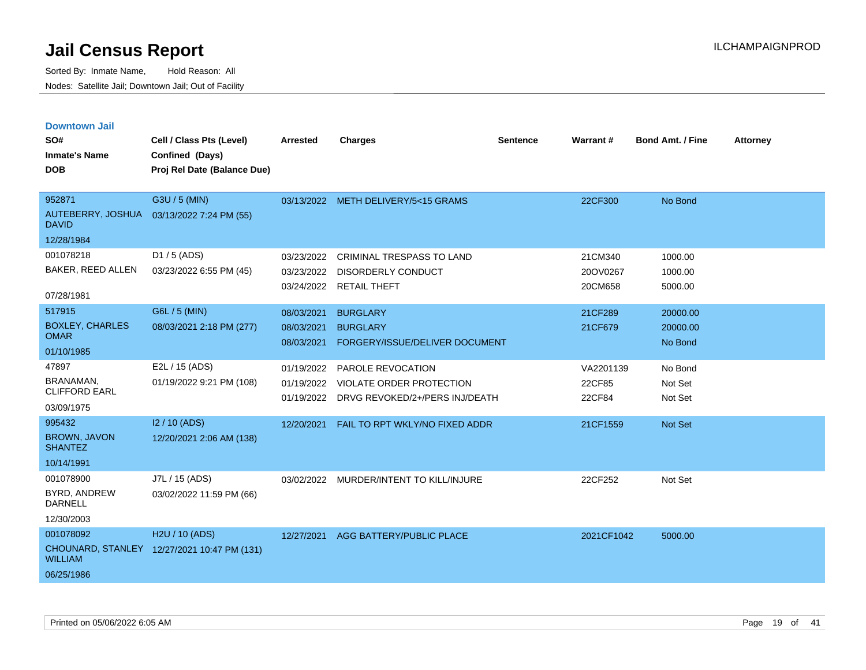| <b>Downtown Jail</b>                  |                                             |                 |                                           |                 |                 |                         |                 |
|---------------------------------------|---------------------------------------------|-----------------|-------------------------------------------|-----------------|-----------------|-------------------------|-----------------|
| SO#                                   | Cell / Class Pts (Level)                    | <b>Arrested</b> | <b>Charges</b>                            | <b>Sentence</b> | <b>Warrant#</b> | <b>Bond Amt. / Fine</b> | <b>Attorney</b> |
| <b>Inmate's Name</b>                  | Confined (Days)                             |                 |                                           |                 |                 |                         |                 |
| <b>DOB</b>                            | Proj Rel Date (Balance Due)                 |                 |                                           |                 |                 |                         |                 |
|                                       |                                             |                 |                                           |                 |                 |                         |                 |
| 952871                                | G3U / 5 (MIN)                               |                 | 03/13/2022 METH DELIVERY/5<15 GRAMS       |                 | 22CF300         | No Bond                 |                 |
| <b>DAVID</b>                          | AUTEBERRY, JOSHUA 03/13/2022 7:24 PM (55)   |                 |                                           |                 |                 |                         |                 |
| 12/28/1984                            |                                             |                 |                                           |                 |                 |                         |                 |
| 001078218                             | D1 / 5 (ADS)                                | 03/23/2022      | <b>CRIMINAL TRESPASS TO LAND</b>          |                 | 21CM340         | 1000.00                 |                 |
| BAKER, REED ALLEN                     | 03/23/2022 6:55 PM (45)                     | 03/23/2022      | <b>DISORDERLY CONDUCT</b>                 |                 | 20OV0267        | 1000.00                 |                 |
| 07/28/1981                            |                                             |                 | 03/24/2022 RETAIL THEFT                   |                 | 20CM658         | 5000.00                 |                 |
| 517915                                | G6L / 5 (MIN)                               | 08/03/2021      | <b>BURGLARY</b>                           |                 | 21CF289         | 20000.00                |                 |
| <b>BOXLEY, CHARLES</b><br><b>OMAR</b> | 08/03/2021 2:18 PM (277)                    | 08/03/2021      | <b>BURGLARY</b>                           |                 | 21CF679         | 20000.00                |                 |
| 01/10/1985                            |                                             | 08/03/2021      | FORGERY/ISSUE/DELIVER DOCUMENT            |                 |                 | No Bond                 |                 |
| 47897                                 | E2L / 15 (ADS)                              | 01/19/2022      | PAROLE REVOCATION                         |                 | VA2201139       | No Bond                 |                 |
| BRANAMAN,<br><b>CLIFFORD EARL</b>     | 01/19/2022 9:21 PM (108)                    | 01/19/2022      | VIOLATE ORDER PROTECTION                  |                 | 22CF85          | Not Set                 |                 |
| 03/09/1975                            |                                             |                 | 01/19/2022 DRVG REVOKED/2+/PERS INJ/DEATH |                 | 22CF84          | Not Set                 |                 |
| 995432                                | I2 / 10 (ADS)                               | 12/20/2021      | FAIL TO RPT WKLY/NO FIXED ADDR            |                 | 21CF1559        | <b>Not Set</b>          |                 |
| <b>BROWN, JAVON</b><br><b>SHANTEZ</b> | 12/20/2021 2:06 AM (138)                    |                 |                                           |                 |                 |                         |                 |
| 10/14/1991                            |                                             |                 |                                           |                 |                 |                         |                 |
| 001078900                             | J7L / 15 (ADS)                              |                 | 03/02/2022 MURDER/INTENT TO KILL/INJURE   |                 | 22CF252         | Not Set                 |                 |
| BYRD, ANDREW<br><b>DARNELL</b>        | 03/02/2022 11:59 PM (66)                    |                 |                                           |                 |                 |                         |                 |
| 12/30/2003                            |                                             |                 |                                           |                 |                 |                         |                 |
| 001078092                             | H <sub>2</sub> U / 10 (ADS)                 |                 | 12/27/2021 AGG BATTERY/PUBLIC PLACE       |                 | 2021CF1042      | 5000.00                 |                 |
| <b>WILLIAM</b>                        | CHOUNARD, STANLEY 12/27/2021 10:47 PM (131) |                 |                                           |                 |                 |                         |                 |
| 06/25/1986                            |                                             |                 |                                           |                 |                 |                         |                 |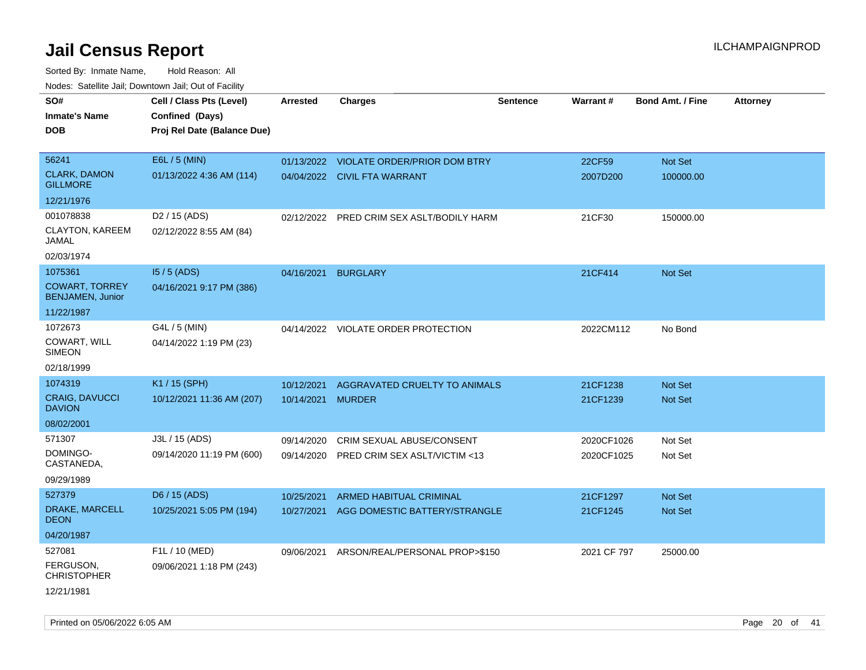Sorted By: Inmate Name, Hold Reason: All Nodes: Satellite Jail; Downtown Jail; Out of Facility

| SO#<br><b>Inmate's Name</b><br><b>DOB</b>        | Cell / Class Pts (Level)<br>Confined (Days)<br>Proj Rel Date (Balance Due) | <b>Arrested</b> | <b>Charges</b>                            | <b>Sentence</b> | Warrant#    | <b>Bond Amt. / Fine</b> | <b>Attorney</b> |
|--------------------------------------------------|----------------------------------------------------------------------------|-----------------|-------------------------------------------|-----------------|-------------|-------------------------|-----------------|
| 56241                                            | E6L / 5 (MIN)                                                              |                 | 01/13/2022 VIOLATE ORDER/PRIOR DOM BTRY   |                 | 22CF59      | Not Set                 |                 |
| <b>CLARK, DAMON</b><br><b>GILLMORE</b>           | 01/13/2022 4:36 AM (114)                                                   |                 | 04/04/2022 CIVIL FTA WARRANT              |                 | 2007D200    | 100000.00               |                 |
| 12/21/1976                                       |                                                                            |                 |                                           |                 |             |                         |                 |
| 001078838                                        | D <sub>2</sub> / 15 (ADS)                                                  |                 | 02/12/2022 PRED CRIM SEX ASLT/BODILY HARM |                 | 21CF30      | 150000.00               |                 |
| CLAYTON, KAREEM<br>JAMAL                         | 02/12/2022 8:55 AM (84)                                                    |                 |                                           |                 |             |                         |                 |
| 02/03/1974                                       |                                                                            |                 |                                           |                 |             |                         |                 |
| 1075361                                          | $15/5$ (ADS)                                                               | 04/16/2021      | <b>BURGLARY</b>                           |                 | 21CF414     | Not Set                 |                 |
| <b>COWART, TORREY</b><br><b>BENJAMEN, Junior</b> | 04/16/2021 9:17 PM (386)                                                   |                 |                                           |                 |             |                         |                 |
| 11/22/1987                                       |                                                                            |                 |                                           |                 |             |                         |                 |
| 1072673                                          | G4L / 5 (MIN)                                                              |                 | 04/14/2022 VIOLATE ORDER PROTECTION       |                 | 2022CM112   | No Bond                 |                 |
| COWART, WILL<br><b>SIMEON</b>                    | 04/14/2022 1:19 PM (23)                                                    |                 |                                           |                 |             |                         |                 |
| 02/18/1999                                       |                                                                            |                 |                                           |                 |             |                         |                 |
| 1074319                                          | K1 / 15 (SPH)                                                              | 10/12/2021      | AGGRAVATED CRUELTY TO ANIMALS             |                 | 21CF1238    | <b>Not Set</b>          |                 |
| <b>CRAIG, DAVUCCI</b><br><b>DAVION</b>           | 10/12/2021 11:36 AM (207)                                                  | 10/14/2021      | <b>MURDER</b>                             |                 | 21CF1239    | <b>Not Set</b>          |                 |
| 08/02/2001                                       |                                                                            |                 |                                           |                 |             |                         |                 |
| 571307                                           | J3L / 15 (ADS)                                                             | 09/14/2020      | CRIM SEXUAL ABUSE/CONSENT                 |                 | 2020CF1026  | Not Set                 |                 |
| DOMINGO-<br>CASTANEDA,                           | 09/14/2020 11:19 PM (600)                                                  | 09/14/2020      | PRED CRIM SEX ASLT/VICTIM <13             |                 | 2020CF1025  | Not Set                 |                 |
| 09/29/1989                                       |                                                                            |                 |                                           |                 |             |                         |                 |
| 527379                                           | D6 / 15 (ADS)                                                              | 10/25/2021      | ARMED HABITUAL CRIMINAL                   |                 | 21CF1297    | Not Set                 |                 |
| DRAKE, MARCELL<br><b>DEON</b>                    | 10/25/2021 5:05 PM (194)                                                   | 10/27/2021      | AGG DOMESTIC BATTERY/STRANGLE             |                 | 21CF1245    | Not Set                 |                 |
| 04/20/1987                                       |                                                                            |                 |                                           |                 |             |                         |                 |
| 527081                                           | F1L / 10 (MED)                                                             | 09/06/2021      | ARSON/REAL/PERSONAL PROP>\$150            |                 | 2021 CF 797 | 25000.00                |                 |
| FERGUSON,<br><b>CHRISTOPHER</b>                  | 09/06/2021 1:18 PM (243)                                                   |                 |                                           |                 |             |                         |                 |
| 12/21/1981                                       |                                                                            |                 |                                           |                 |             |                         |                 |

Printed on 05/06/2022 6:05 AM Page 20 of 41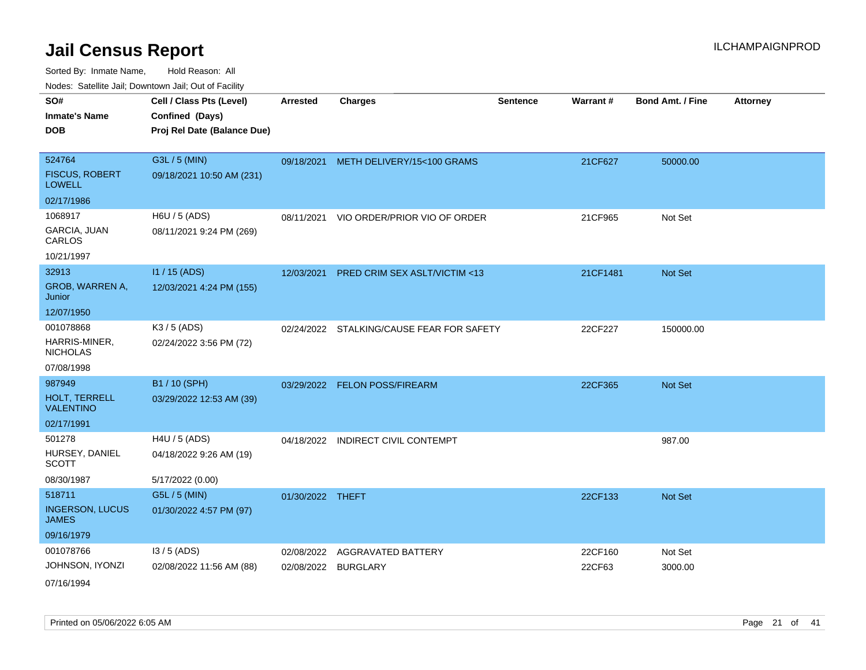Sorted By: Inmate Name, Hold Reason: All Nodes: Satellite Jail; Downtown Jail; Out of Facility

| indues. Satellite Jali, Downtown Jali, Out of Facility |                             |                  |                                           |                 |          |                         |                 |
|--------------------------------------------------------|-----------------------------|------------------|-------------------------------------------|-----------------|----------|-------------------------|-----------------|
| SO#                                                    | Cell / Class Pts (Level)    | <b>Arrested</b>  | <b>Charges</b>                            | <b>Sentence</b> | Warrant# | <b>Bond Amt. / Fine</b> | <b>Attorney</b> |
| <b>Inmate's Name</b>                                   | Confined (Days)             |                  |                                           |                 |          |                         |                 |
| <b>DOB</b>                                             | Proj Rel Date (Balance Due) |                  |                                           |                 |          |                         |                 |
|                                                        |                             |                  |                                           |                 |          |                         |                 |
| 524764                                                 | G3L / 5 (MIN)               |                  | 09/18/2021 METH DELIVERY/15<100 GRAMS     |                 | 21CF627  | 50000.00                |                 |
| <b>FISCUS, ROBERT</b><br><b>LOWELL</b>                 | 09/18/2021 10:50 AM (231)   |                  |                                           |                 |          |                         |                 |
| 02/17/1986                                             |                             |                  |                                           |                 |          |                         |                 |
| 1068917                                                | H6U / 5 (ADS)               | 08/11/2021       | VIO ORDER/PRIOR VIO OF ORDER              |                 | 21CF965  | Not Set                 |                 |
| GARCIA, JUAN<br>CARLOS                                 | 08/11/2021 9:24 PM (269)    |                  |                                           |                 |          |                         |                 |
| 10/21/1997                                             |                             |                  |                                           |                 |          |                         |                 |
| 32913                                                  | I1 / 15 (ADS)               |                  | 12/03/2021 PRED CRIM SEX ASLT/VICTIM <13  |                 | 21CF1481 | Not Set                 |                 |
| GROB, WARREN A,<br>Junior                              | 12/03/2021 4:24 PM (155)    |                  |                                           |                 |          |                         |                 |
| 12/07/1950                                             |                             |                  |                                           |                 |          |                         |                 |
| 001078868                                              | K3 / 5 (ADS)                |                  | 02/24/2022 STALKING/CAUSE FEAR FOR SAFETY |                 | 22CF227  | 150000.00               |                 |
| HARRIS-MINER,<br><b>NICHOLAS</b>                       | 02/24/2022 3:56 PM (72)     |                  |                                           |                 |          |                         |                 |
| 07/08/1998                                             |                             |                  |                                           |                 |          |                         |                 |
| 987949                                                 | B1 / 10 (SPH)               |                  | 03/29/2022 FELON POSS/FIREARM             |                 | 22CF365  | Not Set                 |                 |
| HOLT, TERRELL<br><b>VALENTINO</b>                      | 03/29/2022 12:53 AM (39)    |                  |                                           |                 |          |                         |                 |
| 02/17/1991                                             |                             |                  |                                           |                 |          |                         |                 |
| 501278                                                 | $H4U / 5$ (ADS)             | 04/18/2022       | <b>INDIRECT CIVIL CONTEMPT</b>            |                 |          | 987.00                  |                 |
| HURSEY, DANIEL<br><b>SCOTT</b>                         | 04/18/2022 9:26 AM (19)     |                  |                                           |                 |          |                         |                 |
| 08/30/1987                                             | 5/17/2022 (0.00)            |                  |                                           |                 |          |                         |                 |
| 518711                                                 | G5L / 5 (MIN)               | 01/30/2022 THEFT |                                           |                 | 22CF133  | Not Set                 |                 |
| <b>INGERSON, LUCUS</b><br><b>JAMES</b>                 | 01/30/2022 4:57 PM (97)     |                  |                                           |                 |          |                         |                 |
| 09/16/1979                                             |                             |                  |                                           |                 |          |                         |                 |
| 001078766                                              | $13/5$ (ADS)                | 02/08/2022       | <b>AGGRAVATED BATTERY</b>                 |                 | 22CF160  | Not Set                 |                 |
| JOHNSON, IYONZI                                        | 02/08/2022 11:56 AM (88)    |                  | 02/08/2022 BURGLARY                       |                 | 22CF63   | 3000.00                 |                 |
| 07/16/1994                                             |                             |                  |                                           |                 |          |                         |                 |

Printed on 05/06/2022 6:05 AM Page 21 of 41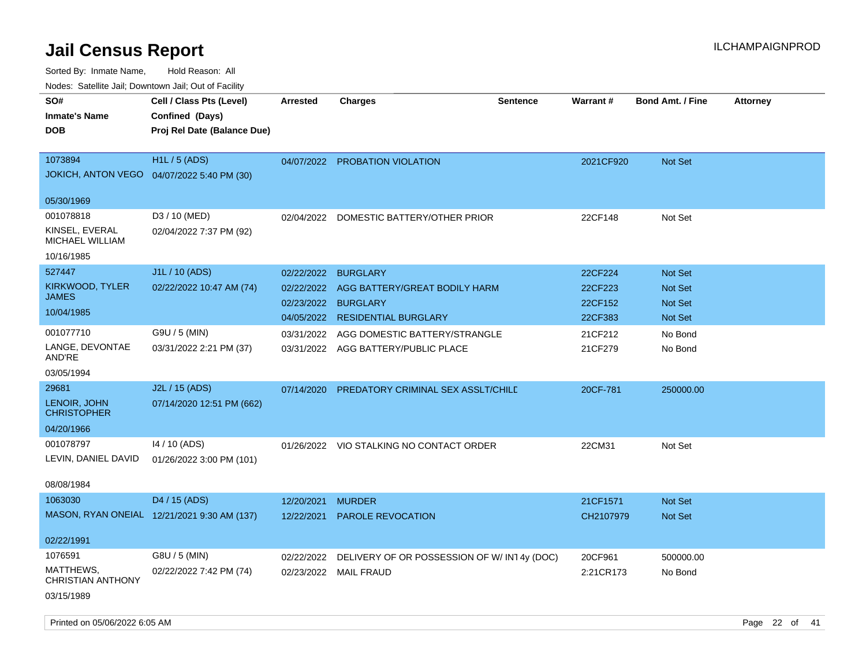| indues. Saleinte Jail, Downtown Jail, Out of Facility |                                             |            |                                             |                 |                 |                         |                 |
|-------------------------------------------------------|---------------------------------------------|------------|---------------------------------------------|-----------------|-----------------|-------------------------|-----------------|
| SO#                                                   | Cell / Class Pts (Level)                    | Arrested   | Charges                                     | <b>Sentence</b> | <b>Warrant#</b> | <b>Bond Amt. / Fine</b> | <b>Attorney</b> |
| <b>Inmate's Name</b>                                  | Confined (Days)                             |            |                                             |                 |                 |                         |                 |
| <b>DOB</b>                                            | Proj Rel Date (Balance Due)                 |            |                                             |                 |                 |                         |                 |
|                                                       |                                             |            |                                             |                 |                 |                         |                 |
| 1073894                                               | <b>H1L / 5 (ADS)</b>                        |            | 04/07/2022 PROBATION VIOLATION              |                 | 2021CF920       | <b>Not Set</b>          |                 |
|                                                       | JOKICH, ANTON VEGO  04/07/2022 5:40 PM (30) |            |                                             |                 |                 |                         |                 |
|                                                       |                                             |            |                                             |                 |                 |                         |                 |
| 05/30/1969                                            |                                             |            |                                             |                 |                 |                         |                 |
| 001078818                                             | D3 / 10 (MED)                               |            | 02/04/2022 DOMESTIC BATTERY/OTHER PRIOR     |                 | 22CF148         | Not Set                 |                 |
| KINSEL, EVERAL                                        | 02/04/2022 7:37 PM (92)                     |            |                                             |                 |                 |                         |                 |
| MICHAEL WILLIAM                                       |                                             |            |                                             |                 |                 |                         |                 |
| 10/16/1985                                            |                                             |            |                                             |                 |                 |                         |                 |
| 527447                                                | J1L / 10 (ADS)                              | 02/22/2022 | <b>BURGLARY</b>                             |                 | 22CF224         | <b>Not Set</b>          |                 |
| KIRKWOOD, TYLER                                       | 02/22/2022 10:47 AM (74)                    | 02/22/2022 | AGG BATTERY/GREAT BODILY HARM               |                 | 22CF223         | <b>Not Set</b>          |                 |
| <b>JAMES</b>                                          |                                             | 02/23/2022 | <b>BURGLARY</b>                             |                 | 22CF152         | <b>Not Set</b>          |                 |
| 10/04/1985                                            |                                             | 04/05/2022 | <b>RESIDENTIAL BURGLARY</b>                 |                 | 22CF383         | Not Set                 |                 |
| 001077710                                             | G9U / 5 (MIN)                               | 03/31/2022 | AGG DOMESTIC BATTERY/STRANGLE               |                 | 21CF212         | No Bond                 |                 |
| LANGE, DEVONTAE                                       | 03/31/2022 2:21 PM (37)                     |            | 03/31/2022 AGG BATTERY/PUBLIC PLACE         |                 | 21CF279         | No Bond                 |                 |
| AND'RE                                                |                                             |            |                                             |                 |                 |                         |                 |
| 03/05/1994                                            |                                             |            |                                             |                 |                 |                         |                 |
| 29681                                                 | J2L / 15 (ADS)                              | 07/14/2020 | PREDATORY CRIMINAL SEX ASSLT/CHILD          |                 | 20CF-781        | 250000.00               |                 |
| LENOIR, JOHN                                          | 07/14/2020 12:51 PM (662)                   |            |                                             |                 |                 |                         |                 |
| <b>CHRISTOPHER</b>                                    |                                             |            |                                             |                 |                 |                         |                 |
| 04/20/1966                                            |                                             |            |                                             |                 |                 |                         |                 |
| 001078797                                             | 14 / 10 (ADS)                               |            | 01/26/2022 VIO STALKING NO CONTACT ORDER    |                 | 22CM31          | Not Set                 |                 |
| LEVIN, DANIEL DAVID                                   | 01/26/2022 3:00 PM (101)                    |            |                                             |                 |                 |                         |                 |
|                                                       |                                             |            |                                             |                 |                 |                         |                 |
| 08/08/1984                                            |                                             |            |                                             |                 |                 |                         |                 |
| 1063030                                               | D4 / 15 (ADS)                               | 12/20/2021 | <b>MURDER</b>                               |                 | 21CF1571        | <b>Not Set</b>          |                 |
|                                                       | MASON, RYAN ONEIAL 12/21/2021 9:30 AM (137) | 12/22/2021 | <b>PAROLE REVOCATION</b>                    |                 | CH2107979       | <b>Not Set</b>          |                 |
|                                                       |                                             |            |                                             |                 |                 |                         |                 |
| 02/22/1991                                            |                                             |            |                                             |                 |                 |                         |                 |
| 1076591                                               | G8U / 5 (MIN)                               | 02/22/2022 | DELIVERY OF OR POSSESSION OF W/ IN14y (DOC) |                 | 20CF961         | 500000.00               |                 |
| MATTHEWS,<br><b>CHRISTIAN ANTHONY</b>                 | 02/22/2022 7:42 PM (74)                     | 02/23/2022 | <b>MAIL FRAUD</b>                           |                 | 2:21CR173       | No Bond                 |                 |
|                                                       |                                             |            |                                             |                 |                 |                         |                 |
| 03/15/1989                                            |                                             |            |                                             |                 |                 |                         |                 |
|                                                       |                                             |            |                                             |                 |                 |                         |                 |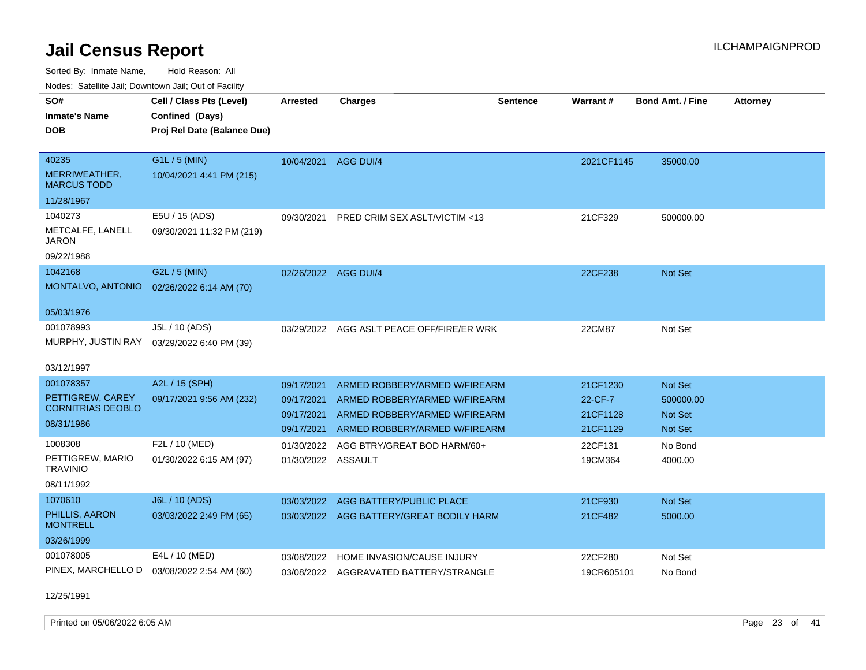Sorted By: Inmate Name, Hold Reason: All Nodes: Satellite Jail; Downtown Jail; Out of Facility

| rouce. Calcillic Jali, Downtown Jali, Out of Facility |                                           |                      |                                           |                 |                 |                         |                 |
|-------------------------------------------------------|-------------------------------------------|----------------------|-------------------------------------------|-----------------|-----------------|-------------------------|-----------------|
| SO#                                                   | Cell / Class Pts (Level)                  | <b>Arrested</b>      | <b>Charges</b>                            | <b>Sentence</b> | <b>Warrant#</b> | <b>Bond Amt. / Fine</b> | <b>Attorney</b> |
| <b>Inmate's Name</b>                                  | Confined (Days)                           |                      |                                           |                 |                 |                         |                 |
| <b>DOB</b>                                            | Proj Rel Date (Balance Due)               |                      |                                           |                 |                 |                         |                 |
|                                                       |                                           |                      |                                           |                 |                 |                         |                 |
| 40235                                                 | G1L / 5 (MIN)                             | 10/04/2021 AGG DUI/4 |                                           |                 | 2021CF1145      | 35000.00                |                 |
| MERRIWEATHER,<br><b>MARCUS TODD</b>                   | 10/04/2021 4:41 PM (215)                  |                      |                                           |                 |                 |                         |                 |
| 11/28/1967                                            |                                           |                      |                                           |                 |                 |                         |                 |
| 1040273                                               | E5U / 15 (ADS)                            | 09/30/2021           | PRED CRIM SEX ASLT/VICTIM <13             |                 | 21CF329         | 500000.00               |                 |
| METCALFE, LANELL<br><b>JARON</b>                      | 09/30/2021 11:32 PM (219)                 |                      |                                           |                 |                 |                         |                 |
| 09/22/1988                                            |                                           |                      |                                           |                 |                 |                         |                 |
| 1042168                                               | G2L / 5 (MIN)                             | 02/26/2022 AGG DUI/4 |                                           |                 | 22CF238         | Not Set                 |                 |
|                                                       | MONTALVO, ANTONIO 02/26/2022 6:14 AM (70) |                      |                                           |                 |                 |                         |                 |
| 05/03/1976                                            |                                           |                      |                                           |                 |                 |                         |                 |
| 001078993                                             | J5L / 10 (ADS)                            |                      | 03/29/2022 AGG ASLT PEACE OFF/FIRE/ER WRK |                 | 22CM87          | Not Set                 |                 |
| MURPHY, JUSTIN RAY                                    | 03/29/2022 6:40 PM (39)                   |                      |                                           |                 |                 |                         |                 |
|                                                       |                                           |                      |                                           |                 |                 |                         |                 |
| 03/12/1997                                            |                                           |                      |                                           |                 |                 |                         |                 |
| 001078357                                             | A2L / 15 (SPH)                            | 09/17/2021           | ARMED ROBBERY/ARMED W/FIREARM             |                 | 21CF1230        | Not Set                 |                 |
| PETTIGREW, CAREY                                      | 09/17/2021 9:56 AM (232)                  | 09/17/2021           | ARMED ROBBERY/ARMED W/FIREARM             |                 | 22-CF-7         | 500000.00               |                 |
| <b>CORNITRIAS DEOBLO</b>                              |                                           | 09/17/2021           | ARMED ROBBERY/ARMED W/FIREARM             |                 | 21CF1128        | <b>Not Set</b>          |                 |
| 08/31/1986                                            |                                           | 09/17/2021           | ARMED ROBBERY/ARMED W/FIREARM             |                 | 21CF1129        | <b>Not Set</b>          |                 |
| 1008308                                               | F2L / 10 (MED)                            | 01/30/2022           | AGG BTRY/GREAT BOD HARM/60+               |                 | 22CF131         | No Bond                 |                 |
| PETTIGREW, MARIO<br><b>TRAVINIO</b>                   | 01/30/2022 6:15 AM (97)                   | 01/30/2022 ASSAULT   |                                           |                 | 19CM364         | 4000.00                 |                 |
| 08/11/1992                                            |                                           |                      |                                           |                 |                 |                         |                 |
| 1070610                                               | J6L / 10 (ADS)                            | 03/03/2022           | AGG BATTERY/PUBLIC PLACE                  |                 | 21CF930         | <b>Not Set</b>          |                 |
| PHILLIS, AARON<br><b>MONTRELL</b>                     | 03/03/2022 2:49 PM (65)                   |                      | 03/03/2022 AGG BATTERY/GREAT BODILY HARM  |                 | 21CF482         | 5000.00                 |                 |
| 03/26/1999                                            |                                           |                      |                                           |                 |                 |                         |                 |
| 001078005                                             | E4L / 10 (MED)                            | 03/08/2022           | HOME INVASION/CAUSE INJURY                |                 | 22CF280         | Not Set                 |                 |
| PINEX, MARCHELLO D                                    | 03/08/2022 2:54 AM (60)                   |                      | 03/08/2022 AGGRAVATED BATTERY/STRANGLE    |                 | 19CR605101      | No Bond                 |                 |
|                                                       |                                           |                      |                                           |                 |                 |                         |                 |

12/25/1991

Printed on 05/06/2022 6:05 AM Page 23 of 41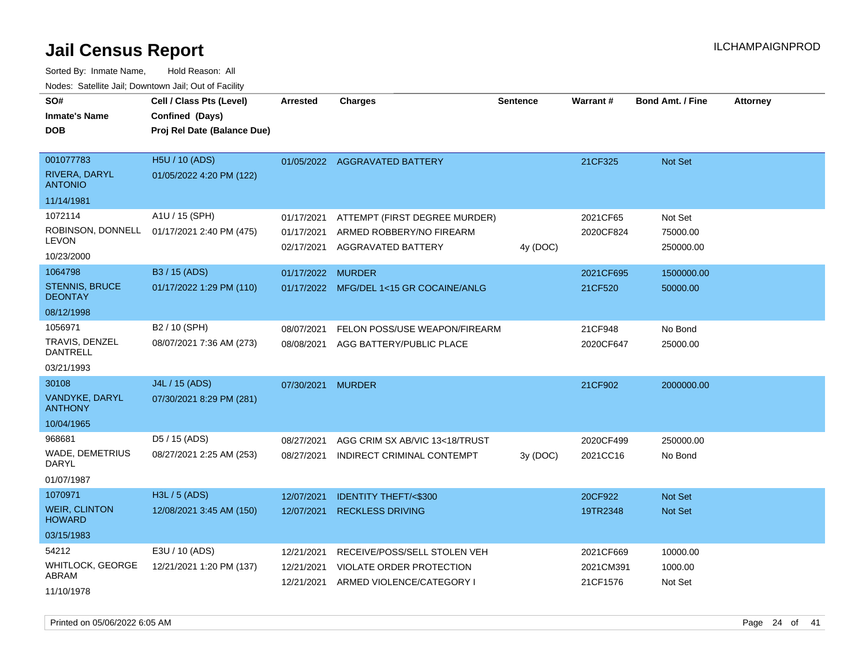Sorted By: Inmate Name, Hold Reason: All Nodes: Satellite Jail; Downtown Jail; Out of Facility

| vouco. Catolino cali, Downtown cali, Out of Facility |                             |                          |                                                |                 |           |                         |                 |
|------------------------------------------------------|-----------------------------|--------------------------|------------------------------------------------|-----------------|-----------|-------------------------|-----------------|
| SO#                                                  | Cell / Class Pts (Level)    | <b>Arrested</b>          | <b>Charges</b>                                 | <b>Sentence</b> | Warrant#  | <b>Bond Amt. / Fine</b> | <b>Attorney</b> |
| Inmate's Name                                        | Confined (Days)             |                          |                                                |                 |           |                         |                 |
| DOB                                                  | Proj Rel Date (Balance Due) |                          |                                                |                 |           |                         |                 |
|                                                      |                             |                          |                                                |                 |           |                         |                 |
| 001077783                                            | <b>H5U / 10 (ADS)</b>       |                          | 01/05/2022 AGGRAVATED BATTERY                  |                 | 21CF325   | Not Set                 |                 |
| <b>RIVERA, DARYL</b><br><b>ANTONIO</b>               | 01/05/2022 4:20 PM (122)    |                          |                                                |                 |           |                         |                 |
| 11/14/1981                                           |                             |                          |                                                |                 |           |                         |                 |
| 1072114                                              | A1U / 15 (SPH)              | 01/17/2021               | ATTEMPT (FIRST DEGREE MURDER)                  |                 | 2021CF65  | Not Set                 |                 |
| ROBINSON, DONNELL<br>LEVON                           | 01/17/2021 2:40 PM (475)    | 01/17/2021<br>02/17/2021 | ARMED ROBBERY/NO FIREARM<br>AGGRAVATED BATTERY | 4y (DOC)        | 2020CF824 | 75000.00<br>250000.00   |                 |
| 10/23/2000                                           |                             |                          |                                                |                 |           |                         |                 |
| 1064798                                              | B3 / 15 (ADS)               | 01/17/2022 MURDER        |                                                |                 | 2021CF695 | 1500000.00              |                 |
| <b>STENNIS, BRUCE</b><br><b>DEONTAY</b>              | 01/17/2022 1:29 PM (110)    |                          | 01/17/2022 MFG/DEL 1<15 GR COCAINE/ANLG        |                 | 21CF520   | 50000.00                |                 |
| 08/12/1998                                           |                             |                          |                                                |                 |           |                         |                 |
| 1056971                                              | B2 / 10 (SPH)               | 08/07/2021               | FELON POSS/USE WEAPON/FIREARM                  |                 | 21CF948   | No Bond                 |                 |
| TRAVIS, DENZEL<br>DANTRELL                           | 08/07/2021 7:36 AM (273)    | 08/08/2021               | AGG BATTERY/PUBLIC PLACE                       |                 | 2020CF647 | 25000.00                |                 |
| 03/21/1993                                           |                             |                          |                                                |                 |           |                         |                 |
| 30108                                                | J4L / 15 (ADS)              | 07/30/2021               | <b>MURDER</b>                                  |                 | 21CF902   | 2000000.00              |                 |
| VANDYKE, DARYL<br><b>ANTHONY</b>                     | 07/30/2021 8:29 PM (281)    |                          |                                                |                 |           |                         |                 |
| 10/04/1965                                           |                             |                          |                                                |                 |           |                         |                 |
| 968681                                               | D5 / 15 (ADS)               | 08/27/2021               | AGG CRIM SX AB/VIC 13<18/TRUST                 |                 | 2020CF499 | 250000.00               |                 |
| WADE, DEMETRIUS<br>DARYL                             | 08/27/2021 2:25 AM (253)    | 08/27/2021               | INDIRECT CRIMINAL CONTEMPT                     | 3y(DOC)         | 2021CC16  | No Bond                 |                 |
| 01/07/1987                                           |                             |                          |                                                |                 |           |                         |                 |
| 1070971                                              | H3L / 5 (ADS)               | 12/07/2021               | <b>IDENTITY THEFT/&lt;\$300</b>                |                 | 20CF922   | <b>Not Set</b>          |                 |
| <b>WEIR, CLINTON</b><br><b>HOWARD</b>                | 12/08/2021 3:45 AM (150)    | 12/07/2021               | <b>RECKLESS DRIVING</b>                        |                 | 19TR2348  | <b>Not Set</b>          |                 |
| 03/15/1983                                           |                             |                          |                                                |                 |           |                         |                 |
| 54212                                                | E3U / 10 (ADS)              | 12/21/2021               | RECEIVE/POSS/SELL STOLEN VEH                   |                 | 2021CF669 | 10000.00                |                 |
| <b>WHITLOCK, GEORGE</b>                              | 12/21/2021 1:20 PM (137)    | 12/21/2021               | VIOLATE ORDER PROTECTION                       |                 | 2021CM391 | 1000.00                 |                 |
| ABRAM                                                |                             | 12/21/2021               | ARMED VIOLENCE/CATEGORY I                      |                 | 21CF1576  | Not Set                 |                 |
| 11/10/1978                                           |                             |                          |                                                |                 |           |                         |                 |

Printed on 05/06/2022 6:05 AM Page 24 of 41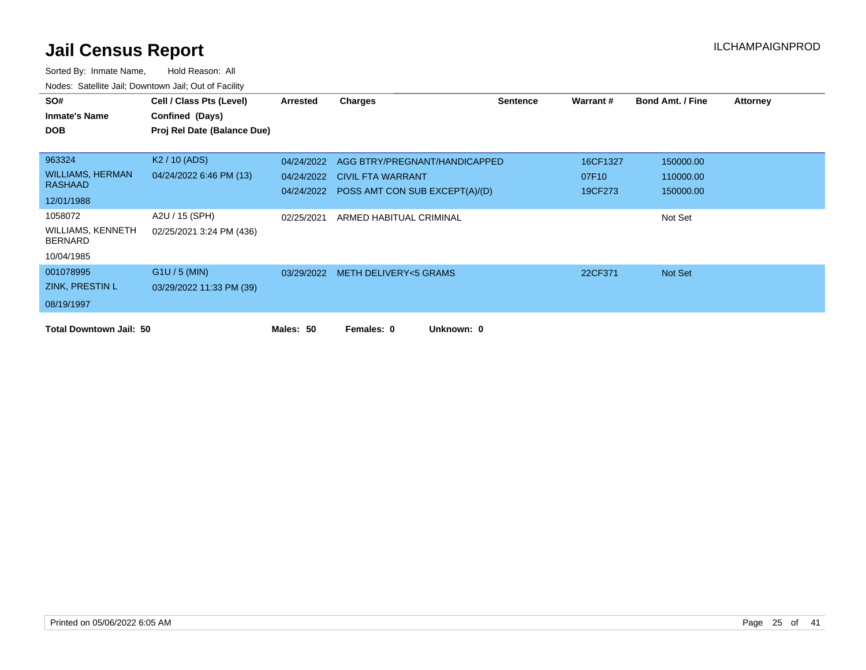| SO#                                 | Cell / Class Pts (Level)    | Arrested   | <b>Charges</b>                            | <b>Sentence</b> | Warrant# | <b>Bond Amt. / Fine</b> | Attorney |
|-------------------------------------|-----------------------------|------------|-------------------------------------------|-----------------|----------|-------------------------|----------|
| <b>Inmate's Name</b>                | Confined (Days)             |            |                                           |                 |          |                         |          |
| <b>DOB</b>                          | Proj Rel Date (Balance Due) |            |                                           |                 |          |                         |          |
|                                     |                             |            |                                           |                 |          |                         |          |
| 963324                              | K <sub>2</sub> / 10 (ADS)   | 04/24/2022 | AGG BTRY/PREGNANT/HANDICAPPED             |                 | 16CF1327 | 150000.00               |          |
| <b>WILLIAMS, HERMAN</b>             | 04/24/2022 6:46 PM (13)     | 04/24/2022 | <b>CIVIL FTA WARRANT</b>                  |                 | 07F10    | 110000.00               |          |
| <b>RASHAAD</b>                      |                             |            | 04/24/2022 POSS AMT CON SUB EXCEPT(A)/(D) |                 | 19CF273  | 150000.00               |          |
| 12/01/1988                          |                             |            |                                           |                 |          |                         |          |
| 1058072                             | A2U / 15 (SPH)              | 02/25/2021 | ARMED HABITUAL CRIMINAL                   |                 |          | Not Set                 |          |
| WILLIAMS, KENNETH<br><b>BERNARD</b> | 02/25/2021 3:24 PM (436)    |            |                                           |                 |          |                         |          |
| 10/04/1985                          |                             |            |                                           |                 |          |                         |          |
| 001078995                           | $G1U / 5$ (MIN)             |            | 03/29/2022 METH DELIVERY<5 GRAMS          |                 | 22CF371  | Not Set                 |          |
| ZINK, PRESTIN L                     | 03/29/2022 11:33 PM (39)    |            |                                           |                 |          |                         |          |
| 08/19/1997                          |                             |            |                                           |                 |          |                         |          |
| <b>Total Downtown Jail: 50</b>      |                             | Males: 50  | Unknown: 0<br>Females: 0                  |                 |          |                         |          |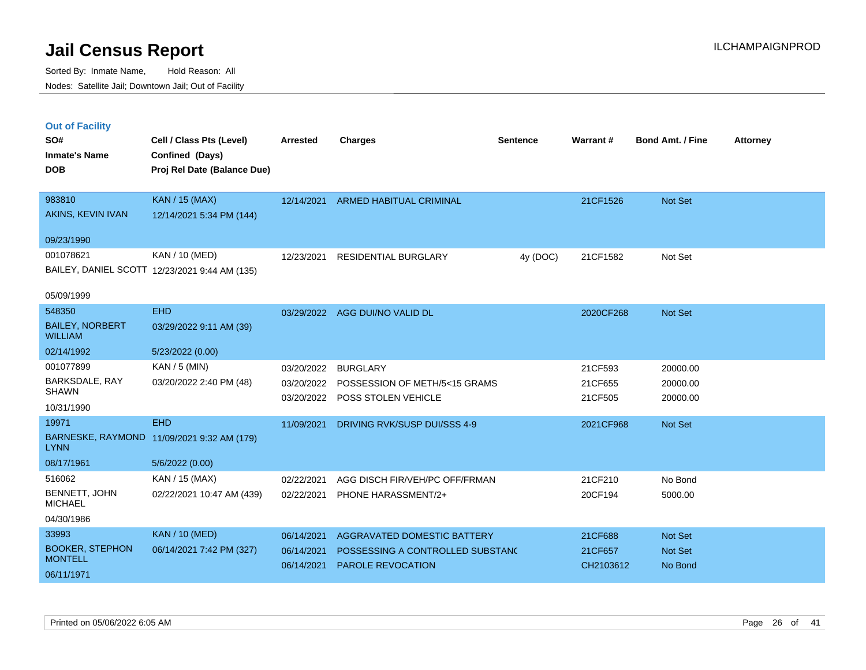|  | <b>Out of Facility</b> |  |
|--|------------------------|--|
|  |                        |  |
|  |                        |  |
|  |                        |  |

| SO#<br><b>Inmate's Name</b><br><b>DOB</b> | Cell / Class Pts (Level)<br>Confined (Days)<br>Proj Rel Date (Balance Due) | Arrested   | <b>Charges</b>                           | <b>Sentence</b> | Warrant#  | <b>Bond Amt. / Fine</b> | <b>Attorney</b> |
|-------------------------------------------|----------------------------------------------------------------------------|------------|------------------------------------------|-----------------|-----------|-------------------------|-----------------|
|                                           |                                                                            |            |                                          |                 |           |                         |                 |
| 983810                                    | <b>KAN / 15 (MAX)</b>                                                      | 12/14/2021 | <b>ARMED HABITUAL CRIMINAL</b>           |                 | 21CF1526  | <b>Not Set</b>          |                 |
| AKINS, KEVIN IVAN                         | 12/14/2021 5:34 PM (144)                                                   |            |                                          |                 |           |                         |                 |
| 09/23/1990                                |                                                                            |            |                                          |                 |           |                         |                 |
| 001078621                                 | KAN / 10 (MED)                                                             | 12/23/2021 | <b>RESIDENTIAL BURGLARY</b>              | 4y (DOC)        | 21CF1582  | Not Set                 |                 |
|                                           | BAILEY, DANIEL SCOTT 12/23/2021 9:44 AM (135)                              |            |                                          |                 |           |                         |                 |
| 05/09/1999                                |                                                                            |            |                                          |                 |           |                         |                 |
| 548350                                    | <b>EHD</b>                                                                 | 03/29/2022 | AGG DUI/NO VALID DL                      |                 | 2020CF268 | Not Set                 |                 |
| <b>BAILEY, NORBERT</b><br><b>WILLIAM</b>  | 03/29/2022 9:11 AM (39)                                                    |            |                                          |                 |           |                         |                 |
| 02/14/1992                                | 5/23/2022 (0.00)                                                           |            |                                          |                 |           |                         |                 |
| 001077899                                 | KAN / 5 (MIN)                                                              | 03/20/2022 | <b>BURGLARY</b>                          |                 | 21CF593   | 20000.00                |                 |
| BARKSDALE, RAY<br><b>SHAWN</b>            | 03/20/2022 2:40 PM (48)                                                    |            | 03/20/2022 POSSESSION OF METH/5<15 GRAMS |                 | 21CF655   | 20000.00                |                 |
| 10/31/1990                                |                                                                            | 03/20/2022 | POSS STOLEN VEHICLE                      |                 | 21CF505   | 20000.00                |                 |
| 19971                                     | <b>EHD</b>                                                                 | 11/09/2021 | DRIVING RVK/SUSP DUI/SSS 4-9             |                 | 2021CF968 | Not Set                 |                 |
| <b>LYNN</b>                               | BARNESKE, RAYMOND 11/09/2021 9:32 AM (179)                                 |            |                                          |                 |           |                         |                 |
| 08/17/1961                                | 5/6/2022 (0.00)                                                            |            |                                          |                 |           |                         |                 |
| 516062                                    | KAN / 15 (MAX)                                                             | 02/22/2021 | AGG DISCH FIR/VEH/PC OFF/FRMAN           |                 | 21CF210   | No Bond                 |                 |
| BENNETT, JOHN<br><b>MICHAEL</b>           | 02/22/2021 10:47 AM (439)                                                  | 02/22/2021 | PHONE HARASSMENT/2+                      |                 | 20CF194   | 5000.00                 |                 |
| 04/30/1986                                |                                                                            |            |                                          |                 |           |                         |                 |
| 33993                                     | <b>KAN / 10 (MED)</b>                                                      | 06/14/2021 | AGGRAVATED DOMESTIC BATTERY              |                 | 21CF688   | Not Set                 |                 |
| <b>BOOKER, STEPHON</b><br><b>MONTELL</b>  | 06/14/2021 7:42 PM (327)                                                   | 06/14/2021 | POSSESSING A CONTROLLED SUBSTANC         |                 | 21CF657   | Not Set                 |                 |
| 06/11/1971                                |                                                                            | 06/14/2021 | <b>PAROLE REVOCATION</b>                 |                 | CH2103612 | No Bond                 |                 |
|                                           |                                                                            |            |                                          |                 |           |                         |                 |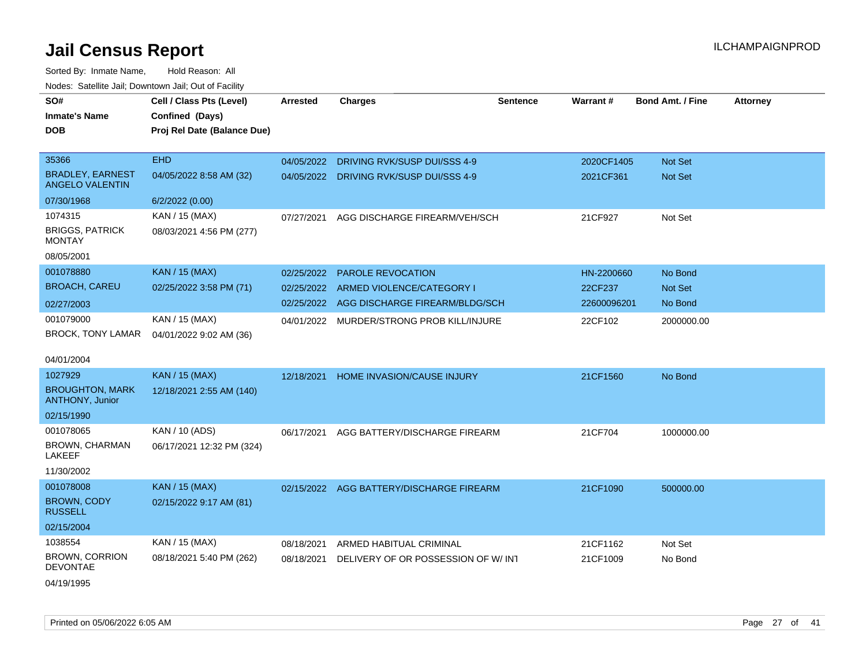| Noues. Sateme Jan, Downtown Jan, Out of Facility  |                             |                 |                                    |                 |                 |                         |                 |
|---------------------------------------------------|-----------------------------|-----------------|------------------------------------|-----------------|-----------------|-------------------------|-----------------|
| SO#                                               | Cell / Class Pts (Level)    | <b>Arrested</b> | <b>Charges</b>                     | <b>Sentence</b> | <b>Warrant#</b> | <b>Bond Amt. / Fine</b> | <b>Attorney</b> |
| Inmate's Name                                     | Confined (Days)             |                 |                                    |                 |                 |                         |                 |
| <b>DOB</b>                                        | Proj Rel Date (Balance Due) |                 |                                    |                 |                 |                         |                 |
|                                                   |                             |                 |                                    |                 |                 |                         |                 |
| 35366                                             | <b>EHD</b>                  | 04/05/2022      | DRIVING RVK/SUSP DUI/SSS 4-9       |                 | 2020CF1405      | <b>Not Set</b>          |                 |
| <b>BRADLEY, EARNEST</b><br><b>ANGELO VALENTIN</b> | 04/05/2022 8:58 AM (32)     | 04/05/2022      | DRIVING RVK/SUSP DUI/SSS 4-9       |                 | 2021CF361       | Not Set                 |                 |
| 07/30/1968                                        | 6/2/2022 (0.00)             |                 |                                    |                 |                 |                         |                 |
| 1074315                                           | KAN / 15 (MAX)              | 07/27/2021      | AGG DISCHARGE FIREARM/VEH/SCH      |                 | 21CF927         | Not Set                 |                 |
| <b>BRIGGS, PATRICK</b><br>MONTAY                  | 08/03/2021 4:56 PM (277)    |                 |                                    |                 |                 |                         |                 |
| 08/05/2001                                        |                             |                 |                                    |                 |                 |                         |                 |
| 001078880                                         | <b>KAN / 15 (MAX)</b>       | 02/25/2022      | <b>PAROLE REVOCATION</b>           |                 | HN-2200660      | No Bond                 |                 |
| <b>BROACH, CAREU</b>                              | 02/25/2022 3:58 PM (71)     | 02/25/2022      | ARMED VIOLENCE/CATEGORY I          |                 | 22CF237         | <b>Not Set</b>          |                 |
| 02/27/2003                                        |                             | 02/25/2022      | AGG DISCHARGE FIREARM/BLDG/SCH     |                 | 22600096201     | No Bond                 |                 |
| 001079000                                         | KAN / 15 (MAX)              | 04/01/2022      | MURDER/STRONG PROB KILL/INJURE     |                 | 22CF102         | 2000000.00              |                 |
| <b>BROCK, TONY LAMAR</b>                          | 04/01/2022 9:02 AM (36)     |                 |                                    |                 |                 |                         |                 |
|                                                   |                             |                 |                                    |                 |                 |                         |                 |
| 04/01/2004                                        |                             |                 |                                    |                 |                 |                         |                 |
| 1027929                                           | <b>KAN / 15 (MAX)</b>       | 12/18/2021      | HOME INVASION/CAUSE INJURY         |                 | 21CF1560        | No Bond                 |                 |
| <b>BROUGHTON, MARK</b><br><b>ANTHONY, Junior</b>  | 12/18/2021 2:55 AM (140)    |                 |                                    |                 |                 |                         |                 |
| 02/15/1990                                        |                             |                 |                                    |                 |                 |                         |                 |
| 001078065                                         | KAN / 10 (ADS)              | 06/17/2021      | AGG BATTERY/DISCHARGE FIREARM      |                 | 21CF704         | 1000000.00              |                 |
| BROWN, CHARMAN<br>LAKEEF                          | 06/17/2021 12:32 PM (324)   |                 |                                    |                 |                 |                         |                 |
| 11/30/2002                                        |                             |                 |                                    |                 |                 |                         |                 |
| 001078008                                         | <b>KAN / 15 (MAX)</b>       | 02/15/2022      | AGG BATTERY/DISCHARGE FIREARM      |                 | 21CF1090        | 500000.00               |                 |
| <b>BROWN, CODY</b><br><b>RUSSELL</b>              | 02/15/2022 9:17 AM (81)     |                 |                                    |                 |                 |                         |                 |
| 02/15/2004                                        |                             |                 |                                    |                 |                 |                         |                 |
| 1038554                                           | KAN / 15 (MAX)              | 08/18/2021      | ARMED HABITUAL CRIMINAL            |                 | 21CF1162        | Not Set                 |                 |
| <b>BROWN, CORRION</b><br><b>DEVONTAE</b>          | 08/18/2021 5:40 PM (262)    | 08/18/2021      | DELIVERY OF OR POSSESSION OF W/INT |                 | 21CF1009        | No Bond                 |                 |
| 04/19/1995                                        |                             |                 |                                    |                 |                 |                         |                 |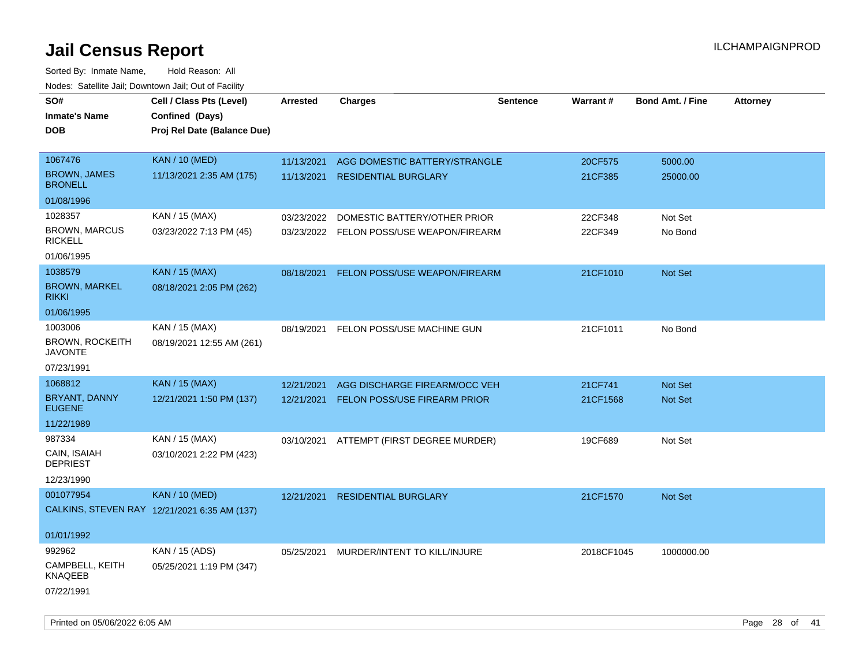| roaco. Catolino dall, Downtown dall, Out of Fability |                                              |            |                                          |                 |                 |                         |                 |
|------------------------------------------------------|----------------------------------------------|------------|------------------------------------------|-----------------|-----------------|-------------------------|-----------------|
| SO#                                                  | Cell / Class Pts (Level)                     | Arrested   | <b>Charges</b>                           | <b>Sentence</b> | <b>Warrant#</b> | <b>Bond Amt. / Fine</b> | <b>Attorney</b> |
| <b>Inmate's Name</b>                                 | Confined (Days)                              |            |                                          |                 |                 |                         |                 |
| <b>DOB</b>                                           | Proj Rel Date (Balance Due)                  |            |                                          |                 |                 |                         |                 |
|                                                      |                                              |            |                                          |                 |                 |                         |                 |
| 1067476                                              | <b>KAN / 10 (MED)</b>                        | 11/13/2021 | AGG DOMESTIC BATTERY/STRANGLE            |                 | 20CF575         | 5000.00                 |                 |
| <b>BROWN, JAMES</b><br><b>BRONELL</b>                | 11/13/2021 2:35 AM (175)                     | 11/13/2021 | <b>RESIDENTIAL BURGLARY</b>              |                 | 21CF385         | 25000.00                |                 |
| 01/08/1996                                           |                                              |            |                                          |                 |                 |                         |                 |
| 1028357                                              | KAN / 15 (MAX)                               | 03/23/2022 | DOMESTIC BATTERY/OTHER PRIOR             |                 | 22CF348         | Not Set                 |                 |
| <b>BROWN, MARCUS</b><br><b>RICKELL</b>               | 03/23/2022 7:13 PM (45)                      |            | 03/23/2022 FELON POSS/USE WEAPON/FIREARM |                 | 22CF349         | No Bond                 |                 |
| 01/06/1995                                           |                                              |            |                                          |                 |                 |                         |                 |
| 1038579                                              | <b>KAN / 15 (MAX)</b>                        | 08/18/2021 | FELON POSS/USE WEAPON/FIREARM            |                 | 21CF1010        | Not Set                 |                 |
| <b>BROWN, MARKEL</b><br><b>RIKKI</b>                 | 08/18/2021 2:05 PM (262)                     |            |                                          |                 |                 |                         |                 |
| 01/06/1995                                           |                                              |            |                                          |                 |                 |                         |                 |
| 1003006                                              | KAN / 15 (MAX)                               | 08/19/2021 | FELON POSS/USE MACHINE GUN               |                 | 21CF1011        | No Bond                 |                 |
| <b>BROWN, ROCKEITH</b><br><b>JAVONTE</b>             | 08/19/2021 12:55 AM (261)                    |            |                                          |                 |                 |                         |                 |
| 07/23/1991                                           |                                              |            |                                          |                 |                 |                         |                 |
| 1068812                                              | <b>KAN / 15 (MAX)</b>                        | 12/21/2021 | AGG DISCHARGE FIREARM/OCC VEH            |                 | 21CF741         | Not Set                 |                 |
| BRYANT, DANNY<br><b>EUGENE</b>                       | 12/21/2021 1:50 PM (137)                     | 12/21/2021 | <b>FELON POSS/USE FIREARM PRIOR</b>      |                 | 21CF1568        | <b>Not Set</b>          |                 |
| 11/22/1989                                           |                                              |            |                                          |                 |                 |                         |                 |
| 987334                                               | KAN / 15 (MAX)                               |            | 03/10/2021 ATTEMPT (FIRST DEGREE MURDER) |                 | 19CF689         | Not Set                 |                 |
| CAIN, ISAIAH<br><b>DEPRIEST</b>                      | 03/10/2021 2:22 PM (423)                     |            |                                          |                 |                 |                         |                 |
| 12/23/1990                                           |                                              |            |                                          |                 |                 |                         |                 |
| 001077954                                            | <b>KAN / 10 (MED)</b>                        | 12/21/2021 | <b>RESIDENTIAL BURGLARY</b>              |                 | 21CF1570        | <b>Not Set</b>          |                 |
|                                                      | CALKINS, STEVEN RAY 12/21/2021 6:35 AM (137) |            |                                          |                 |                 |                         |                 |
|                                                      |                                              |            |                                          |                 |                 |                         |                 |
| 01/01/1992                                           |                                              |            |                                          |                 |                 |                         |                 |
| 992962                                               | KAN / 15 (ADS)                               | 05/25/2021 | MURDER/INTENT TO KILL/INJURE             |                 | 2018CF1045      | 1000000.00              |                 |
| CAMPBELL, KEITH<br>KNAQEEB                           | 05/25/2021 1:19 PM (347)                     |            |                                          |                 |                 |                         |                 |
| 07/22/1991                                           |                                              |            |                                          |                 |                 |                         |                 |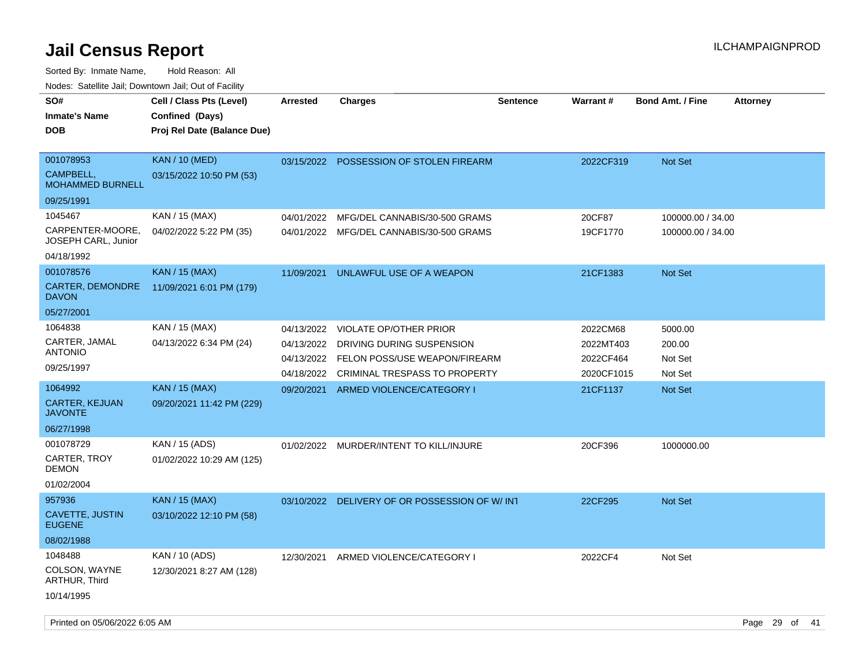Sorted By: Inmate Name, Hold Reason: All

Nodes: Satellite Jail; Downtown Jail; Out of Facility

| SO#<br><b>Inmate's Name</b><br><b>DOB</b>                | Cell / Class Pts (Level)<br>Confined (Days)<br>Proj Rel Date (Balance Due) | <b>Arrested</b>          | <b>Charges</b>                                             | <b>Sentence</b> | Warrant#               | <b>Bond Amt. / Fine</b> | <b>Attorney</b> |
|----------------------------------------------------------|----------------------------------------------------------------------------|--------------------------|------------------------------------------------------------|-----------------|------------------------|-------------------------|-----------------|
| 001078953<br><b>CAMPBELL.</b><br><b>MOHAMMED BURNELL</b> | <b>KAN / 10 (MED)</b><br>03/15/2022 10:50 PM (53)                          |                          | 03/15/2022 POSSESSION OF STOLEN FIREARM                    |                 | 2022CF319              | Not Set                 |                 |
| 09/25/1991                                               |                                                                            |                          |                                                            |                 |                        |                         |                 |
| 1045467                                                  | KAN / 15 (MAX)                                                             | 04/01/2022               | MFG/DEL CANNABIS/30-500 GRAMS                              |                 | 20CF87                 | 100000.00 / 34.00       |                 |
| CARPENTER-MOORE,<br>JOSEPH CARL, Junior                  | 04/02/2022 5:22 PM (35)                                                    |                          | 04/01/2022 MFG/DEL CANNABIS/30-500 GRAMS                   |                 | 19CF1770               | 100000.00 / 34.00       |                 |
| 04/18/1992                                               |                                                                            |                          |                                                            |                 |                        |                         |                 |
| 001078576                                                | <b>KAN / 15 (MAX)</b>                                                      | 11/09/2021               | UNLAWFUL USE OF A WEAPON                                   |                 | 21CF1383               | <b>Not Set</b>          |                 |
| CARTER, DEMONDRE<br><b>DAVON</b>                         | 11/09/2021 6:01 PM (179)                                                   |                          |                                                            |                 |                        |                         |                 |
| 05/27/2001                                               |                                                                            |                          |                                                            |                 |                        |                         |                 |
| 1064838                                                  | KAN / 15 (MAX)                                                             | 04/13/2022               | <b>VIOLATE OP/OTHER PRIOR</b>                              |                 | 2022CM68               | 5000.00                 |                 |
| CARTER, JAMAL<br><b>ANTONIO</b>                          | 04/13/2022 6:34 PM (24)                                                    | 04/13/2022<br>04/13/2022 | DRIVING DURING SUSPENSION<br>FELON POSS/USE WEAPON/FIREARM |                 | 2022MT403<br>2022CF464 | 200.00<br>Not Set       |                 |
| 09/25/1997                                               |                                                                            | 04/18/2022               | CRIMINAL TRESPASS TO PROPERTY                              |                 | 2020CF1015             | Not Set                 |                 |
| 1064992                                                  | <b>KAN / 15 (MAX)</b>                                                      | 09/20/2021               | ARMED VIOLENCE/CATEGORY I                                  |                 | 21CF1137               | <b>Not Set</b>          |                 |
| <b>CARTER, KEJUAN</b><br><b>JAVONTE</b>                  | 09/20/2021 11:42 PM (229)                                                  |                          |                                                            |                 |                        |                         |                 |
| 06/27/1998                                               |                                                                            |                          |                                                            |                 |                        |                         |                 |
| 001078729                                                | KAN / 15 (ADS)                                                             | 01/02/2022               | MURDER/INTENT TO KILL/INJURE                               |                 | 20CF396                | 1000000.00              |                 |
| CARTER, TROY<br><b>DEMON</b>                             | 01/02/2022 10:29 AM (125)                                                  |                          |                                                            |                 |                        |                         |                 |
| 01/02/2004                                               |                                                                            |                          |                                                            |                 |                        |                         |                 |
| 957936                                                   | <b>KAN</b> / 15 (MAX)                                                      |                          | 03/10/2022 DELIVERY OF OR POSSESSION OF W/INT              |                 | 22CF295                | <b>Not Set</b>          |                 |
| <b>CAVETTE, JUSTIN</b><br><b>EUGENE</b>                  | 03/10/2022 12:10 PM (58)                                                   |                          |                                                            |                 |                        |                         |                 |
| 08/02/1988                                               |                                                                            |                          |                                                            |                 |                        |                         |                 |
| 1048488                                                  | KAN / 10 (ADS)                                                             | 12/30/2021               | ARMED VIOLENCE/CATEGORY I                                  |                 | 2022CF4                | Not Set                 |                 |
| COLSON, WAYNE<br>ARTHUR, Third                           | 12/30/2021 8:27 AM (128)                                                   |                          |                                                            |                 |                        |                         |                 |
| 10/14/1995                                               |                                                                            |                          |                                                            |                 |                        |                         |                 |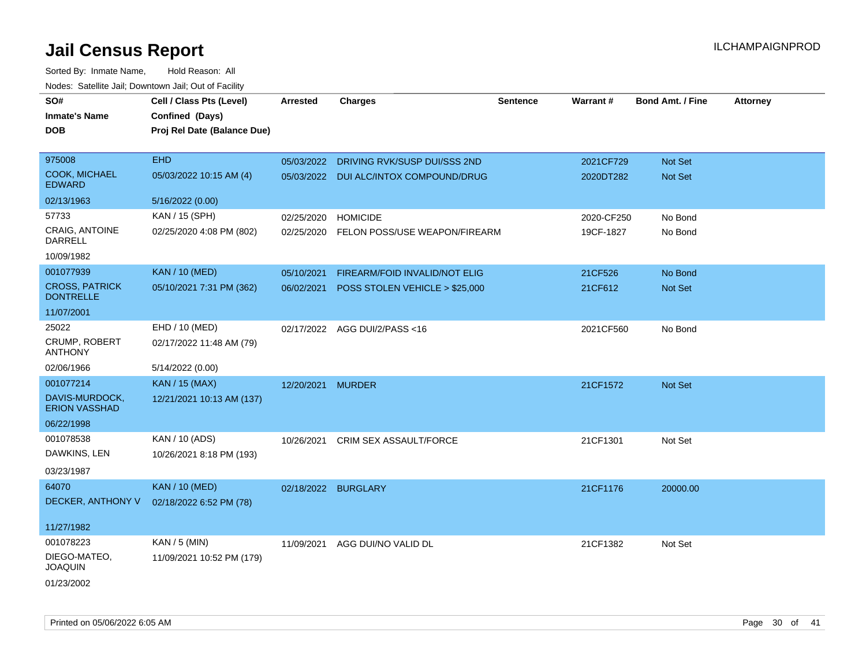| roaco. Catolino cali, Downtown cali, Out of Fability |                             |                     |                                         |                 |            |                         |                 |
|------------------------------------------------------|-----------------------------|---------------------|-----------------------------------------|-----------------|------------|-------------------------|-----------------|
| SO#                                                  | Cell / Class Pts (Level)    | <b>Arrested</b>     | <b>Charges</b>                          | <b>Sentence</b> | Warrant#   | <b>Bond Amt. / Fine</b> | <b>Attorney</b> |
| <b>Inmate's Name</b>                                 | Confined (Days)             |                     |                                         |                 |            |                         |                 |
| <b>DOB</b>                                           | Proj Rel Date (Balance Due) |                     |                                         |                 |            |                         |                 |
|                                                      |                             |                     |                                         |                 |            |                         |                 |
| 975008                                               | <b>EHD</b>                  |                     | 05/03/2022 DRIVING RVK/SUSP DUI/SSS 2ND |                 | 2021CF729  | Not Set                 |                 |
| <b>COOK, MICHAEL</b><br><b>EDWARD</b>                | 05/03/2022 10:15 AM (4)     |                     | 05/03/2022 DUI ALC/INTOX COMPOUND/DRUG  |                 | 2020DT282  | Not Set                 |                 |
| 02/13/1963                                           | 5/16/2022 (0.00)            |                     |                                         |                 |            |                         |                 |
| 57733                                                | KAN / 15 (SPH)              | 02/25/2020          | <b>HOMICIDE</b>                         |                 | 2020-CF250 | No Bond                 |                 |
| CRAIG, ANTOINE<br>DARRELL                            | 02/25/2020 4:08 PM (802)    | 02/25/2020          | FELON POSS/USE WEAPON/FIREARM           |                 | 19CF-1827  | No Bond                 |                 |
| 10/09/1982                                           |                             |                     |                                         |                 |            |                         |                 |
| 001077939                                            | <b>KAN / 10 (MED)</b>       | 05/10/2021          | FIREARM/FOID INVALID/NOT ELIG           |                 | 21CF526    | No Bond                 |                 |
| <b>CROSS, PATRICK</b><br><b>DONTRELLE</b>            | 05/10/2021 7:31 PM (362)    | 06/02/2021          | POSS STOLEN VEHICLE > \$25,000          |                 | 21CF612    | Not Set                 |                 |
| 11/07/2001                                           |                             |                     |                                         |                 |            |                         |                 |
| 25022                                                | EHD / 10 (MED)              |                     | 02/17/2022 AGG DUI/2/PASS<16            |                 | 2021CF560  | No Bond                 |                 |
| CRUMP, ROBERT<br>ANTHONY                             | 02/17/2022 11:48 AM (79)    |                     |                                         |                 |            |                         |                 |
| 02/06/1966                                           | 5/14/2022 (0.00)            |                     |                                         |                 |            |                         |                 |
| 001077214                                            | <b>KAN / 15 (MAX)</b>       | 12/20/2021          | <b>MURDER</b>                           |                 | 21CF1572   | Not Set                 |                 |
| DAVIS-MURDOCK,<br><b>ERION VASSHAD</b>               | 12/21/2021 10:13 AM (137)   |                     |                                         |                 |            |                         |                 |
| 06/22/1998                                           |                             |                     |                                         |                 |            |                         |                 |
| 001078538                                            | KAN / 10 (ADS)              | 10/26/2021          | <b>CRIM SEX ASSAULT/FORCE</b>           |                 | 21CF1301   | Not Set                 |                 |
| DAWKINS, LEN                                         | 10/26/2021 8:18 PM (193)    |                     |                                         |                 |            |                         |                 |
| 03/23/1987                                           |                             |                     |                                         |                 |            |                         |                 |
| 64070                                                | <b>KAN / 10 (MED)</b>       | 02/18/2022 BURGLARY |                                         |                 | 21CF1176   | 20000.00                |                 |
| DECKER, ANTHONY V                                    | 02/18/2022 6:52 PM (78)     |                     |                                         |                 |            |                         |                 |
|                                                      |                             |                     |                                         |                 |            |                         |                 |
| 11/27/1982                                           |                             |                     |                                         |                 |            |                         |                 |
| 001078223                                            | KAN / 5 (MIN)               | 11/09/2021          | AGG DUI/NO VALID DL                     |                 | 21CF1382   | Not Set                 |                 |
| DIEGO-MATEO,<br><b>JOAQUIN</b>                       | 11/09/2021 10:52 PM (179)   |                     |                                         |                 |            |                         |                 |
| 01/23/2002                                           |                             |                     |                                         |                 |            |                         |                 |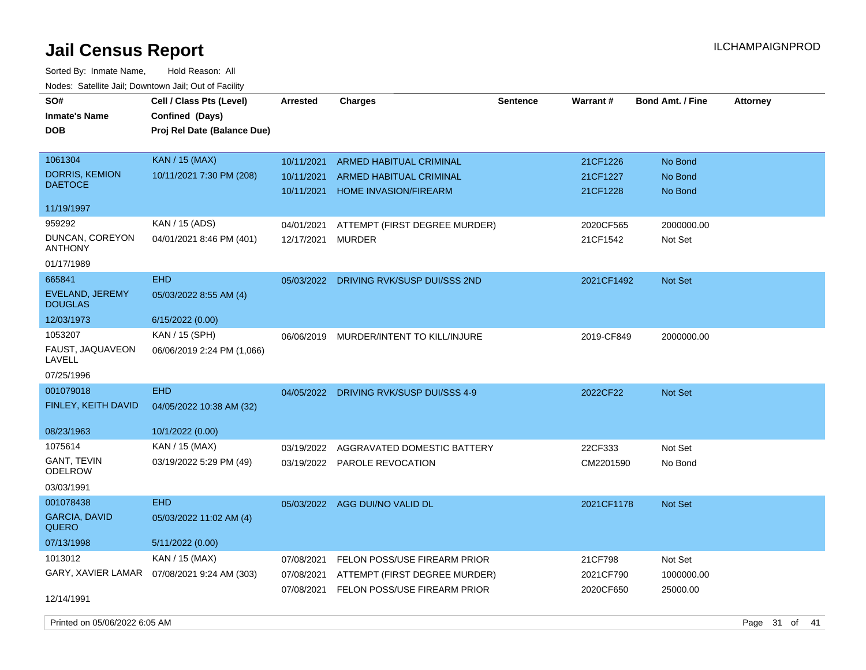Sorted By: Inmate Name, Hold Reason: All Nodes: Satellite Jail; Downtown Jail; Out of Facility

| SO#<br><b>Inmate's Name</b><br>DOB      | Cell / Class Pts (Level)<br>Confined (Days)<br>Proj Rel Date (Balance Due) | <b>Arrested</b>          | <b>Charges</b>                                                 | <b>Sentence</b> | Warrant#             | <b>Bond Amt. / Fine</b> | <b>Attorney</b> |
|-----------------------------------------|----------------------------------------------------------------------------|--------------------------|----------------------------------------------------------------|-----------------|----------------------|-------------------------|-----------------|
| 1061304                                 | <b>KAN / 15 (MAX)</b>                                                      | 10/11/2021               | <b>ARMED HABITUAL CRIMINAL</b>                                 |                 | 21CF1226             | No Bond                 |                 |
| <b>DORRIS, KEMION</b><br><b>DAETOCE</b> | 10/11/2021 7:30 PM (208)                                                   | 10/11/2021<br>10/11/2021 | <b>ARMED HABITUAL CRIMINAL</b><br><b>HOME INVASION/FIREARM</b> |                 | 21CF1227<br>21CF1228 | No Bond<br>No Bond      |                 |
| 11/19/1997                              |                                                                            |                          |                                                                |                 |                      |                         |                 |
| 959292                                  | KAN / 15 (ADS)                                                             | 04/01/2021               | ATTEMPT (FIRST DEGREE MURDER)                                  |                 | 2020CF565            | 2000000.00              |                 |
| DUNCAN, COREYON<br>ANTHONY              | 04/01/2021 8:46 PM (401)                                                   | 12/17/2021               | <b>MURDER</b>                                                  |                 | 21CF1542             | Not Set                 |                 |
| 01/17/1989                              |                                                                            |                          |                                                                |                 |                      |                         |                 |
| 665841                                  | <b>EHD</b>                                                                 | 05/03/2022               | DRIVING RVK/SUSP DUI/SSS 2ND                                   |                 | 2021CF1492           | <b>Not Set</b>          |                 |
| EVELAND, JEREMY<br><b>DOUGLAS</b>       | 05/03/2022 8:55 AM (4)                                                     |                          |                                                                |                 |                      |                         |                 |
| 12/03/1973                              | 6/15/2022 (0.00)                                                           |                          |                                                                |                 |                      |                         |                 |
| 1053207<br>FAUST, JAQUAVEON<br>LAVELL   | KAN / 15 (SPH)<br>06/06/2019 2:24 PM (1,066)                               |                          | 06/06/2019 MURDER/INTENT TO KILL/INJURE                        |                 | 2019-CF849           | 2000000.00              |                 |
| 07/25/1996                              |                                                                            |                          |                                                                |                 |                      |                         |                 |
| 001079018                               | <b>EHD</b>                                                                 | 04/05/2022               | DRIVING RVK/SUSP DUI/SSS 4-9                                   |                 | 2022CF22             | <b>Not Set</b>          |                 |
| <b>FINLEY, KEITH DAVID</b>              | 04/05/2022 10:38 AM (32)                                                   |                          |                                                                |                 |                      |                         |                 |
| 08/23/1963                              | 10/1/2022 (0.00)                                                           |                          |                                                                |                 |                      |                         |                 |
| 1075614                                 | KAN / 15 (MAX)                                                             | 03/19/2022               | AGGRAVATED DOMESTIC BATTERY                                    |                 | 22CF333              | Not Set                 |                 |
| GANT, TEVIN<br>ODELROW                  | 03/19/2022 5:29 PM (49)                                                    |                          | 03/19/2022 PAROLE REVOCATION                                   |                 | CM2201590            | No Bond                 |                 |
| 03/03/1991                              |                                                                            |                          |                                                                |                 |                      |                         |                 |
| 001078438                               | <b>EHD</b>                                                                 |                          | 05/03/2022 AGG DUI/NO VALID DL                                 |                 | 2021CF1178           | Not Set                 |                 |
| <b>GARCIA, DAVID</b><br><b>QUERO</b>    | 05/03/2022 11:02 AM (4)                                                    |                          |                                                                |                 |                      |                         |                 |
| 07/13/1998                              | 5/11/2022 (0.00)                                                           |                          |                                                                |                 |                      |                         |                 |
| 1013012                                 | KAN / 15 (MAX)                                                             | 07/08/2021               | FELON POSS/USE FIREARM PRIOR                                   |                 | 21CF798              | Not Set                 |                 |
| GARY, XAVIER LAMAR                      | 07/08/2021 9:24 AM (303)                                                   | 07/08/2021               | ATTEMPT (FIRST DEGREE MURDER)                                  |                 | 2021CF790            | 1000000.00              |                 |
| 12/14/1991                              |                                                                            | 07/08/2021               | FELON POSS/USE FIREARM PRIOR                                   |                 | 2020CF650            | 25000.00                |                 |

Printed on 05/06/2022 6:05 AM Page 31 of 41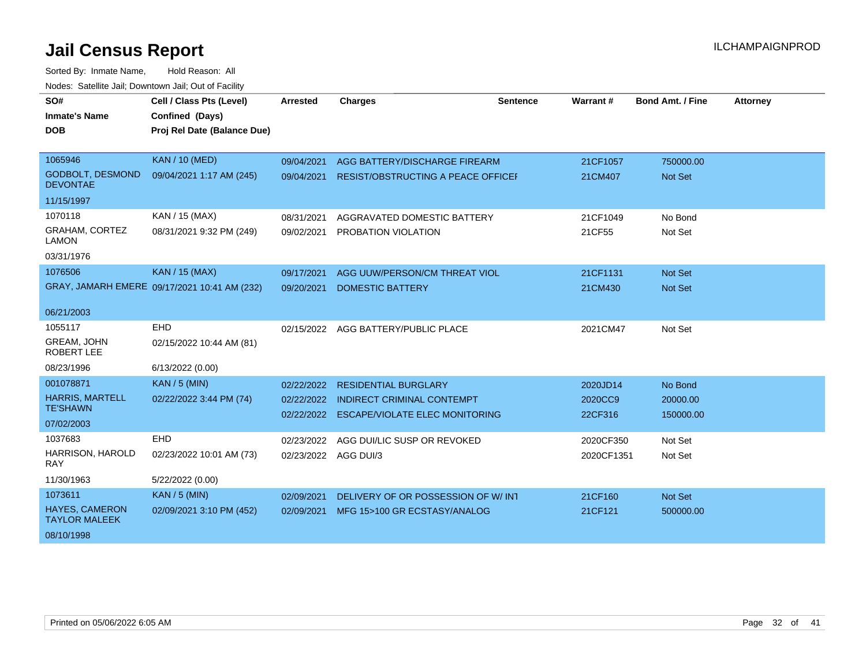| SO#<br><b>Inmate's Name</b><br><b>DOB</b>     | Cell / Class Pts (Level)<br>Confined (Days)<br>Proj Rel Date (Balance Due) | <b>Arrested</b>      | <b>Charges</b>                            | Sentence | Warrant #  | <b>Bond Amt. / Fine</b> | <b>Attorney</b> |
|-----------------------------------------------|----------------------------------------------------------------------------|----------------------|-------------------------------------------|----------|------------|-------------------------|-----------------|
|                                               |                                                                            |                      |                                           |          |            |                         |                 |
| 1065946                                       | <b>KAN / 10 (MED)</b>                                                      | 09/04/2021           | AGG BATTERY/DISCHARGE FIREARM             |          | 21CF1057   | 750000.00               |                 |
| <b>GODBOLT, DESMOND</b><br><b>DEVONTAE</b>    | 09/04/2021 1:17 AM (245)                                                   | 09/04/2021           | <b>RESIST/OBSTRUCTING A PEACE OFFICEF</b> |          | 21CM407    | <b>Not Set</b>          |                 |
| 11/15/1997                                    |                                                                            |                      |                                           |          |            |                         |                 |
| 1070118                                       | KAN / 15 (MAX)                                                             | 08/31/2021           | AGGRAVATED DOMESTIC BATTERY               |          | 21CF1049   | No Bond                 |                 |
| <b>GRAHAM, CORTEZ</b><br><b>LAMON</b>         | 08/31/2021 9:32 PM (249)                                                   | 09/02/2021           | <b>PROBATION VIOLATION</b>                |          | 21CF55     | Not Set                 |                 |
| 03/31/1976                                    |                                                                            |                      |                                           |          |            |                         |                 |
| 1076506                                       | <b>KAN / 15 (MAX)</b>                                                      | 09/17/2021           | AGG UUW/PERSON/CM THREAT VIOL             |          | 21CF1131   | Not Set                 |                 |
|                                               | GRAY, JAMARH EMERE 09/17/2021 10:41 AM (232)                               | 09/20/2021           | <b>DOMESTIC BATTERY</b>                   |          | 21CM430    | <b>Not Set</b>          |                 |
| 06/21/2003                                    |                                                                            |                      |                                           |          |            |                         |                 |
| 1055117                                       | <b>EHD</b>                                                                 | 02/15/2022           | AGG BATTERY/PUBLIC PLACE                  |          | 2021CM47   | Not Set                 |                 |
| GREAM, JOHN<br><b>ROBERT LEE</b>              | 02/15/2022 10:44 AM (81)                                                   |                      |                                           |          |            |                         |                 |
| 08/23/1996                                    | 6/13/2022 (0.00)                                                           |                      |                                           |          |            |                         |                 |
| 001078871                                     | <b>KAN / 5 (MIN)</b>                                                       | 02/22/2022           | <b>RESIDENTIAL BURGLARY</b>               |          | 2020JD14   | No Bond                 |                 |
| <b>HARRIS, MARTELL</b><br><b>TE'SHAWN</b>     | 02/22/2022 3:44 PM (74)                                                    | 02/22/2022           | <b>INDIRECT CRIMINAL CONTEMPT</b>         |          | 2020CC9    | 20000.00                |                 |
| 07/02/2003                                    |                                                                            |                      | 02/22/2022 ESCAPE/VIOLATE ELEC MONITORING |          | 22CF316    | 150000.00               |                 |
| 1037683                                       | <b>EHD</b>                                                                 |                      |                                           |          |            |                         |                 |
| HARRISON, HAROLD                              |                                                                            | 02/23/2022           | AGG DUI/LIC SUSP OR REVOKED               |          | 2020CF350  | Not Set                 |                 |
| <b>RAY</b>                                    | 02/23/2022 10:01 AM (73)                                                   | 02/23/2022 AGG DUI/3 |                                           |          | 2020CF1351 | Not Set                 |                 |
| 11/30/1963                                    | 5/22/2022 (0.00)                                                           |                      |                                           |          |            |                         |                 |
| 1073611                                       | <b>KAN / 5 (MIN)</b>                                                       | 02/09/2021           | DELIVERY OF OR POSSESSION OF W/INT        |          | 21CF160    | Not Set                 |                 |
| <b>HAYES, CAMERON</b><br><b>TAYLOR MALEEK</b> | 02/09/2021 3:10 PM (452)                                                   | 02/09/2021           | MFG 15>100 GR ECSTASY/ANALOG              |          | 21CF121    | 500000.00               |                 |
| 08/10/1998                                    |                                                                            |                      |                                           |          |            |                         |                 |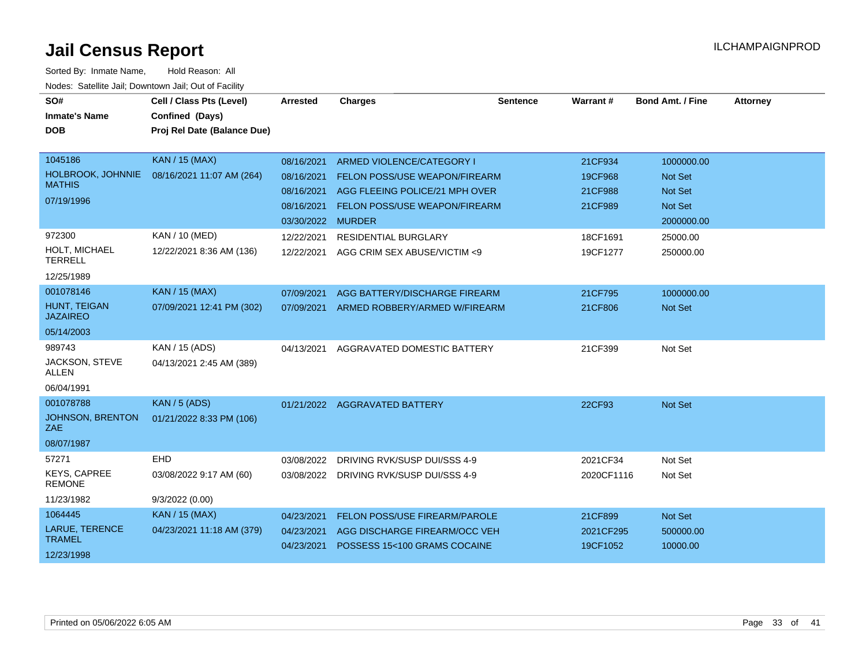| SO#<br><b>Inmate's Name</b><br><b>DOB</b>                   | Cell / Class Pts (Level)<br>Confined (Days)<br>Proj Rel Date (Balance Due) | <b>Arrested</b>                                                           | <b>Charges</b>                                                                                                                       | <b>Sentence</b> | Warrant#                                 | <b>Bond Amt. / Fine</b>                                                 | <b>Attorney</b> |
|-------------------------------------------------------------|----------------------------------------------------------------------------|---------------------------------------------------------------------------|--------------------------------------------------------------------------------------------------------------------------------------|-----------------|------------------------------------------|-------------------------------------------------------------------------|-----------------|
| 1045186<br>HOLBROOK, JOHNNIE<br><b>MATHIS</b><br>07/19/1996 | <b>KAN / 15 (MAX)</b><br>08/16/2021 11:07 AM (264)                         | 08/16/2021<br>08/16/2021<br>08/16/2021<br>08/16/2021<br>03/30/2022 MURDER | ARMED VIOLENCE/CATEGORY I<br>FELON POSS/USE WEAPON/FIREARM<br>AGG FLEEING POLICE/21 MPH OVER<br><b>FELON POSS/USE WEAPON/FIREARM</b> |                 | 21CF934<br>19CF968<br>21CF988<br>21CF989 | 1000000.00<br>Not Set<br><b>Not Set</b><br><b>Not Set</b><br>2000000.00 |                 |
| 972300<br>HOLT, MICHAEL<br><b>TERRELL</b><br>12/25/1989     | <b>KAN / 10 (MED)</b><br>12/22/2021 8:36 AM (136)                          | 12/22/2021<br>12/22/2021                                                  | <b>RESIDENTIAL BURGLARY</b><br>AGG CRIM SEX ABUSE/VICTIM <9                                                                          |                 | 18CF1691<br>19CF1277                     | 25000.00<br>250000.00                                                   |                 |
| 001078146<br>HUNT, TEIGAN<br><b>JAZAIREO</b><br>05/14/2003  | <b>KAN / 15 (MAX)</b><br>07/09/2021 12:41 PM (302)                         | 07/09/2021<br>07/09/2021                                                  | AGG BATTERY/DISCHARGE FIREARM<br>ARMED ROBBERY/ARMED W/FIREARM                                                                       |                 | 21CF795<br>21CF806                       | 1000000.00<br><b>Not Set</b>                                            |                 |
| 989743<br>JACKSON, STEVE<br><b>ALLEN</b><br>06/04/1991      | KAN / 15 (ADS)<br>04/13/2021 2:45 AM (389)                                 | 04/13/2021                                                                | AGGRAVATED DOMESTIC BATTERY                                                                                                          |                 | 21CF399                                  | Not Set                                                                 |                 |
| 001078788<br><b>JOHNSON, BRENTON</b><br>ZAE<br>08/07/1987   | <b>KAN / 5 (ADS)</b><br>01/21/2022 8:33 PM (106)                           |                                                                           | 01/21/2022 AGGRAVATED BATTERY                                                                                                        |                 | 22CF93                                   | Not Set                                                                 |                 |
| 57271<br><b>KEYS, CAPREE</b><br><b>REMONE</b><br>11/23/1982 | EHD<br>03/08/2022 9:17 AM (60)<br>9/3/2022(0.00)                           | 03/08/2022                                                                | DRIVING RVK/SUSP DUI/SSS 4-9<br>03/08/2022 DRIVING RVK/SUSP DUI/SSS 4-9                                                              |                 | 2021CF34<br>2020CF1116                   | Not Set<br>Not Set                                                      |                 |
| 1064445<br>LARUE, TERENCE<br><b>TRAMEL</b><br>12/23/1998    | <b>KAN / 15 (MAX)</b><br>04/23/2021 11:18 AM (379)                         | 04/23/2021<br>04/23/2021<br>04/23/2021                                    | <b>FELON POSS/USE FIREARM/PAROLE</b><br>AGG DISCHARGE FIREARM/OCC VEH<br>POSSESS 15<100 GRAMS COCAINE                                |                 | 21CF899<br>2021CF295<br>19CF1052         | Not Set<br>500000.00<br>10000.00                                        |                 |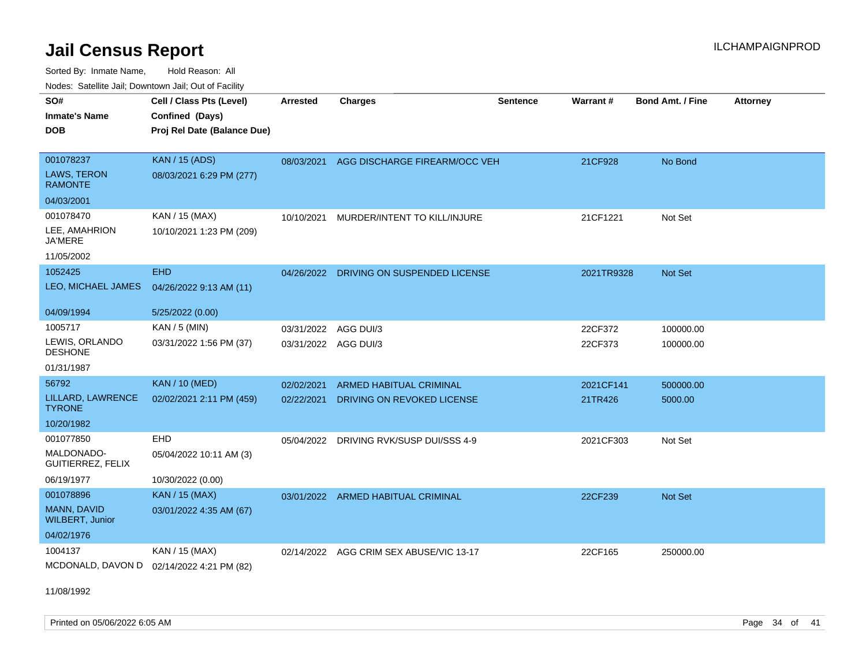Sorted By: Inmate Name, Hold Reason: All

| Nodes: Satellite Jail; Downtown Jail; Out of Facility |                             |                      |                                         |                 |            |                  |                 |
|-------------------------------------------------------|-----------------------------|----------------------|-----------------------------------------|-----------------|------------|------------------|-----------------|
| SO#                                                   | Cell / Class Pts (Level)    | <b>Arrested</b>      | <b>Charges</b>                          | <b>Sentence</b> | Warrant#   | Bond Amt. / Fine | <b>Attorney</b> |
| <b>Inmate's Name</b>                                  | Confined (Days)             |                      |                                         |                 |            |                  |                 |
| <b>DOB</b>                                            | Proj Rel Date (Balance Due) |                      |                                         |                 |            |                  |                 |
|                                                       |                             |                      |                                         |                 |            |                  |                 |
| 001078237                                             | <b>KAN / 15 (ADS)</b>       | 08/03/2021           | AGG DISCHARGE FIREARM/OCC VEH           |                 | 21CF928    | No Bond          |                 |
| LAWS, TERON<br><b>RAMONTE</b>                         | 08/03/2021 6:29 PM (277)    |                      |                                         |                 |            |                  |                 |
| 04/03/2001                                            |                             |                      |                                         |                 |            |                  |                 |
| 001078470                                             | KAN / 15 (MAX)              | 10/10/2021           | MURDER/INTENT TO KILL/INJURE            |                 | 21CF1221   | Not Set          |                 |
| LEE, AMAHRION<br>JA'MERE                              | 10/10/2021 1:23 PM (209)    |                      |                                         |                 |            |                  |                 |
| 11/05/2002                                            |                             |                      |                                         |                 |            |                  |                 |
| 1052425                                               | <b>EHD</b>                  |                      | 04/26/2022 DRIVING ON SUSPENDED LICENSE |                 | 2021TR9328 | <b>Not Set</b>   |                 |
| LEO, MICHAEL JAMES                                    | 04/26/2022 9:13 AM (11)     |                      |                                         |                 |            |                  |                 |
|                                                       |                             |                      |                                         |                 |            |                  |                 |
| 04/09/1994                                            | 5/25/2022 (0.00)            |                      |                                         |                 |            |                  |                 |
| 1005717                                               | KAN / 5 (MIN)               | 03/31/2022           | AGG DUI/3                               |                 | 22CF372    | 100000.00        |                 |
| LEWIS, ORLANDO<br><b>DESHONE</b>                      | 03/31/2022 1:56 PM (37)     | 03/31/2022 AGG DUI/3 |                                         |                 | 22CF373    | 100000.00        |                 |
| 01/31/1987                                            |                             |                      |                                         |                 |            |                  |                 |
| 56792                                                 | <b>KAN / 10 (MED)</b>       | 02/02/2021           | ARMED HABITUAL CRIMINAL                 |                 | 2021CF141  | 500000.00        |                 |
| LILLARD, LAWRENCE<br><b>TYRONE</b>                    | 02/02/2021 2:11 PM (459)    | 02/22/2021           | DRIVING ON REVOKED LICENSE              |                 | 21TR426    | 5000.00          |                 |
| 10/20/1982                                            |                             |                      |                                         |                 |            |                  |                 |
| 001077850                                             | EHD                         | 05/04/2022           | DRIVING RVK/SUSP DUI/SSS 4-9            |                 | 2021CF303  | Not Set          |                 |
| MALDONADO-<br>GUITIERREZ, FELIX                       | 05/04/2022 10:11 AM (3)     |                      |                                         |                 |            |                  |                 |
| 06/19/1977                                            | 10/30/2022 (0.00)           |                      |                                         |                 |            |                  |                 |
| 001078896                                             | <b>KAN / 15 (MAX)</b>       | 03/01/2022           | ARMED HABITUAL CRIMINAL                 |                 | 22CF239    | Not Set          |                 |
| MANN, DAVID<br><b>WILBERT, Junior</b>                 | 03/01/2022 4:35 AM (67)     |                      |                                         |                 |            |                  |                 |
| 04/02/1976                                            |                             |                      |                                         |                 |            |                  |                 |
| 1004137                                               | KAN / 15 (MAX)              | 02/14/2022           | AGG CRIM SEX ABUSE/VIC 13-17            |                 | 22CF165    | 250000.00        |                 |
| MCDONALD, DAVON D                                     | 02/14/2022 4:21 PM (82)     |                      |                                         |                 |            |                  |                 |

11/08/1992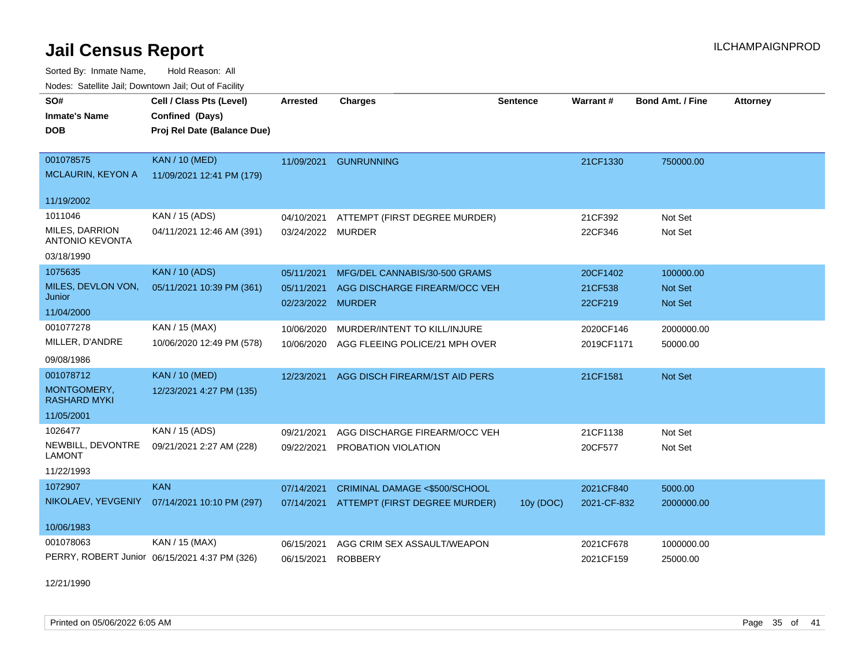Sorted By: Inmate Name, Hold Reason: All Nodes: Satellite Jail; Downtown Jail; Out of Facility

| SO#                                      | Cell / Class Pts (Level)                      | Arrested          | <b>Charges</b>                 | <b>Sentence</b> | Warrant#    | <b>Bond Amt. / Fine</b> | <b>Attorney</b> |
|------------------------------------------|-----------------------------------------------|-------------------|--------------------------------|-----------------|-------------|-------------------------|-----------------|
| <b>Inmate's Name</b>                     | Confined (Days)                               |                   |                                |                 |             |                         |                 |
| <b>DOB</b>                               | Proj Rel Date (Balance Due)                   |                   |                                |                 |             |                         |                 |
|                                          |                                               |                   |                                |                 |             |                         |                 |
| 001078575                                | <b>KAN / 10 (MED)</b>                         | 11/09/2021        | <b>GUNRUNNING</b>              |                 | 21CF1330    | 750000.00               |                 |
| <b>MCLAURIN, KEYON A</b>                 | 11/09/2021 12:41 PM (179)                     |                   |                                |                 |             |                         |                 |
| 11/19/2002                               |                                               |                   |                                |                 |             |                         |                 |
| 1011046                                  | KAN / 15 (ADS)                                | 04/10/2021        | ATTEMPT (FIRST DEGREE MURDER)  |                 | 21CF392     | Not Set                 |                 |
| MILES, DARRION<br><b>ANTONIO KEVONTA</b> | 04/11/2021 12:46 AM (391)                     | 03/24/2022 MURDER |                                |                 | 22CF346     | Not Set                 |                 |
| 03/18/1990                               |                                               |                   |                                |                 |             |                         |                 |
| 1075635                                  | <b>KAN / 10 (ADS)</b>                         | 05/11/2021        | MFG/DEL CANNABIS/30-500 GRAMS  |                 | 20CF1402    | 100000.00               |                 |
| MILES, DEVLON VON,                       | 05/11/2021 10:39 PM (361)                     | 05/11/2021        | AGG DISCHARGE FIREARM/OCC VEH  |                 | 21CF538     | <b>Not Set</b>          |                 |
| Junior                                   |                                               | 02/23/2022 MURDER |                                |                 | 22CF219     | <b>Not Set</b>          |                 |
| 11/04/2000                               |                                               |                   |                                |                 |             |                         |                 |
| 001077278                                | KAN / 15 (MAX)                                | 10/06/2020        | MURDER/INTENT TO KILL/INJURE   |                 | 2020CF146   | 2000000.00              |                 |
| MILLER, D'ANDRE                          | 10/06/2020 12:49 PM (578)                     | 10/06/2020        | AGG FLEEING POLICE/21 MPH OVER |                 | 2019CF1171  | 50000.00                |                 |
| 09/08/1986                               |                                               |                   |                                |                 |             |                         |                 |
| 001078712                                | <b>KAN / 10 (MED)</b>                         | 12/23/2021        | AGG DISCH FIREARM/1ST AID PERS |                 | 21CF1581    | Not Set                 |                 |
| MONTGOMERY,<br><b>RASHARD MYKI</b>       | 12/23/2021 4:27 PM (135)                      |                   |                                |                 |             |                         |                 |
| 11/05/2001                               |                                               |                   |                                |                 |             |                         |                 |
| 1026477                                  | KAN / 15 (ADS)                                | 09/21/2021        | AGG DISCHARGE FIREARM/OCC VEH  |                 | 21CF1138    | Not Set                 |                 |
| NEWBILL, DEVONTRE<br><b>LAMONT</b>       | 09/21/2021 2:27 AM (228)                      | 09/22/2021        | PROBATION VIOLATION            |                 | 20CF577     | Not Set                 |                 |
| 11/22/1993                               |                                               |                   |                                |                 |             |                         |                 |
| 1072907                                  | <b>KAN</b>                                    | 07/14/2021        | CRIMINAL DAMAGE <\$500/SCHOOL  |                 | 2021CF840   | 5000.00                 |                 |
| NIKOLAEV, YEVGENIY                       | 07/14/2021 10:10 PM (297)                     | 07/14/2021        | ATTEMPT (FIRST DEGREE MURDER)  | 10y (DOC)       | 2021-CF-832 | 2000000.00              |                 |
| 10/06/1983                               |                                               |                   |                                |                 |             |                         |                 |
| 001078063                                | KAN / 15 (MAX)                                | 06/15/2021        | AGG CRIM SEX ASSAULT/WEAPON    |                 | 2021CF678   | 1000000.00              |                 |
|                                          | PERRY, ROBERT Junior 06/15/2021 4:37 PM (326) | 06/15/2021        | <b>ROBBERY</b>                 |                 | 2021CF159   | 25000.00                |                 |

12/21/1990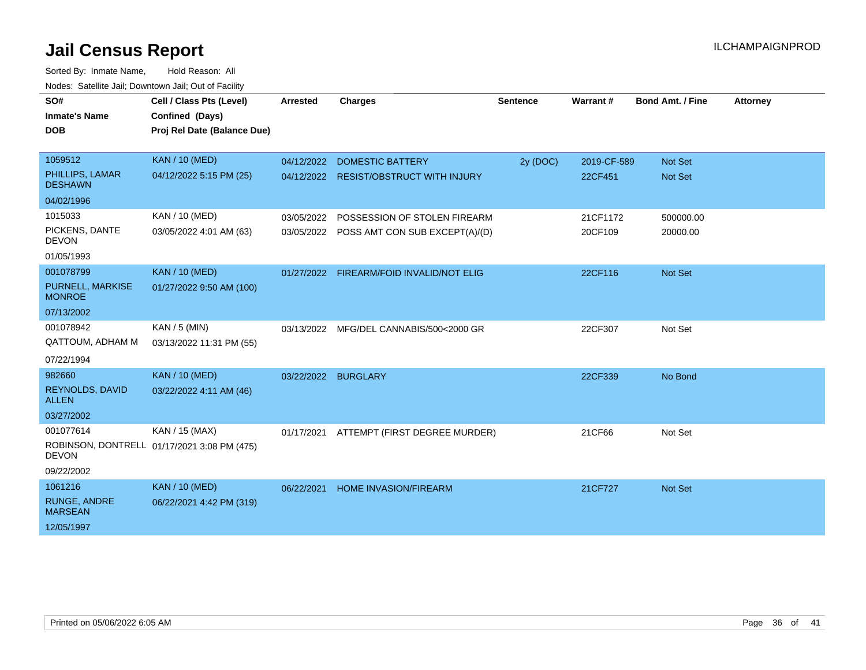| roaco. Calcinio dan, Downtown dan, Out or Fabilit |                                             |                     |                                           |          |             |                         |                 |
|---------------------------------------------------|---------------------------------------------|---------------------|-------------------------------------------|----------|-------------|-------------------------|-----------------|
| SO#                                               | Cell / Class Pts (Level)                    | Arrested            | <b>Charges</b>                            | Sentence | Warrant#    | <b>Bond Amt. / Fine</b> | <b>Attorney</b> |
| <b>Inmate's Name</b>                              | Confined (Days)                             |                     |                                           |          |             |                         |                 |
| <b>DOB</b>                                        | Proj Rel Date (Balance Due)                 |                     |                                           |          |             |                         |                 |
|                                                   |                                             |                     |                                           |          |             |                         |                 |
| 1059512                                           | <b>KAN / 10 (MED)</b>                       | 04/12/2022          | <b>DOMESTIC BATTERY</b>                   | 2y (DOC) | 2019-CF-589 | Not Set                 |                 |
| PHILLIPS, LAMAR<br><b>DESHAWN</b>                 | 04/12/2022 5:15 PM (25)                     |                     | 04/12/2022 RESIST/OBSTRUCT WITH INJURY    |          | 22CF451     | Not Set                 |                 |
| 04/02/1996                                        |                                             |                     |                                           |          |             |                         |                 |
| 1015033                                           | KAN / 10 (MED)                              | 03/05/2022          | POSSESSION OF STOLEN FIREARM              |          | 21CF1172    | 500000.00               |                 |
| PICKENS, DANTE<br><b>DEVON</b>                    | 03/05/2022 4:01 AM (63)                     |                     | 03/05/2022 POSS AMT CON SUB EXCEPT(A)/(D) |          | 20CF109     | 20000.00                |                 |
| 01/05/1993                                        |                                             |                     |                                           |          |             |                         |                 |
| 001078799                                         | <b>KAN / 10 (MED)</b>                       |                     | 01/27/2022 FIREARM/FOID INVALID/NOT ELIG  |          | 22CF116     | Not Set                 |                 |
| PURNELL, MARKISE<br><b>MONROE</b>                 | 01/27/2022 9:50 AM (100)                    |                     |                                           |          |             |                         |                 |
| 07/13/2002                                        |                                             |                     |                                           |          |             |                         |                 |
| 001078942                                         | $KAN / 5$ (MIN)                             | 03/13/2022          | MFG/DEL CANNABIS/500<2000 GR              |          | 22CF307     | Not Set                 |                 |
| QATTOUM, ADHAM M                                  | 03/13/2022 11:31 PM (55)                    |                     |                                           |          |             |                         |                 |
| 07/22/1994                                        |                                             |                     |                                           |          |             |                         |                 |
| 982660                                            | <b>KAN / 10 (MED)</b>                       | 03/22/2022 BURGLARY |                                           |          | 22CF339     | No Bond                 |                 |
| REYNOLDS, DAVID<br><b>ALLEN</b>                   | 03/22/2022 4:11 AM (46)                     |                     |                                           |          |             |                         |                 |
| 03/27/2002                                        |                                             |                     |                                           |          |             |                         |                 |
| 001077614                                         | KAN / 15 (MAX)                              |                     | 01/17/2021 ATTEMPT (FIRST DEGREE MURDER)  |          | 21CF66      | Not Set                 |                 |
| <b>DEVON</b>                                      | ROBINSON, DONTRELL 01/17/2021 3:08 PM (475) |                     |                                           |          |             |                         |                 |
| 09/22/2002                                        |                                             |                     |                                           |          |             |                         |                 |
| 1061216                                           | <b>KAN / 10 (MED)</b>                       | 06/22/2021          | <b>HOME INVASION/FIREARM</b>              |          | 21CF727     | Not Set                 |                 |
| <b>RUNGE, ANDRE</b><br><b>MARSEAN</b>             | 06/22/2021 4:42 PM (319)                    |                     |                                           |          |             |                         |                 |
| 12/05/1997                                        |                                             |                     |                                           |          |             |                         |                 |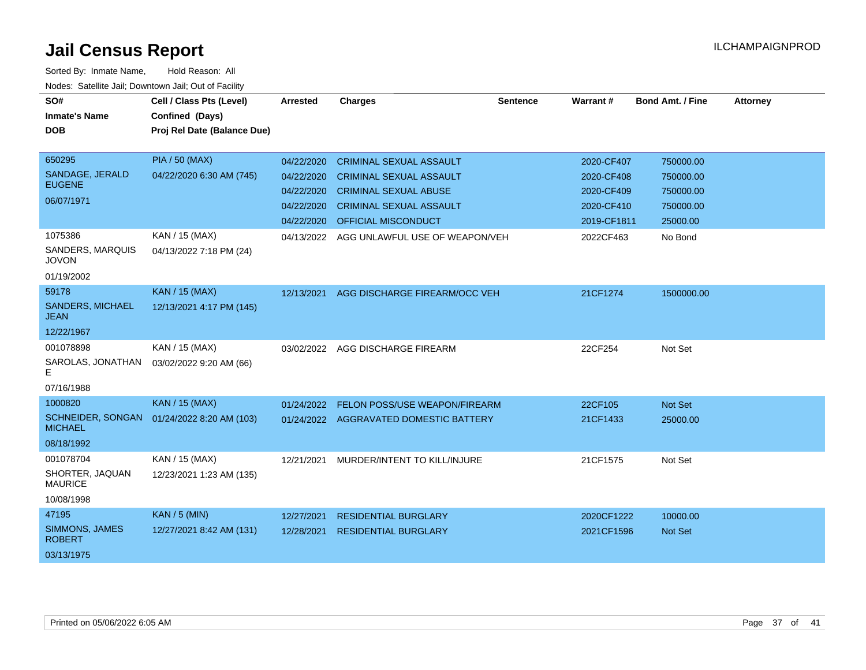| SO#                                    | Cell / Class Pts (Level)    | Arrested   | <b>Charges</b>                         | <b>Sentence</b> | Warrant#    | <b>Bond Amt. / Fine</b> | <b>Attorney</b> |
|----------------------------------------|-----------------------------|------------|----------------------------------------|-----------------|-------------|-------------------------|-----------------|
| <b>Inmate's Name</b>                   | Confined (Days)             |            |                                        |                 |             |                         |                 |
| <b>DOB</b>                             | Proj Rel Date (Balance Due) |            |                                        |                 |             |                         |                 |
|                                        |                             |            |                                        |                 |             |                         |                 |
| 650295                                 | <b>PIA / 50 (MAX)</b>       | 04/22/2020 | <b>CRIMINAL SEXUAL ASSAULT</b>         |                 | 2020-CF407  | 750000.00               |                 |
| SANDAGE, JERALD                        | 04/22/2020 6:30 AM (745)    | 04/22/2020 | <b>CRIMINAL SEXUAL ASSAULT</b>         |                 | 2020-CF408  | 750000.00               |                 |
| <b>EUGENE</b>                          |                             | 04/22/2020 | <b>CRIMINAL SEXUAL ABUSE</b>           |                 | 2020-CF409  | 750000.00               |                 |
| 06/07/1971                             |                             | 04/22/2020 | <b>CRIMINAL SEXUAL ASSAULT</b>         |                 | 2020-CF410  | 750000.00               |                 |
|                                        |                             | 04/22/2020 | <b>OFFICIAL MISCONDUCT</b>             |                 | 2019-CF1811 | 25000.00                |                 |
| 1075386                                | KAN / 15 (MAX)              | 04/13/2022 | AGG UNLAWFUL USE OF WEAPON/VEH         |                 | 2022CF463   | No Bond                 |                 |
| SANDERS, MARQUIS<br><b>JOVON</b>       | 04/13/2022 7:18 PM (24)     |            |                                        |                 |             |                         |                 |
| 01/19/2002                             |                             |            |                                        |                 |             |                         |                 |
| 59178                                  | <b>KAN / 15 (MAX)</b>       | 12/13/2021 | AGG DISCHARGE FIREARM/OCC VEH          |                 | 21CF1274    | 1500000.00              |                 |
| <b>SANDERS, MICHAEL</b><br><b>JEAN</b> | 12/13/2021 4:17 PM (145)    |            |                                        |                 |             |                         |                 |
| 12/22/1967                             |                             |            |                                        |                 |             |                         |                 |
| 001078898                              | KAN / 15 (MAX)              | 03/02/2022 | AGG DISCHARGE FIREARM                  |                 | 22CF254     | Not Set                 |                 |
| SAROLAS, JONATHAN<br>E.                | 03/02/2022 9:20 AM (66)     |            |                                        |                 |             |                         |                 |
| 07/16/1988                             |                             |            |                                        |                 |             |                         |                 |
| 1000820                                | <b>KAN / 15 (MAX)</b>       | 01/24/2022 | FELON POSS/USE WEAPON/FIREARM          |                 | 22CF105     | Not Set                 |                 |
| SCHNEIDER, SONGAN<br><b>MICHAEL</b>    | 01/24/2022 8:20 AM (103)    |            | 01/24/2022 AGGRAVATED DOMESTIC BATTERY |                 | 21CF1433    | 25000.00                |                 |
| 08/18/1992                             |                             |            |                                        |                 |             |                         |                 |
| 001078704                              | KAN / 15 (MAX)              | 12/21/2021 | MURDER/INTENT TO KILL/INJURE           |                 | 21CF1575    | Not Set                 |                 |
| SHORTER, JAQUAN<br><b>MAURICE</b>      | 12/23/2021 1:23 AM (135)    |            |                                        |                 |             |                         |                 |
| 10/08/1998                             |                             |            |                                        |                 |             |                         |                 |
| 47195                                  | <b>KAN / 5 (MIN)</b>        | 12/27/2021 | <b>RESIDENTIAL BURGLARY</b>            |                 | 2020CF1222  | 10000.00                |                 |
| SIMMONS, JAMES<br><b>ROBERT</b>        | 12/27/2021 8:42 AM (131)    | 12/28/2021 | <b>RESIDENTIAL BURGLARY</b>            |                 | 2021CF1596  | Not Set                 |                 |
| 03/13/1975                             |                             |            |                                        |                 |             |                         |                 |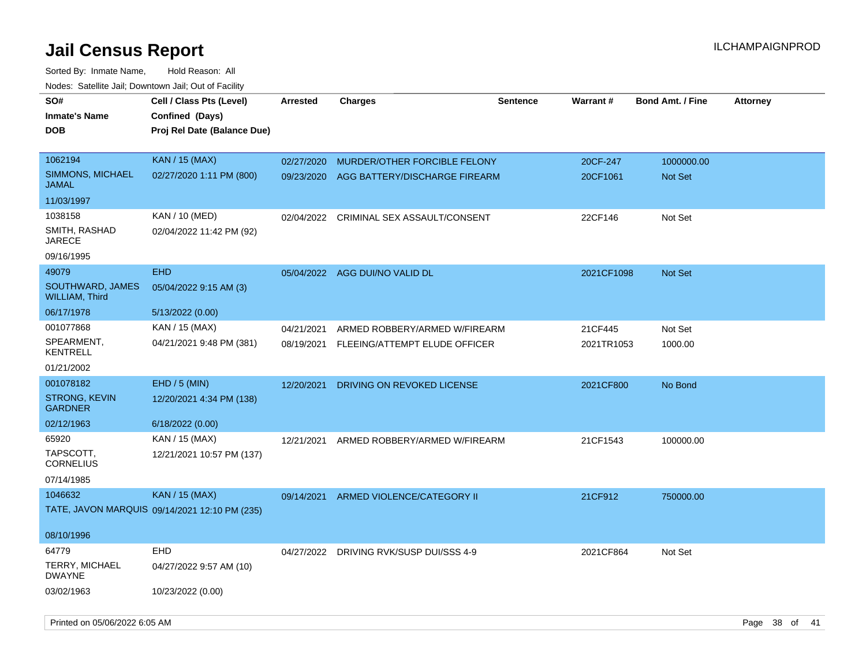| SO#                                       | Cell / Class Pts (Level)                      | <b>Arrested</b> | <b>Charges</b>                           | <b>Sentence</b> | <b>Warrant#</b> | <b>Bond Amt. / Fine</b> | <b>Attorney</b> |
|-------------------------------------------|-----------------------------------------------|-----------------|------------------------------------------|-----------------|-----------------|-------------------------|-----------------|
| <b>Inmate's Name</b>                      | Confined (Days)                               |                 |                                          |                 |                 |                         |                 |
| <b>DOB</b>                                | Proj Rel Date (Balance Due)                   |                 |                                          |                 |                 |                         |                 |
|                                           |                                               |                 |                                          |                 |                 |                         |                 |
| 1062194                                   | <b>KAN / 15 (MAX)</b>                         | 02/27/2020      | MURDER/OTHER FORCIBLE FELONY             |                 | 20CF-247        | 1000000.00              |                 |
| <b>SIMMONS, MICHAEL</b><br><b>JAMAL</b>   | 02/27/2020 1:11 PM (800)                      | 09/23/2020      | AGG BATTERY/DISCHARGE FIREARM            |                 | 20CF1061        | Not Set                 |                 |
| 11/03/1997                                |                                               |                 |                                          |                 |                 |                         |                 |
| 1038158                                   | KAN / 10 (MED)                                | 02/04/2022      | CRIMINAL SEX ASSAULT/CONSENT             |                 | 22CF146         | Not Set                 |                 |
| SMITH, RASHAD<br><b>JARECE</b>            | 02/04/2022 11:42 PM (92)                      |                 |                                          |                 |                 |                         |                 |
| 09/16/1995                                |                                               |                 |                                          |                 |                 |                         |                 |
| 49079                                     | <b>EHD</b>                                    |                 | 05/04/2022 AGG DUI/NO VALID DL           |                 | 2021CF1098      | Not Set                 |                 |
| SOUTHWARD, JAMES<br><b>WILLIAM, Third</b> | 05/04/2022 9:15 AM (3)                        |                 |                                          |                 |                 |                         |                 |
| 06/17/1978                                | 5/13/2022 (0.00)                              |                 |                                          |                 |                 |                         |                 |
| 001077868                                 | KAN / 15 (MAX)                                | 04/21/2021      | ARMED ROBBERY/ARMED W/FIREARM            |                 | 21CF445         | Not Set                 |                 |
| SPEARMENT,<br><b>KENTRELL</b>             | 04/21/2021 9:48 PM (381)                      |                 | 08/19/2021 FLEEING/ATTEMPT ELUDE OFFICER |                 | 2021TR1053      | 1000.00                 |                 |
| 01/21/2002                                |                                               |                 |                                          |                 |                 |                         |                 |
| 001078182                                 | EHD / 5 (MIN)                                 | 12/20/2021      | DRIVING ON REVOKED LICENSE               |                 | 2021CF800       | No Bond                 |                 |
| <b>STRONG, KEVIN</b><br><b>GARDNER</b>    | 12/20/2021 4:34 PM (138)                      |                 |                                          |                 |                 |                         |                 |
| 02/12/1963                                | 6/18/2022 (0.00)                              |                 |                                          |                 |                 |                         |                 |
| 65920                                     | KAN / 15 (MAX)                                | 12/21/2021      | ARMED ROBBERY/ARMED W/FIREARM            |                 | 21CF1543        | 100000.00               |                 |
| TAPSCOTT,<br><b>CORNELIUS</b>             | 12/21/2021 10:57 PM (137)                     |                 |                                          |                 |                 |                         |                 |
| 07/14/1985                                |                                               |                 |                                          |                 |                 |                         |                 |
| 1046632                                   | <b>KAN / 15 (MAX)</b>                         | 09/14/2021      | ARMED VIOLENCE/CATEGORY II               |                 | 21CF912         | 750000.00               |                 |
|                                           | TATE, JAVON MARQUIS 09/14/2021 12:10 PM (235) |                 |                                          |                 |                 |                         |                 |
| 08/10/1996                                |                                               |                 |                                          |                 |                 |                         |                 |
| 64779                                     | <b>EHD</b>                                    | 04/27/2022      | DRIVING RVK/SUSP DUI/SSS 4-9             |                 | 2021CF864       | Not Set                 |                 |
| TERRY, MICHAEL<br><b>DWAYNE</b>           | 04/27/2022 9:57 AM (10)                       |                 |                                          |                 |                 |                         |                 |
| 03/02/1963                                | 10/23/2022 (0.00)                             |                 |                                          |                 |                 |                         |                 |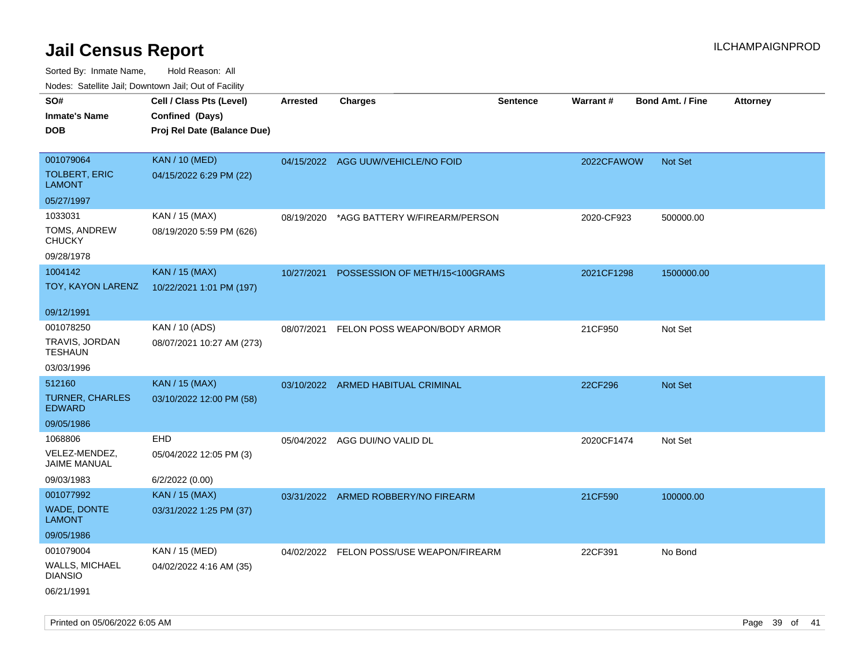| rougs. Calcing Jan, Downtown Jan, Out of Facility |                             |                 |                                          |                 |            |                         |                 |
|---------------------------------------------------|-----------------------------|-----------------|------------------------------------------|-----------------|------------|-------------------------|-----------------|
| SO#                                               | Cell / Class Pts (Level)    | <b>Arrested</b> | <b>Charges</b>                           | <b>Sentence</b> | Warrant#   | <b>Bond Amt. / Fine</b> | <b>Attorney</b> |
| <b>Inmate's Name</b>                              | Confined (Days)             |                 |                                          |                 |            |                         |                 |
| <b>DOB</b>                                        | Proj Rel Date (Balance Due) |                 |                                          |                 |            |                         |                 |
| 001079064                                         | <b>KAN / 10 (MED)</b>       |                 | 04/15/2022 AGG UUW/VEHICLE/NO FOID       |                 | 2022CFAWOW | <b>Not Set</b>          |                 |
| <b>TOLBERT, ERIC</b><br><b>LAMONT</b>             | 04/15/2022 6:29 PM (22)     |                 |                                          |                 |            |                         |                 |
| 05/27/1997                                        |                             |                 |                                          |                 |            |                         |                 |
| 1033031                                           | KAN / 15 (MAX)              | 08/19/2020      | *AGG BATTERY W/FIREARM/PERSON            |                 | 2020-CF923 | 500000.00               |                 |
| TOMS, ANDREW<br><b>CHUCKY</b>                     | 08/19/2020 5:59 PM (626)    |                 |                                          |                 |            |                         |                 |
| 09/28/1978                                        |                             |                 |                                          |                 |            |                         |                 |
| 1004142                                           | <b>KAN / 15 (MAX)</b>       | 10/27/2021      | POSSESSION OF METH/15<100GRAMS           |                 | 2021CF1298 | 1500000.00              |                 |
| TOY, KAYON LARENZ                                 | 10/22/2021 1:01 PM (197)    |                 |                                          |                 |            |                         |                 |
| 09/12/1991                                        |                             |                 |                                          |                 |            |                         |                 |
| 001078250                                         | KAN / 10 (ADS)              | 08/07/2021      | FELON POSS WEAPON/BODY ARMOR             |                 | 21CF950    | Not Set                 |                 |
| TRAVIS, JORDAN<br><b>TESHAUN</b>                  | 08/07/2021 10:27 AM (273)   |                 |                                          |                 |            |                         |                 |
| 03/03/1996                                        |                             |                 |                                          |                 |            |                         |                 |
| 512160                                            | <b>KAN / 15 (MAX)</b>       |                 | 03/10/2022 ARMED HABITUAL CRIMINAL       |                 | 22CF296    | Not Set                 |                 |
| <b>TURNER, CHARLES</b><br><b>EDWARD</b>           | 03/10/2022 12:00 PM (58)    |                 |                                          |                 |            |                         |                 |
| 09/05/1986                                        |                             |                 |                                          |                 |            |                         |                 |
| 1068806                                           | <b>EHD</b>                  |                 | 05/04/2022 AGG DUI/NO VALID DL           |                 | 2020CF1474 | Not Set                 |                 |
| VELEZ-MENDEZ,<br>JAIME MANUAL                     | 05/04/2022 12:05 PM (3)     |                 |                                          |                 |            |                         |                 |
| 09/03/1983                                        | 6/2/2022 (0.00)             |                 |                                          |                 |            |                         |                 |
| 001077992                                         | <b>KAN / 15 (MAX)</b>       |                 | 03/31/2022 ARMED ROBBERY/NO FIREARM      |                 | 21CF590    | 100000.00               |                 |
| <b>WADE, DONTE</b><br>LAMONT                      | 03/31/2022 1:25 PM (37)     |                 |                                          |                 |            |                         |                 |
| 09/05/1986                                        |                             |                 |                                          |                 |            |                         |                 |
| 001079004                                         | KAN / 15 (MED)              |                 | 04/02/2022 FELON POSS/USE WEAPON/FIREARM |                 | 22CF391    | No Bond                 |                 |
| WALLS, MICHAEL<br><b>DIANSIO</b>                  | 04/02/2022 4:16 AM (35)     |                 |                                          |                 |            |                         |                 |
| 06/21/1991                                        |                             |                 |                                          |                 |            |                         |                 |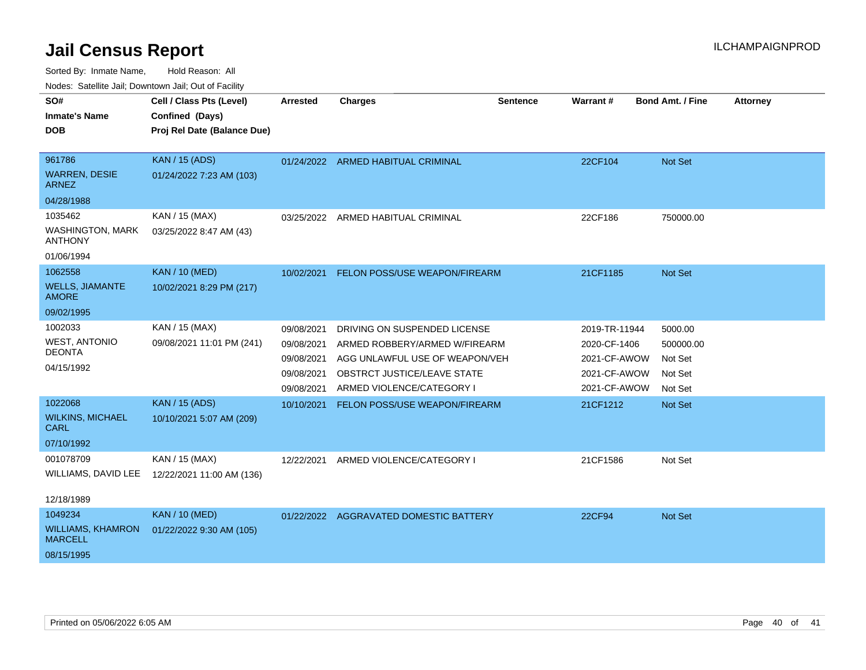Sorted By: Inmate Name, Hold Reason: All

| Nodes: Satellite Jail; Downtown Jail; Out of Facility |  |  |
|-------------------------------------------------------|--|--|
|                                                       |  |  |

| SO#<br><b>Inmate's Name</b>                                                                        | Cell / Class Pts (Level)<br>Confined (Days)                                                    | <b>Arrested</b>                                                    | <b>Charges</b>                                                                                                                                              | <b>Sentence</b> | Warrant #                                                                     | <b>Bond Amt. / Fine</b>                               | <b>Attorney</b> |
|----------------------------------------------------------------------------------------------------|------------------------------------------------------------------------------------------------|--------------------------------------------------------------------|-------------------------------------------------------------------------------------------------------------------------------------------------------------|-----------------|-------------------------------------------------------------------------------|-------------------------------------------------------|-----------------|
| <b>DOB</b>                                                                                         | Proj Rel Date (Balance Due)                                                                    |                                                                    |                                                                                                                                                             |                 |                                                                               |                                                       |                 |
| 961786<br><b>WARREN, DESIE</b><br><b>ARNEZ</b><br>04/28/1988<br>1035462<br><b>WASHINGTON, MARK</b> | <b>KAN / 15 (ADS)</b><br>01/24/2022 7:23 AM (103)<br>KAN / 15 (MAX)<br>03/25/2022 8:47 AM (43) |                                                                    | 01/24/2022 ARMED HABITUAL CRIMINAL<br>03/25/2022 ARMED HABITUAL CRIMINAL                                                                                    |                 | 22CF104<br>22CF186                                                            | Not Set<br>750000.00                                  |                 |
| <b>ANTHONY</b><br>01/06/1994                                                                       |                                                                                                |                                                                    |                                                                                                                                                             |                 |                                                                               |                                                       |                 |
| 1062558<br><b>WELLS, JIAMANTE</b><br><b>AMORE</b><br>09/02/1995                                    | <b>KAN / 10 (MED)</b><br>10/02/2021 8:29 PM (217)                                              | 10/02/2021                                                         | FELON POSS/USE WEAPON/FIREARM                                                                                                                               |                 | 21CF1185                                                                      | Not Set                                               |                 |
| 1002033<br><b>WEST, ANTONIO</b><br><b>DEONTA</b><br>04/15/1992                                     | KAN / 15 (MAX)<br>09/08/2021 11:01 PM (241)                                                    | 09/08/2021<br>09/08/2021<br>09/08/2021<br>09/08/2021<br>09/08/2021 | DRIVING ON SUSPENDED LICENSE<br>ARMED ROBBERY/ARMED W/FIREARM<br>AGG UNLAWFUL USE OF WEAPON/VEH<br>OBSTRCT JUSTICE/LEAVE STATE<br>ARMED VIOLENCE/CATEGORY I |                 | 2019-TR-11944<br>2020-CF-1406<br>2021-CF-AWOW<br>2021-CF-AWOW<br>2021-CF-AWOW | 5000.00<br>500000.00<br>Not Set<br>Not Set<br>Not Set |                 |
| 1022068<br><b>WILKINS, MICHAEL</b><br><b>CARL</b><br>07/10/1992                                    | <b>KAN / 15 (ADS)</b><br>10/10/2021 5:07 AM (209)                                              | 10/10/2021                                                         | FELON POSS/USE WEAPON/FIREARM                                                                                                                               |                 | 21CF1212                                                                      | Not Set                                               |                 |
| 001078709<br>WILLIAMS, DAVID LEE<br>12/18/1989                                                     | KAN / 15 (MAX)<br>12/22/2021 11:00 AM (136)                                                    | 12/22/2021                                                         | ARMED VIOLENCE/CATEGORY I                                                                                                                                   |                 | 21CF1586                                                                      | Not Set                                               |                 |
| 1049234<br><b>WILLIAMS, KHAMRON</b><br><b>MARCELL</b><br>08/15/1995                                | <b>KAN / 10 (MED)</b><br>01/22/2022 9:30 AM (105)                                              | 01/22/2022                                                         | AGGRAVATED DOMESTIC BATTERY                                                                                                                                 |                 | 22CF94                                                                        | Not Set                                               |                 |